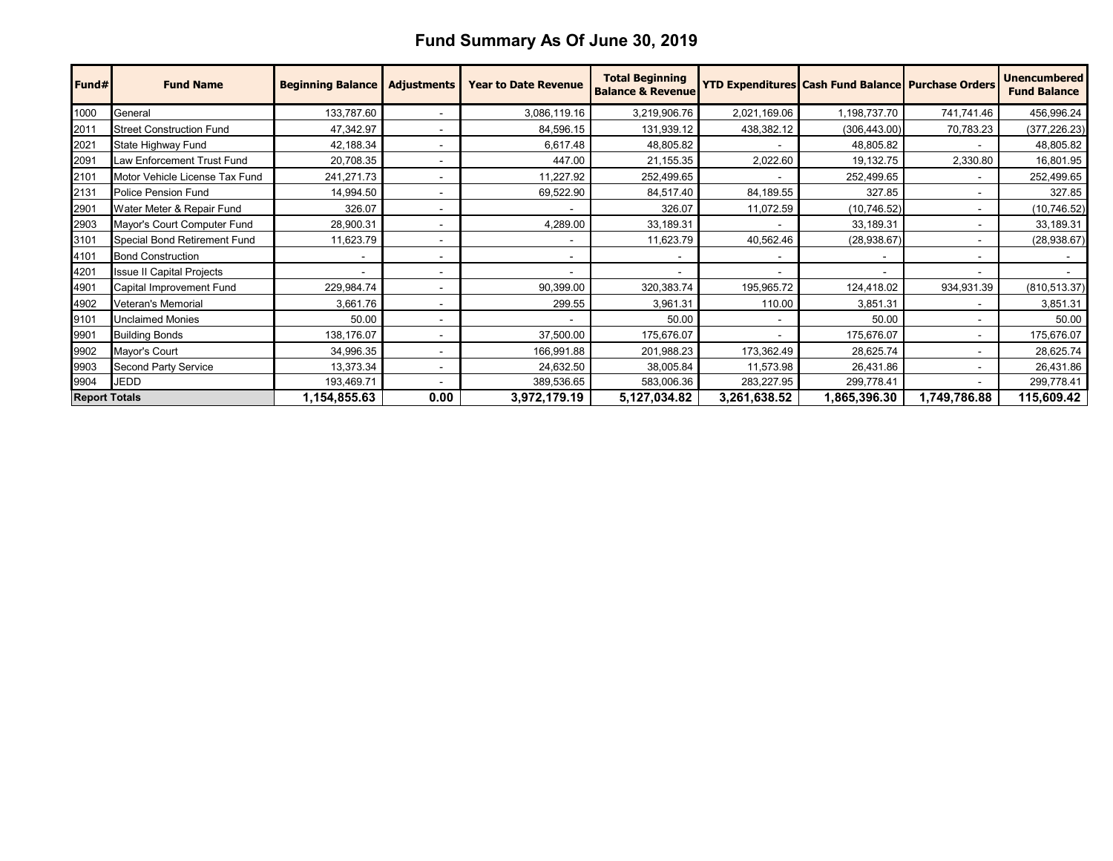## **Fund Summary As Of June 30, 2019**

| Fund#                | <b>Fund Name</b>                 | <b>Beginning Balance</b> | <b>Adjustments</b>       | <b>Year to Date Revenue</b> | <b>Total Beginning</b><br><b>Balance &amp; Revenue</b> |                          | <b>YTD Expenditures Cash Fund Balance Purchase Orders</b> |              | <b>Unencumbered</b><br><b>Fund Balance</b> |
|----------------------|----------------------------------|--------------------------|--------------------------|-----------------------------|--------------------------------------------------------|--------------------------|-----------------------------------------------------------|--------------|--------------------------------------------|
| 1000                 | General                          | 133,787.60               |                          | 3,086,119.16                | 3,219,906.76                                           | 2,021,169.06             | 1,198,737.70                                              | 741,741.46   | 456,996.24                                 |
| 2011                 | <b>Street Construction Fund</b>  | 47,342.97                |                          | 84,596.15                   | 131,939.12                                             | 438,382.12               | (306, 443.00)                                             | 70,783.23    | (377, 226.23)                              |
| 2021                 | State Highway Fund               | 42,188.34                |                          | 6,617.48                    | 48,805.82                                              |                          | 48,805.82                                                 |              | 48,805.82                                  |
| 2091                 | Law Enforcement Trust Fund       | 20,708.35                |                          | 447.00                      | 21,155.35                                              | 2,022.60                 | 19,132.75                                                 | 2,330.80     | 16,801.95                                  |
| 2101                 | Motor Vehicle License Tax Fund   | 241,271.73               |                          | 11,227.92                   | 252,499.65                                             | $\overline{\phantom{a}}$ | 252,499.65                                                |              | 252,499.65                                 |
| 2131                 | Police Pension Fund              | 14,994.50                |                          | 69,522.90                   | 84,517.40                                              | 84,189.55                | 327.85                                                    |              | 327.85                                     |
| 2901                 | Water Meter & Repair Fund        | 326.07                   |                          |                             | 326.07                                                 | 11,072.59                | (10, 746.52)                                              |              | (10, 746.52)                               |
| 2903                 | Mayor's Court Computer Fund      | 28,900.31                |                          | 4,289.00                    | 33,189.31                                              |                          | 33,189.31                                                 |              | 33,189.31                                  |
| 3101                 | Special Bond Retirement Fund     | 11,623.79                |                          |                             | 11,623.79                                              | 40,562.46                | (28, 938.67)                                              |              | (28, 938.67)                               |
| 4101                 | <b>Bond Construction</b>         |                          |                          |                             |                                                        |                          |                                                           |              |                                            |
| 4201                 | <b>Issue II Capital Projects</b> |                          |                          |                             |                                                        | $\overline{\phantom{a}}$ |                                                           |              |                                            |
| 4901                 | Capital Improvement Fund         | 229,984.74               |                          | 90,399.00                   | 320,383.74                                             | 195,965.72               | 124,418.02                                                | 934,931.39   | (810, 513.37)                              |
| 4902                 | Veteran's Memorial               | 3,661.76                 | $\overline{\phantom{0}}$ | 299.55                      | 3,961.31                                               | 110.00                   | 3,851.31                                                  |              | 3,851.31                                   |
| 9101                 | <b>Unclaimed Monies</b>          | 50.00                    |                          |                             | 50.00                                                  | $\blacksquare$           | 50.00                                                     |              | 50.00                                      |
| 9901                 | <b>Building Bonds</b>            | 138,176.07               |                          | 37,500.00                   | 175,676.07                                             |                          | 175,676.07                                                |              | 175,676.07                                 |
| 9902                 | Mayor's Court                    | 34,996.35                |                          | 166,991.88                  | 201,988.23                                             | 173,362.49               | 28,625.74                                                 |              | 28,625.74                                  |
| 9903                 | <b>Second Party Service</b>      | 13,373.34                | ۰                        | 24,632.50                   | 38,005.84                                              | 11,573.98                | 26,431.86                                                 |              | 26,431.86                                  |
| 9904                 | <b>JEDD</b>                      | 193,469.71               |                          | 389,536.65                  | 583,006.36                                             | 283,227.95               | 299,778.41                                                |              | 299,778.41                                 |
| <b>Report Totals</b> |                                  | 1,154,855.63             | 0.00                     | 3,972,179.19                | 5,127,034.82                                           | 3,261,638.52             | 1,865,396.30                                              | 1,749,786.88 | 115,609.42                                 |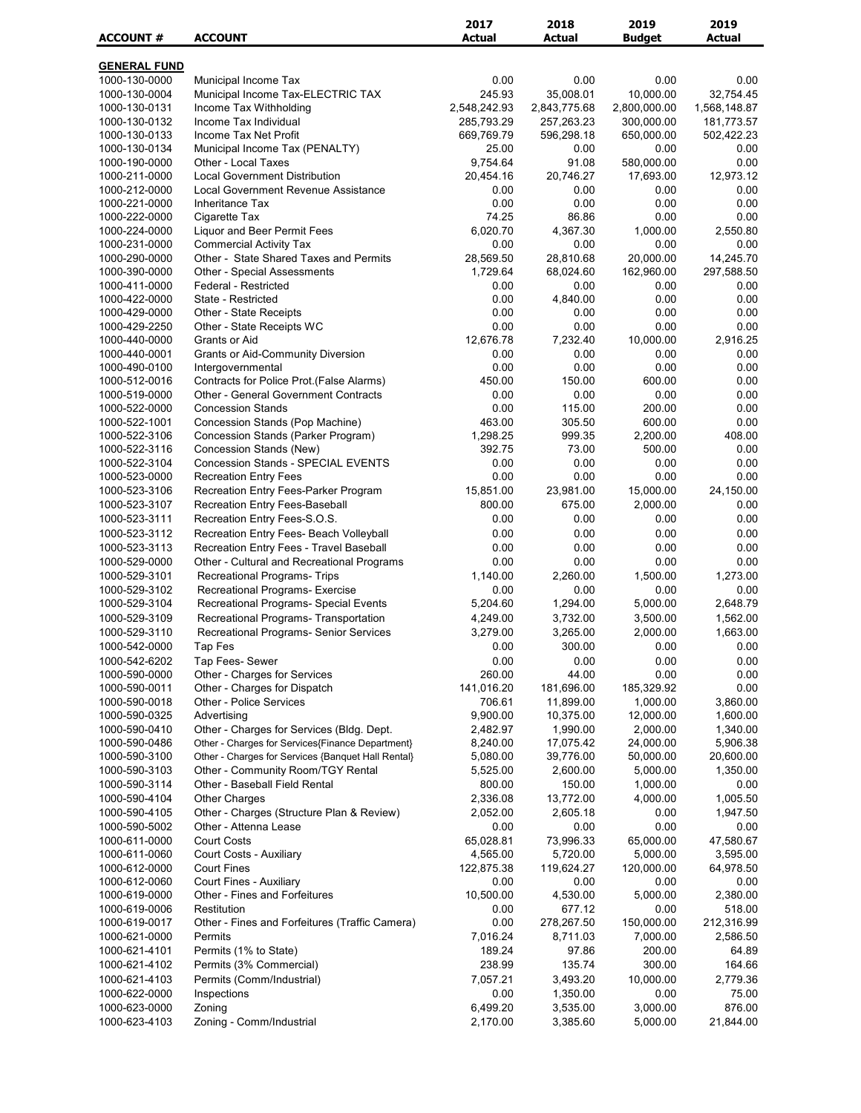| <b>GENERAL FUND</b><br>0.00<br>1000-130-0000<br>Municipal Income Tax<br>0.00<br>0.00<br>0.00<br>245.93<br>35,008.01<br>10,000.00<br>32,754.45<br>1000-130-0004<br>Municipal Income Tax-ELECTRIC TAX<br>2,548,242.93<br>2,800,000.00<br>1000-130-0131<br>Income Tax Withholding<br>2,843,775.68<br>1,568,148.87<br>1000-130-0132<br>Income Tax Individual<br>285,793.29<br>257,263.23<br>300,000.00<br>181,773.57<br>1000-130-0133<br>Income Tax Net Profit<br>669,769.79<br>596,298.18<br>650,000.00<br>502,422.23<br>25.00<br>1000-130-0134<br>Municipal Income Tax (PENALTY)<br>0.00<br>0.00<br>0.00<br>Other - Local Taxes<br>9,754.64<br>0.00<br>1000-190-0000<br>91.08<br>580,000.00<br>12,973.12<br>1000-211-0000<br><b>Local Government Distribution</b><br>20,454.16<br>20,746.27<br>17,693.00<br>Local Government Revenue Assistance<br>1000-212-0000<br>0.00<br>0.00<br>0.00<br>0.00<br>0.00<br>0.00<br>0.00<br>1000-221-0000<br><b>Inheritance Tax</b><br>0.00<br>74.25<br>86.86<br>0.00<br>0.00<br>1000-222-0000<br>Cigarette Tax<br>6,020.70<br>1000-224-0000<br><b>Liquor and Beer Permit Fees</b><br>4,367.30<br>1,000.00<br>2,550.80<br>1000-231-0000<br><b>Commercial Activity Tax</b><br>0.00<br>0.00<br>0.00<br>0.00<br>28,569.50<br>20,000.00<br>14,245.70<br>1000-290-0000<br>Other - State Shared Taxes and Permits<br>28,810.68<br><b>Other - Special Assessments</b><br>1,729.64<br>68,024.60<br>162,960.00<br>297,588.50<br>1000-390-0000<br>0.00<br>0.00<br>0.00<br>1000-411-0000<br>Federal - Restricted<br>0.00<br>1000-422-0000<br>State - Restricted<br>0.00<br>4,840.00<br>0.00<br>0.00<br>0.00<br>0.00<br>0.00<br>1000-429-0000<br>Other - State Receipts<br>0.00<br>1000-429-2250<br>Other - State Receipts WC<br>0.00<br>0.00<br>0.00<br>0.00<br>12,676.78<br>7,232.40<br>10,000.00<br>2,916.25<br>1000-440-0000<br>Grants or Aid<br>0.00<br>1000-440-0001<br><b>Grants or Aid-Community Diversion</b><br>0.00<br>0.00<br>0.00<br>0.00<br>0.00<br>0.00<br>0.00<br>1000-490-0100<br>Intergovernmental<br>1000-512-0016<br>Contracts for Police Prot. (False Alarms)<br>450.00<br>150.00<br>600.00<br>0.00<br>0.00<br>0.00<br>1000-519-0000<br><b>Other - General Government Contracts</b><br>0.00<br>0.00<br>1000-522-0000<br><b>Concession Stands</b><br>0.00<br>115.00<br>200.00<br>0.00<br>1000-522-1001<br>463.00<br>600.00<br>0.00<br>Concession Stands (Pop Machine)<br>305.50<br>408.00<br>1000-522-3106<br>Concession Stands (Parker Program)<br>1,298.25<br>999.35<br>2,200.00<br>392.75<br>500.00<br>1000-522-3116<br>Concession Stands (New)<br>73.00<br>0.00<br><b>Concession Stands - SPECIAL EVENTS</b><br>1000-522-3104<br>0.00<br>0.00<br>0.00<br>0.00<br>1000-523-0000<br><b>Recreation Entry Fees</b><br>0.00<br>0.00<br>0.00<br>0.00<br>15,851.00<br>15,000.00<br>1000-523-3106<br>Recreation Entry Fees-Parker Program<br>23,981.00<br>24,150.00<br>675.00<br>1000-523-3107<br>Recreation Entry Fees-Baseball<br>800.00<br>2,000.00<br>0.00<br>Recreation Entry Fees-S.O.S.<br>0.00<br>1000-523-3111<br>0.00<br>0.00<br>0.00<br>Recreation Entry Fees- Beach Volleyball<br>0.00<br>0.00<br>0.00<br>1000-523-3112<br>0.00<br>Recreation Entry Fees - Travel Baseball<br>1000-523-3113<br>0.00<br>0.00<br>0.00<br>0.00<br>0.00<br>0.00<br>0.00<br>0.00<br>1000-529-0000<br>Other - Cultural and Recreational Programs<br>1,140.00<br>1,500.00<br>1000-529-3101<br>Recreational Programs- Trips<br>2,260.00<br>1,273.00<br>1000-529-3102<br>Recreational Programs- Exercise<br>0.00<br>0.00<br>0.00<br>0.00<br>5,000.00<br>2,648.79<br>1000-529-3104<br>Recreational Programs- Special Events<br>5,204.60<br>1,294.00<br>1000-529-3109<br>Recreational Programs- Transportation<br>4,249.00<br>3,732.00<br>3,500.00<br>1,562.00<br>1,663.00<br>1000-529-3110<br>Recreational Programs- Senior Services<br>3,279.00<br>3,265.00<br>2,000.00<br>300.00<br>1000-542-0000<br>Tap Fes<br>0.00<br>0.00<br>0.00<br>0.00<br>1000-542-6202<br>Tap Fees- Sewer<br>0.00<br>0.00<br>0.00<br>44.00<br>0.00<br>1000-590-0000<br>Other - Charges for Services<br>260.00<br>0.00<br>141,016.20<br>0.00<br>1000-590-0011<br>Other - Charges for Dispatch<br>181,696.00<br>185,329.92<br>706.61<br>11,899.00<br>1,000.00<br>3,860.00<br>1000-590-0018<br>Other - Police Services<br>1000-590-0325<br>Advertising<br>9,900.00<br>10,375.00<br>12,000.00<br>1,600.00<br>1000-590-0410<br>Other - Charges for Services (Bldg. Dept.<br>2,482.97<br>1,990.00<br>2,000.00<br>1,340.00<br>1000-590-0486<br>Other - Charges for Services{Finance Department}<br>8,240.00<br>17,075.42<br>24,000.00<br>5,906.38<br>1000-590-3100<br>Other - Charges for Services {Banquet Hall Rental}<br>5,080.00<br>39,776.00<br>50,000.00<br>20,600.00<br>Other - Community Room/TGY Rental<br>2,600.00<br>5,000.00<br>1,350.00<br>1000-590-3103<br>5,525.00<br>Other - Baseball Field Rental<br>800.00<br>150.00<br>1,000.00<br>0.00<br>1000-590-3114<br>1000-590-4104<br><b>Other Charges</b><br>2,336.08<br>13,772.00<br>4,000.00<br>1,005.50<br>Other - Charges (Structure Plan & Review)<br>2,052.00<br>2,605.18<br>1,947.50<br>1000-590-4105<br>0.00<br>0.00<br>0.00<br>0.00<br>1000-590-5002<br>Other - Attenna Lease<br>0.00<br><b>Court Costs</b><br>65,028.81<br>1000-611-0000<br>73,996.33<br>65,000.00<br>47,580.67<br>1000-611-0060<br>Court Costs - Auxiliary<br>4,565.00<br>5,720.00<br>5,000.00<br>3,595.00<br>1000-612-0000<br><b>Court Fines</b><br>122,875.38<br>119,624.27<br>120,000.00<br>64,978.50<br>Court Fines - Auxiliary<br>1000-612-0060<br>0.00<br>0.00<br>0.00<br>0.00<br>Other - Fines and Forfeitures<br>1000-619-0000<br>10,500.00<br>4,530.00<br>5,000.00<br>2,380.00<br>1000-619-0006<br>Restitution<br>0.00<br>677.12<br>0.00<br>518.00<br>Other - Fines and Forfeitures (Traffic Camera)<br>0.00<br>278,267.50<br>150,000.00<br>212,316.99<br>1000-619-0017<br>1000-621-0000<br>Permits<br>7,016.24<br>8,711.03<br>7,000.00<br>2,586.50<br>Permits (1% to State)<br>189.24<br>97.86<br>200.00<br>64.89<br>1000-621-4101<br>1000-621-4102<br>Permits (3% Commercial)<br>238.99<br>135.74<br>300.00<br>164.66<br>Permits (Comm/Industrial)<br>7,057.21<br>1000-621-4103<br>3,493.20<br>10,000.00<br>2,779.36<br>0.00<br>75.00<br>1000-622-0000<br>Inspections<br>1,350.00<br>0.00<br>6,499.20<br>876.00<br>1000-623-0000<br>Zoning<br>3,535.00<br>3,000.00<br>1000-623-4103<br>Zoning - Comm/Industrial<br>2,170.00<br>5,000.00<br>3,385.60<br>21,844.00 | <b>ACCOUNT#</b> | <b>ACCOUNT</b> | 2017<br><b>Actual</b> | 2018<br><b>Actual</b> | 2019<br><b>Budget</b> | 2019<br><b>Actual</b> |
|---------------------------------------------------------------------------------------------------------------------------------------------------------------------------------------------------------------------------------------------------------------------------------------------------------------------------------------------------------------------------------------------------------------------------------------------------------------------------------------------------------------------------------------------------------------------------------------------------------------------------------------------------------------------------------------------------------------------------------------------------------------------------------------------------------------------------------------------------------------------------------------------------------------------------------------------------------------------------------------------------------------------------------------------------------------------------------------------------------------------------------------------------------------------------------------------------------------------------------------------------------------------------------------------------------------------------------------------------------------------------------------------------------------------------------------------------------------------------------------------------------------------------------------------------------------------------------------------------------------------------------------------------------------------------------------------------------------------------------------------------------------------------------------------------------------------------------------------------------------------------------------------------------------------------------------------------------------------------------------------------------------------------------------------------------------------------------------------------------------------------------------------------------------------------------------------------------------------------------------------------------------------------------------------------------------------------------------------------------------------------------------------------------------------------------------------------------------------------------------------------------------------------------------------------------------------------------------------------------------------------------------------------------------------------------------------------------------------------------------------------------------------------------------------------------------------------------------------------------------------------------------------------------------------------------------------------------------------------------------------------------------------------------------------------------------------------------------------------------------------------------------------------------------------------------------------------------------------------------------------------------------------------------------------------------------------------------------------------------------------------------------------------------------------------------------------------------------------------------------------------------------------------------------------------------------------------------------------------------------------------------------------------------------------------------------------------------------------------------------------------------------------------------------------------------------------------------------------------------------------------------------------------------------------------------------------------------------------------------------------------------------------------------------------------------------------------------------------------------------------------------------------------------------------------------------------------------------------------------------------------------------------------------------------------------------------------------------------------------------------------------------------------------------------------------------------------------------------------------------------------------------------------------------------------------------------------------------------------------------------------------------------------------------------------------------------------------------------------------------------------------------------------------------------------------------------------------------------------------------------------------------------------------------------------------------------------------------------------------------------------------------------------------------------------------------------------------------------------------------------------------------------------------------------------------------------------------------------------------------------------------------------------------------------------------------------------------------------------------------------------------------------------------------------------------------------------------------------------------------------------------------------------------------------------------------------------------------------------------------------------------------------------------------------------------------------------------------------------------------------------------------------------------------------------------------------------------------------------------------------------------------------------------------------------------------------------------------------------------------------------------------------------------------------------------------------------------------------------------------------------------------------------------------------------------------------------------------------------------------------------------------------------------------------------------------------------------------------------------------------------------------------------------------------------------------------------------------------------------------------------------|-----------------|----------------|-----------------------|-----------------------|-----------------------|-----------------------|
|                                                                                                                                                                                                                                                                                                                                                                                                                                                                                                                                                                                                                                                                                                                                                                                                                                                                                                                                                                                                                                                                                                                                                                                                                                                                                                                                                                                                                                                                                                                                                                                                                                                                                                                                                                                                                                                                                                                                                                                                                                                                                                                                                                                                                                                                                                                                                                                                                                                                                                                                                                                                                                                                                                                                                                                                                                                                                                                                                                                                                                                                                                                                                                                                                                                                                                                                                                                                                                                                                                                                                                                                                                                                                                                                                                                                                                                                                                                                                                                                                                                                                                                                                                                                                                                                                                                                                                                                                                                                                                                                                                                                                                                                                                                                                                                                                                                                                                                                                                                                                                                                                                                                                                                                                                                                                                                                                                                                                                                                                                                                                                                                                                                                                                                                                                                                                                                                                                                                                                                                                                                                                                                                                                                                                                                                                                                                                                                                                                                                                                         |                 |                |                       |                       |                       |                       |
|                                                                                                                                                                                                                                                                                                                                                                                                                                                                                                                                                                                                                                                                                                                                                                                                                                                                                                                                                                                                                                                                                                                                                                                                                                                                                                                                                                                                                                                                                                                                                                                                                                                                                                                                                                                                                                                                                                                                                                                                                                                                                                                                                                                                                                                                                                                                                                                                                                                                                                                                                                                                                                                                                                                                                                                                                                                                                                                                                                                                                                                                                                                                                                                                                                                                                                                                                                                                                                                                                                                                                                                                                                                                                                                                                                                                                                                                                                                                                                                                                                                                                                                                                                                                                                                                                                                                                                                                                                                                                                                                                                                                                                                                                                                                                                                                                                                                                                                                                                                                                                                                                                                                                                                                                                                                                                                                                                                                                                                                                                                                                                                                                                                                                                                                                                                                                                                                                                                                                                                                                                                                                                                                                                                                                                                                                                                                                                                                                                                                                                         |                 |                |                       |                       |                       |                       |
|                                                                                                                                                                                                                                                                                                                                                                                                                                                                                                                                                                                                                                                                                                                                                                                                                                                                                                                                                                                                                                                                                                                                                                                                                                                                                                                                                                                                                                                                                                                                                                                                                                                                                                                                                                                                                                                                                                                                                                                                                                                                                                                                                                                                                                                                                                                                                                                                                                                                                                                                                                                                                                                                                                                                                                                                                                                                                                                                                                                                                                                                                                                                                                                                                                                                                                                                                                                                                                                                                                                                                                                                                                                                                                                                                                                                                                                                                                                                                                                                                                                                                                                                                                                                                                                                                                                                                                                                                                                                                                                                                                                                                                                                                                                                                                                                                                                                                                                                                                                                                                                                                                                                                                                                                                                                                                                                                                                                                                                                                                                                                                                                                                                                                                                                                                                                                                                                                                                                                                                                                                                                                                                                                                                                                                                                                                                                                                                                                                                                                                         |                 |                |                       |                       |                       |                       |
|                                                                                                                                                                                                                                                                                                                                                                                                                                                                                                                                                                                                                                                                                                                                                                                                                                                                                                                                                                                                                                                                                                                                                                                                                                                                                                                                                                                                                                                                                                                                                                                                                                                                                                                                                                                                                                                                                                                                                                                                                                                                                                                                                                                                                                                                                                                                                                                                                                                                                                                                                                                                                                                                                                                                                                                                                                                                                                                                                                                                                                                                                                                                                                                                                                                                                                                                                                                                                                                                                                                                                                                                                                                                                                                                                                                                                                                                                                                                                                                                                                                                                                                                                                                                                                                                                                                                                                                                                                                                                                                                                                                                                                                                                                                                                                                                                                                                                                                                                                                                                                                                                                                                                                                                                                                                                                                                                                                                                                                                                                                                                                                                                                                                                                                                                                                                                                                                                                                                                                                                                                                                                                                                                                                                                                                                                                                                                                                                                                                                                                         |                 |                |                       |                       |                       |                       |
|                                                                                                                                                                                                                                                                                                                                                                                                                                                                                                                                                                                                                                                                                                                                                                                                                                                                                                                                                                                                                                                                                                                                                                                                                                                                                                                                                                                                                                                                                                                                                                                                                                                                                                                                                                                                                                                                                                                                                                                                                                                                                                                                                                                                                                                                                                                                                                                                                                                                                                                                                                                                                                                                                                                                                                                                                                                                                                                                                                                                                                                                                                                                                                                                                                                                                                                                                                                                                                                                                                                                                                                                                                                                                                                                                                                                                                                                                                                                                                                                                                                                                                                                                                                                                                                                                                                                                                                                                                                                                                                                                                                                                                                                                                                                                                                                                                                                                                                                                                                                                                                                                                                                                                                                                                                                                                                                                                                                                                                                                                                                                                                                                                                                                                                                                                                                                                                                                                                                                                                                                                                                                                                                                                                                                                                                                                                                                                                                                                                                                                         |                 |                |                       |                       |                       |                       |
|                                                                                                                                                                                                                                                                                                                                                                                                                                                                                                                                                                                                                                                                                                                                                                                                                                                                                                                                                                                                                                                                                                                                                                                                                                                                                                                                                                                                                                                                                                                                                                                                                                                                                                                                                                                                                                                                                                                                                                                                                                                                                                                                                                                                                                                                                                                                                                                                                                                                                                                                                                                                                                                                                                                                                                                                                                                                                                                                                                                                                                                                                                                                                                                                                                                                                                                                                                                                                                                                                                                                                                                                                                                                                                                                                                                                                                                                                                                                                                                                                                                                                                                                                                                                                                                                                                                                                                                                                                                                                                                                                                                                                                                                                                                                                                                                                                                                                                                                                                                                                                                                                                                                                                                                                                                                                                                                                                                                                                                                                                                                                                                                                                                                                                                                                                                                                                                                                                                                                                                                                                                                                                                                                                                                                                                                                                                                                                                                                                                                                                         |                 |                |                       |                       |                       |                       |
|                                                                                                                                                                                                                                                                                                                                                                                                                                                                                                                                                                                                                                                                                                                                                                                                                                                                                                                                                                                                                                                                                                                                                                                                                                                                                                                                                                                                                                                                                                                                                                                                                                                                                                                                                                                                                                                                                                                                                                                                                                                                                                                                                                                                                                                                                                                                                                                                                                                                                                                                                                                                                                                                                                                                                                                                                                                                                                                                                                                                                                                                                                                                                                                                                                                                                                                                                                                                                                                                                                                                                                                                                                                                                                                                                                                                                                                                                                                                                                                                                                                                                                                                                                                                                                                                                                                                                                                                                                                                                                                                                                                                                                                                                                                                                                                                                                                                                                                                                                                                                                                                                                                                                                                                                                                                                                                                                                                                                                                                                                                                                                                                                                                                                                                                                                                                                                                                                                                                                                                                                                                                                                                                                                                                                                                                                                                                                                                                                                                                                                         |                 |                |                       |                       |                       |                       |
|                                                                                                                                                                                                                                                                                                                                                                                                                                                                                                                                                                                                                                                                                                                                                                                                                                                                                                                                                                                                                                                                                                                                                                                                                                                                                                                                                                                                                                                                                                                                                                                                                                                                                                                                                                                                                                                                                                                                                                                                                                                                                                                                                                                                                                                                                                                                                                                                                                                                                                                                                                                                                                                                                                                                                                                                                                                                                                                                                                                                                                                                                                                                                                                                                                                                                                                                                                                                                                                                                                                                                                                                                                                                                                                                                                                                                                                                                                                                                                                                                                                                                                                                                                                                                                                                                                                                                                                                                                                                                                                                                                                                                                                                                                                                                                                                                                                                                                                                                                                                                                                                                                                                                                                                                                                                                                                                                                                                                                                                                                                                                                                                                                                                                                                                                                                                                                                                                                                                                                                                                                                                                                                                                                                                                                                                                                                                                                                                                                                                                                         |                 |                |                       |                       |                       |                       |
|                                                                                                                                                                                                                                                                                                                                                                                                                                                                                                                                                                                                                                                                                                                                                                                                                                                                                                                                                                                                                                                                                                                                                                                                                                                                                                                                                                                                                                                                                                                                                                                                                                                                                                                                                                                                                                                                                                                                                                                                                                                                                                                                                                                                                                                                                                                                                                                                                                                                                                                                                                                                                                                                                                                                                                                                                                                                                                                                                                                                                                                                                                                                                                                                                                                                                                                                                                                                                                                                                                                                                                                                                                                                                                                                                                                                                                                                                                                                                                                                                                                                                                                                                                                                                                                                                                                                                                                                                                                                                                                                                                                                                                                                                                                                                                                                                                                                                                                                                                                                                                                                                                                                                                                                                                                                                                                                                                                                                                                                                                                                                                                                                                                                                                                                                                                                                                                                                                                                                                                                                                                                                                                                                                                                                                                                                                                                                                                                                                                                                                         |                 |                |                       |                       |                       |                       |
|                                                                                                                                                                                                                                                                                                                                                                                                                                                                                                                                                                                                                                                                                                                                                                                                                                                                                                                                                                                                                                                                                                                                                                                                                                                                                                                                                                                                                                                                                                                                                                                                                                                                                                                                                                                                                                                                                                                                                                                                                                                                                                                                                                                                                                                                                                                                                                                                                                                                                                                                                                                                                                                                                                                                                                                                                                                                                                                                                                                                                                                                                                                                                                                                                                                                                                                                                                                                                                                                                                                                                                                                                                                                                                                                                                                                                                                                                                                                                                                                                                                                                                                                                                                                                                                                                                                                                                                                                                                                                                                                                                                                                                                                                                                                                                                                                                                                                                                                                                                                                                                                                                                                                                                                                                                                                                                                                                                                                                                                                                                                                                                                                                                                                                                                                                                                                                                                                                                                                                                                                                                                                                                                                                                                                                                                                                                                                                                                                                                                                                         |                 |                |                       |                       |                       |                       |
|                                                                                                                                                                                                                                                                                                                                                                                                                                                                                                                                                                                                                                                                                                                                                                                                                                                                                                                                                                                                                                                                                                                                                                                                                                                                                                                                                                                                                                                                                                                                                                                                                                                                                                                                                                                                                                                                                                                                                                                                                                                                                                                                                                                                                                                                                                                                                                                                                                                                                                                                                                                                                                                                                                                                                                                                                                                                                                                                                                                                                                                                                                                                                                                                                                                                                                                                                                                                                                                                                                                                                                                                                                                                                                                                                                                                                                                                                                                                                                                                                                                                                                                                                                                                                                                                                                                                                                                                                                                                                                                                                                                                                                                                                                                                                                                                                                                                                                                                                                                                                                                                                                                                                                                                                                                                                                                                                                                                                                                                                                                                                                                                                                                                                                                                                                                                                                                                                                                                                                                                                                                                                                                                                                                                                                                                                                                                                                                                                                                                                                         |                 |                |                       |                       |                       |                       |
|                                                                                                                                                                                                                                                                                                                                                                                                                                                                                                                                                                                                                                                                                                                                                                                                                                                                                                                                                                                                                                                                                                                                                                                                                                                                                                                                                                                                                                                                                                                                                                                                                                                                                                                                                                                                                                                                                                                                                                                                                                                                                                                                                                                                                                                                                                                                                                                                                                                                                                                                                                                                                                                                                                                                                                                                                                                                                                                                                                                                                                                                                                                                                                                                                                                                                                                                                                                                                                                                                                                                                                                                                                                                                                                                                                                                                                                                                                                                                                                                                                                                                                                                                                                                                                                                                                                                                                                                                                                                                                                                                                                                                                                                                                                                                                                                                                                                                                                                                                                                                                                                                                                                                                                                                                                                                                                                                                                                                                                                                                                                                                                                                                                                                                                                                                                                                                                                                                                                                                                                                                                                                                                                                                                                                                                                                                                                                                                                                                                                                                         |                 |                |                       |                       |                       |                       |
|                                                                                                                                                                                                                                                                                                                                                                                                                                                                                                                                                                                                                                                                                                                                                                                                                                                                                                                                                                                                                                                                                                                                                                                                                                                                                                                                                                                                                                                                                                                                                                                                                                                                                                                                                                                                                                                                                                                                                                                                                                                                                                                                                                                                                                                                                                                                                                                                                                                                                                                                                                                                                                                                                                                                                                                                                                                                                                                                                                                                                                                                                                                                                                                                                                                                                                                                                                                                                                                                                                                                                                                                                                                                                                                                                                                                                                                                                                                                                                                                                                                                                                                                                                                                                                                                                                                                                                                                                                                                                                                                                                                                                                                                                                                                                                                                                                                                                                                                                                                                                                                                                                                                                                                                                                                                                                                                                                                                                                                                                                                                                                                                                                                                                                                                                                                                                                                                                                                                                                                                                                                                                                                                                                                                                                                                                                                                                                                                                                                                                                         |                 |                |                       |                       |                       |                       |
|                                                                                                                                                                                                                                                                                                                                                                                                                                                                                                                                                                                                                                                                                                                                                                                                                                                                                                                                                                                                                                                                                                                                                                                                                                                                                                                                                                                                                                                                                                                                                                                                                                                                                                                                                                                                                                                                                                                                                                                                                                                                                                                                                                                                                                                                                                                                                                                                                                                                                                                                                                                                                                                                                                                                                                                                                                                                                                                                                                                                                                                                                                                                                                                                                                                                                                                                                                                                                                                                                                                                                                                                                                                                                                                                                                                                                                                                                                                                                                                                                                                                                                                                                                                                                                                                                                                                                                                                                                                                                                                                                                                                                                                                                                                                                                                                                                                                                                                                                                                                                                                                                                                                                                                                                                                                                                                                                                                                                                                                                                                                                                                                                                                                                                                                                                                                                                                                                                                                                                                                                                                                                                                                                                                                                                                                                                                                                                                                                                                                                                         |                 |                |                       |                       |                       |                       |
|                                                                                                                                                                                                                                                                                                                                                                                                                                                                                                                                                                                                                                                                                                                                                                                                                                                                                                                                                                                                                                                                                                                                                                                                                                                                                                                                                                                                                                                                                                                                                                                                                                                                                                                                                                                                                                                                                                                                                                                                                                                                                                                                                                                                                                                                                                                                                                                                                                                                                                                                                                                                                                                                                                                                                                                                                                                                                                                                                                                                                                                                                                                                                                                                                                                                                                                                                                                                                                                                                                                                                                                                                                                                                                                                                                                                                                                                                                                                                                                                                                                                                                                                                                                                                                                                                                                                                                                                                                                                                                                                                                                                                                                                                                                                                                                                                                                                                                                                                                                                                                                                                                                                                                                                                                                                                                                                                                                                                                                                                                                                                                                                                                                                                                                                                                                                                                                                                                                                                                                                                                                                                                                                                                                                                                                                                                                                                                                                                                                                                                         |                 |                |                       |                       |                       |                       |
|                                                                                                                                                                                                                                                                                                                                                                                                                                                                                                                                                                                                                                                                                                                                                                                                                                                                                                                                                                                                                                                                                                                                                                                                                                                                                                                                                                                                                                                                                                                                                                                                                                                                                                                                                                                                                                                                                                                                                                                                                                                                                                                                                                                                                                                                                                                                                                                                                                                                                                                                                                                                                                                                                                                                                                                                                                                                                                                                                                                                                                                                                                                                                                                                                                                                                                                                                                                                                                                                                                                                                                                                                                                                                                                                                                                                                                                                                                                                                                                                                                                                                                                                                                                                                                                                                                                                                                                                                                                                                                                                                                                                                                                                                                                                                                                                                                                                                                                                                                                                                                                                                                                                                                                                                                                                                                                                                                                                                                                                                                                                                                                                                                                                                                                                                                                                                                                                                                                                                                                                                                                                                                                                                                                                                                                                                                                                                                                                                                                                                                         |                 |                |                       |                       |                       |                       |
|                                                                                                                                                                                                                                                                                                                                                                                                                                                                                                                                                                                                                                                                                                                                                                                                                                                                                                                                                                                                                                                                                                                                                                                                                                                                                                                                                                                                                                                                                                                                                                                                                                                                                                                                                                                                                                                                                                                                                                                                                                                                                                                                                                                                                                                                                                                                                                                                                                                                                                                                                                                                                                                                                                                                                                                                                                                                                                                                                                                                                                                                                                                                                                                                                                                                                                                                                                                                                                                                                                                                                                                                                                                                                                                                                                                                                                                                                                                                                                                                                                                                                                                                                                                                                                                                                                                                                                                                                                                                                                                                                                                                                                                                                                                                                                                                                                                                                                                                                                                                                                                                                                                                                                                                                                                                                                                                                                                                                                                                                                                                                                                                                                                                                                                                                                                                                                                                                                                                                                                                                                                                                                                                                                                                                                                                                                                                                                                                                                                                                                         |                 |                |                       |                       |                       |                       |
|                                                                                                                                                                                                                                                                                                                                                                                                                                                                                                                                                                                                                                                                                                                                                                                                                                                                                                                                                                                                                                                                                                                                                                                                                                                                                                                                                                                                                                                                                                                                                                                                                                                                                                                                                                                                                                                                                                                                                                                                                                                                                                                                                                                                                                                                                                                                                                                                                                                                                                                                                                                                                                                                                                                                                                                                                                                                                                                                                                                                                                                                                                                                                                                                                                                                                                                                                                                                                                                                                                                                                                                                                                                                                                                                                                                                                                                                                                                                                                                                                                                                                                                                                                                                                                                                                                                                                                                                                                                                                                                                                                                                                                                                                                                                                                                                                                                                                                                                                                                                                                                                                                                                                                                                                                                                                                                                                                                                                                                                                                                                                                                                                                                                                                                                                                                                                                                                                                                                                                                                                                                                                                                                                                                                                                                                                                                                                                                                                                                                                                         |                 |                |                       |                       |                       |                       |
|                                                                                                                                                                                                                                                                                                                                                                                                                                                                                                                                                                                                                                                                                                                                                                                                                                                                                                                                                                                                                                                                                                                                                                                                                                                                                                                                                                                                                                                                                                                                                                                                                                                                                                                                                                                                                                                                                                                                                                                                                                                                                                                                                                                                                                                                                                                                                                                                                                                                                                                                                                                                                                                                                                                                                                                                                                                                                                                                                                                                                                                                                                                                                                                                                                                                                                                                                                                                                                                                                                                                                                                                                                                                                                                                                                                                                                                                                                                                                                                                                                                                                                                                                                                                                                                                                                                                                                                                                                                                                                                                                                                                                                                                                                                                                                                                                                                                                                                                                                                                                                                                                                                                                                                                                                                                                                                                                                                                                                                                                                                                                                                                                                                                                                                                                                                                                                                                                                                                                                                                                                                                                                                                                                                                                                                                                                                                                                                                                                                                                                         |                 |                |                       |                       |                       |                       |
|                                                                                                                                                                                                                                                                                                                                                                                                                                                                                                                                                                                                                                                                                                                                                                                                                                                                                                                                                                                                                                                                                                                                                                                                                                                                                                                                                                                                                                                                                                                                                                                                                                                                                                                                                                                                                                                                                                                                                                                                                                                                                                                                                                                                                                                                                                                                                                                                                                                                                                                                                                                                                                                                                                                                                                                                                                                                                                                                                                                                                                                                                                                                                                                                                                                                                                                                                                                                                                                                                                                                                                                                                                                                                                                                                                                                                                                                                                                                                                                                                                                                                                                                                                                                                                                                                                                                                                                                                                                                                                                                                                                                                                                                                                                                                                                                                                                                                                                                                                                                                                                                                                                                                                                                                                                                                                                                                                                                                                                                                                                                                                                                                                                                                                                                                                                                                                                                                                                                                                                                                                                                                                                                                                                                                                                                                                                                                                                                                                                                                                         |                 |                |                       |                       |                       |                       |
|                                                                                                                                                                                                                                                                                                                                                                                                                                                                                                                                                                                                                                                                                                                                                                                                                                                                                                                                                                                                                                                                                                                                                                                                                                                                                                                                                                                                                                                                                                                                                                                                                                                                                                                                                                                                                                                                                                                                                                                                                                                                                                                                                                                                                                                                                                                                                                                                                                                                                                                                                                                                                                                                                                                                                                                                                                                                                                                                                                                                                                                                                                                                                                                                                                                                                                                                                                                                                                                                                                                                                                                                                                                                                                                                                                                                                                                                                                                                                                                                                                                                                                                                                                                                                                                                                                                                                                                                                                                                                                                                                                                                                                                                                                                                                                                                                                                                                                                                                                                                                                                                                                                                                                                                                                                                                                                                                                                                                                                                                                                                                                                                                                                                                                                                                                                                                                                                                                                                                                                                                                                                                                                                                                                                                                                                                                                                                                                                                                                                                                         |                 |                |                       |                       |                       |                       |
|                                                                                                                                                                                                                                                                                                                                                                                                                                                                                                                                                                                                                                                                                                                                                                                                                                                                                                                                                                                                                                                                                                                                                                                                                                                                                                                                                                                                                                                                                                                                                                                                                                                                                                                                                                                                                                                                                                                                                                                                                                                                                                                                                                                                                                                                                                                                                                                                                                                                                                                                                                                                                                                                                                                                                                                                                                                                                                                                                                                                                                                                                                                                                                                                                                                                                                                                                                                                                                                                                                                                                                                                                                                                                                                                                                                                                                                                                                                                                                                                                                                                                                                                                                                                                                                                                                                                                                                                                                                                                                                                                                                                                                                                                                                                                                                                                                                                                                                                                                                                                                                                                                                                                                                                                                                                                                                                                                                                                                                                                                                                                                                                                                                                                                                                                                                                                                                                                                                                                                                                                                                                                                                                                                                                                                                                                                                                                                                                                                                                                                         |                 |                |                       |                       |                       |                       |
|                                                                                                                                                                                                                                                                                                                                                                                                                                                                                                                                                                                                                                                                                                                                                                                                                                                                                                                                                                                                                                                                                                                                                                                                                                                                                                                                                                                                                                                                                                                                                                                                                                                                                                                                                                                                                                                                                                                                                                                                                                                                                                                                                                                                                                                                                                                                                                                                                                                                                                                                                                                                                                                                                                                                                                                                                                                                                                                                                                                                                                                                                                                                                                                                                                                                                                                                                                                                                                                                                                                                                                                                                                                                                                                                                                                                                                                                                                                                                                                                                                                                                                                                                                                                                                                                                                                                                                                                                                                                                                                                                                                                                                                                                                                                                                                                                                                                                                                                                                                                                                                                                                                                                                                                                                                                                                                                                                                                                                                                                                                                                                                                                                                                                                                                                                                                                                                                                                                                                                                                                                                                                                                                                                                                                                                                                                                                                                                                                                                                                                         |                 |                |                       |                       |                       |                       |
|                                                                                                                                                                                                                                                                                                                                                                                                                                                                                                                                                                                                                                                                                                                                                                                                                                                                                                                                                                                                                                                                                                                                                                                                                                                                                                                                                                                                                                                                                                                                                                                                                                                                                                                                                                                                                                                                                                                                                                                                                                                                                                                                                                                                                                                                                                                                                                                                                                                                                                                                                                                                                                                                                                                                                                                                                                                                                                                                                                                                                                                                                                                                                                                                                                                                                                                                                                                                                                                                                                                                                                                                                                                                                                                                                                                                                                                                                                                                                                                                                                                                                                                                                                                                                                                                                                                                                                                                                                                                                                                                                                                                                                                                                                                                                                                                                                                                                                                                                                                                                                                                                                                                                                                                                                                                                                                                                                                                                                                                                                                                                                                                                                                                                                                                                                                                                                                                                                                                                                                                                                                                                                                                                                                                                                                                                                                                                                                                                                                                                                         |                 |                |                       |                       |                       |                       |
|                                                                                                                                                                                                                                                                                                                                                                                                                                                                                                                                                                                                                                                                                                                                                                                                                                                                                                                                                                                                                                                                                                                                                                                                                                                                                                                                                                                                                                                                                                                                                                                                                                                                                                                                                                                                                                                                                                                                                                                                                                                                                                                                                                                                                                                                                                                                                                                                                                                                                                                                                                                                                                                                                                                                                                                                                                                                                                                                                                                                                                                                                                                                                                                                                                                                                                                                                                                                                                                                                                                                                                                                                                                                                                                                                                                                                                                                                                                                                                                                                                                                                                                                                                                                                                                                                                                                                                                                                                                                                                                                                                                                                                                                                                                                                                                                                                                                                                                                                                                                                                                                                                                                                                                                                                                                                                                                                                                                                                                                                                                                                                                                                                                                                                                                                                                                                                                                                                                                                                                                                                                                                                                                                                                                                                                                                                                                                                                                                                                                                                         |                 |                |                       |                       |                       |                       |
|                                                                                                                                                                                                                                                                                                                                                                                                                                                                                                                                                                                                                                                                                                                                                                                                                                                                                                                                                                                                                                                                                                                                                                                                                                                                                                                                                                                                                                                                                                                                                                                                                                                                                                                                                                                                                                                                                                                                                                                                                                                                                                                                                                                                                                                                                                                                                                                                                                                                                                                                                                                                                                                                                                                                                                                                                                                                                                                                                                                                                                                                                                                                                                                                                                                                                                                                                                                                                                                                                                                                                                                                                                                                                                                                                                                                                                                                                                                                                                                                                                                                                                                                                                                                                                                                                                                                                                                                                                                                                                                                                                                                                                                                                                                                                                                                                                                                                                                                                                                                                                                                                                                                                                                                                                                                                                                                                                                                                                                                                                                                                                                                                                                                                                                                                                                                                                                                                                                                                                                                                                                                                                                                                                                                                                                                                                                                                                                                                                                                                                         |                 |                |                       |                       |                       |                       |
|                                                                                                                                                                                                                                                                                                                                                                                                                                                                                                                                                                                                                                                                                                                                                                                                                                                                                                                                                                                                                                                                                                                                                                                                                                                                                                                                                                                                                                                                                                                                                                                                                                                                                                                                                                                                                                                                                                                                                                                                                                                                                                                                                                                                                                                                                                                                                                                                                                                                                                                                                                                                                                                                                                                                                                                                                                                                                                                                                                                                                                                                                                                                                                                                                                                                                                                                                                                                                                                                                                                                                                                                                                                                                                                                                                                                                                                                                                                                                                                                                                                                                                                                                                                                                                                                                                                                                                                                                                                                                                                                                                                                                                                                                                                                                                                                                                                                                                                                                                                                                                                                                                                                                                                                                                                                                                                                                                                                                                                                                                                                                                                                                                                                                                                                                                                                                                                                                                                                                                                                                                                                                                                                                                                                                                                                                                                                                                                                                                                                                                         |                 |                |                       |                       |                       |                       |
|                                                                                                                                                                                                                                                                                                                                                                                                                                                                                                                                                                                                                                                                                                                                                                                                                                                                                                                                                                                                                                                                                                                                                                                                                                                                                                                                                                                                                                                                                                                                                                                                                                                                                                                                                                                                                                                                                                                                                                                                                                                                                                                                                                                                                                                                                                                                                                                                                                                                                                                                                                                                                                                                                                                                                                                                                                                                                                                                                                                                                                                                                                                                                                                                                                                                                                                                                                                                                                                                                                                                                                                                                                                                                                                                                                                                                                                                                                                                                                                                                                                                                                                                                                                                                                                                                                                                                                                                                                                                                                                                                                                                                                                                                                                                                                                                                                                                                                                                                                                                                                                                                                                                                                                                                                                                                                                                                                                                                                                                                                                                                                                                                                                                                                                                                                                                                                                                                                                                                                                                                                                                                                                                                                                                                                                                                                                                                                                                                                                                                                         |                 |                |                       |                       |                       |                       |
|                                                                                                                                                                                                                                                                                                                                                                                                                                                                                                                                                                                                                                                                                                                                                                                                                                                                                                                                                                                                                                                                                                                                                                                                                                                                                                                                                                                                                                                                                                                                                                                                                                                                                                                                                                                                                                                                                                                                                                                                                                                                                                                                                                                                                                                                                                                                                                                                                                                                                                                                                                                                                                                                                                                                                                                                                                                                                                                                                                                                                                                                                                                                                                                                                                                                                                                                                                                                                                                                                                                                                                                                                                                                                                                                                                                                                                                                                                                                                                                                                                                                                                                                                                                                                                                                                                                                                                                                                                                                                                                                                                                                                                                                                                                                                                                                                                                                                                                                                                                                                                                                                                                                                                                                                                                                                                                                                                                                                                                                                                                                                                                                                                                                                                                                                                                                                                                                                                                                                                                                                                                                                                                                                                                                                                                                                                                                                                                                                                                                                                         |                 |                |                       |                       |                       |                       |
|                                                                                                                                                                                                                                                                                                                                                                                                                                                                                                                                                                                                                                                                                                                                                                                                                                                                                                                                                                                                                                                                                                                                                                                                                                                                                                                                                                                                                                                                                                                                                                                                                                                                                                                                                                                                                                                                                                                                                                                                                                                                                                                                                                                                                                                                                                                                                                                                                                                                                                                                                                                                                                                                                                                                                                                                                                                                                                                                                                                                                                                                                                                                                                                                                                                                                                                                                                                                                                                                                                                                                                                                                                                                                                                                                                                                                                                                                                                                                                                                                                                                                                                                                                                                                                                                                                                                                                                                                                                                                                                                                                                                                                                                                                                                                                                                                                                                                                                                                                                                                                                                                                                                                                                                                                                                                                                                                                                                                                                                                                                                                                                                                                                                                                                                                                                                                                                                                                                                                                                                                                                                                                                                                                                                                                                                                                                                                                                                                                                                                                         |                 |                |                       |                       |                       |                       |
|                                                                                                                                                                                                                                                                                                                                                                                                                                                                                                                                                                                                                                                                                                                                                                                                                                                                                                                                                                                                                                                                                                                                                                                                                                                                                                                                                                                                                                                                                                                                                                                                                                                                                                                                                                                                                                                                                                                                                                                                                                                                                                                                                                                                                                                                                                                                                                                                                                                                                                                                                                                                                                                                                                                                                                                                                                                                                                                                                                                                                                                                                                                                                                                                                                                                                                                                                                                                                                                                                                                                                                                                                                                                                                                                                                                                                                                                                                                                                                                                                                                                                                                                                                                                                                                                                                                                                                                                                                                                                                                                                                                                                                                                                                                                                                                                                                                                                                                                                                                                                                                                                                                                                                                                                                                                                                                                                                                                                                                                                                                                                                                                                                                                                                                                                                                                                                                                                                                                                                                                                                                                                                                                                                                                                                                                                                                                                                                                                                                                                                         |                 |                |                       |                       |                       |                       |
|                                                                                                                                                                                                                                                                                                                                                                                                                                                                                                                                                                                                                                                                                                                                                                                                                                                                                                                                                                                                                                                                                                                                                                                                                                                                                                                                                                                                                                                                                                                                                                                                                                                                                                                                                                                                                                                                                                                                                                                                                                                                                                                                                                                                                                                                                                                                                                                                                                                                                                                                                                                                                                                                                                                                                                                                                                                                                                                                                                                                                                                                                                                                                                                                                                                                                                                                                                                                                                                                                                                                                                                                                                                                                                                                                                                                                                                                                                                                                                                                                                                                                                                                                                                                                                                                                                                                                                                                                                                                                                                                                                                                                                                                                                                                                                                                                                                                                                                                                                                                                                                                                                                                                                                                                                                                                                                                                                                                                                                                                                                                                                                                                                                                                                                                                                                                                                                                                                                                                                                                                                                                                                                                                                                                                                                                                                                                                                                                                                                                                                         |                 |                |                       |                       |                       |                       |
|                                                                                                                                                                                                                                                                                                                                                                                                                                                                                                                                                                                                                                                                                                                                                                                                                                                                                                                                                                                                                                                                                                                                                                                                                                                                                                                                                                                                                                                                                                                                                                                                                                                                                                                                                                                                                                                                                                                                                                                                                                                                                                                                                                                                                                                                                                                                                                                                                                                                                                                                                                                                                                                                                                                                                                                                                                                                                                                                                                                                                                                                                                                                                                                                                                                                                                                                                                                                                                                                                                                                                                                                                                                                                                                                                                                                                                                                                                                                                                                                                                                                                                                                                                                                                                                                                                                                                                                                                                                                                                                                                                                                                                                                                                                                                                                                                                                                                                                                                                                                                                                                                                                                                                                                                                                                                                                                                                                                                                                                                                                                                                                                                                                                                                                                                                                                                                                                                                                                                                                                                                                                                                                                                                                                                                                                                                                                                                                                                                                                                                         |                 |                |                       |                       |                       |                       |
|                                                                                                                                                                                                                                                                                                                                                                                                                                                                                                                                                                                                                                                                                                                                                                                                                                                                                                                                                                                                                                                                                                                                                                                                                                                                                                                                                                                                                                                                                                                                                                                                                                                                                                                                                                                                                                                                                                                                                                                                                                                                                                                                                                                                                                                                                                                                                                                                                                                                                                                                                                                                                                                                                                                                                                                                                                                                                                                                                                                                                                                                                                                                                                                                                                                                                                                                                                                                                                                                                                                                                                                                                                                                                                                                                                                                                                                                                                                                                                                                                                                                                                                                                                                                                                                                                                                                                                                                                                                                                                                                                                                                                                                                                                                                                                                                                                                                                                                                                                                                                                                                                                                                                                                                                                                                                                                                                                                                                                                                                                                                                                                                                                                                                                                                                                                                                                                                                                                                                                                                                                                                                                                                                                                                                                                                                                                                                                                                                                                                                                         |                 |                |                       |                       |                       |                       |
|                                                                                                                                                                                                                                                                                                                                                                                                                                                                                                                                                                                                                                                                                                                                                                                                                                                                                                                                                                                                                                                                                                                                                                                                                                                                                                                                                                                                                                                                                                                                                                                                                                                                                                                                                                                                                                                                                                                                                                                                                                                                                                                                                                                                                                                                                                                                                                                                                                                                                                                                                                                                                                                                                                                                                                                                                                                                                                                                                                                                                                                                                                                                                                                                                                                                                                                                                                                                                                                                                                                                                                                                                                                                                                                                                                                                                                                                                                                                                                                                                                                                                                                                                                                                                                                                                                                                                                                                                                                                                                                                                                                                                                                                                                                                                                                                                                                                                                                                                                                                                                                                                                                                                                                                                                                                                                                                                                                                                                                                                                                                                                                                                                                                                                                                                                                                                                                                                                                                                                                                                                                                                                                                                                                                                                                                                                                                                                                                                                                                                                         |                 |                |                       |                       |                       |                       |
|                                                                                                                                                                                                                                                                                                                                                                                                                                                                                                                                                                                                                                                                                                                                                                                                                                                                                                                                                                                                                                                                                                                                                                                                                                                                                                                                                                                                                                                                                                                                                                                                                                                                                                                                                                                                                                                                                                                                                                                                                                                                                                                                                                                                                                                                                                                                                                                                                                                                                                                                                                                                                                                                                                                                                                                                                                                                                                                                                                                                                                                                                                                                                                                                                                                                                                                                                                                                                                                                                                                                                                                                                                                                                                                                                                                                                                                                                                                                                                                                                                                                                                                                                                                                                                                                                                                                                                                                                                                                                                                                                                                                                                                                                                                                                                                                                                                                                                                                                                                                                                                                                                                                                                                                                                                                                                                                                                                                                                                                                                                                                                                                                                                                                                                                                                                                                                                                                                                                                                                                                                                                                                                                                                                                                                                                                                                                                                                                                                                                                                         |                 |                |                       |                       |                       |                       |
|                                                                                                                                                                                                                                                                                                                                                                                                                                                                                                                                                                                                                                                                                                                                                                                                                                                                                                                                                                                                                                                                                                                                                                                                                                                                                                                                                                                                                                                                                                                                                                                                                                                                                                                                                                                                                                                                                                                                                                                                                                                                                                                                                                                                                                                                                                                                                                                                                                                                                                                                                                                                                                                                                                                                                                                                                                                                                                                                                                                                                                                                                                                                                                                                                                                                                                                                                                                                                                                                                                                                                                                                                                                                                                                                                                                                                                                                                                                                                                                                                                                                                                                                                                                                                                                                                                                                                                                                                                                                                                                                                                                                                                                                                                                                                                                                                                                                                                                                                                                                                                                                                                                                                                                                                                                                                                                                                                                                                                                                                                                                                                                                                                                                                                                                                                                                                                                                                                                                                                                                                                                                                                                                                                                                                                                                                                                                                                                                                                                                                                         |                 |                |                       |                       |                       |                       |
|                                                                                                                                                                                                                                                                                                                                                                                                                                                                                                                                                                                                                                                                                                                                                                                                                                                                                                                                                                                                                                                                                                                                                                                                                                                                                                                                                                                                                                                                                                                                                                                                                                                                                                                                                                                                                                                                                                                                                                                                                                                                                                                                                                                                                                                                                                                                                                                                                                                                                                                                                                                                                                                                                                                                                                                                                                                                                                                                                                                                                                                                                                                                                                                                                                                                                                                                                                                                                                                                                                                                                                                                                                                                                                                                                                                                                                                                                                                                                                                                                                                                                                                                                                                                                                                                                                                                                                                                                                                                                                                                                                                                                                                                                                                                                                                                                                                                                                                                                                                                                                                                                                                                                                                                                                                                                                                                                                                                                                                                                                                                                                                                                                                                                                                                                                                                                                                                                                                                                                                                                                                                                                                                                                                                                                                                                                                                                                                                                                                                                                         |                 |                |                       |                       |                       |                       |
|                                                                                                                                                                                                                                                                                                                                                                                                                                                                                                                                                                                                                                                                                                                                                                                                                                                                                                                                                                                                                                                                                                                                                                                                                                                                                                                                                                                                                                                                                                                                                                                                                                                                                                                                                                                                                                                                                                                                                                                                                                                                                                                                                                                                                                                                                                                                                                                                                                                                                                                                                                                                                                                                                                                                                                                                                                                                                                                                                                                                                                                                                                                                                                                                                                                                                                                                                                                                                                                                                                                                                                                                                                                                                                                                                                                                                                                                                                                                                                                                                                                                                                                                                                                                                                                                                                                                                                                                                                                                                                                                                                                                                                                                                                                                                                                                                                                                                                                                                                                                                                                                                                                                                                                                                                                                                                                                                                                                                                                                                                                                                                                                                                                                                                                                                                                                                                                                                                                                                                                                                                                                                                                                                                                                                                                                                                                                                                                                                                                                                                         |                 |                |                       |                       |                       |                       |
|                                                                                                                                                                                                                                                                                                                                                                                                                                                                                                                                                                                                                                                                                                                                                                                                                                                                                                                                                                                                                                                                                                                                                                                                                                                                                                                                                                                                                                                                                                                                                                                                                                                                                                                                                                                                                                                                                                                                                                                                                                                                                                                                                                                                                                                                                                                                                                                                                                                                                                                                                                                                                                                                                                                                                                                                                                                                                                                                                                                                                                                                                                                                                                                                                                                                                                                                                                                                                                                                                                                                                                                                                                                                                                                                                                                                                                                                                                                                                                                                                                                                                                                                                                                                                                                                                                                                                                                                                                                                                                                                                                                                                                                                                                                                                                                                                                                                                                                                                                                                                                                                                                                                                                                                                                                                                                                                                                                                                                                                                                                                                                                                                                                                                                                                                                                                                                                                                                                                                                                                                                                                                                                                                                                                                                                                                                                                                                                                                                                                                                         |                 |                |                       |                       |                       |                       |
|                                                                                                                                                                                                                                                                                                                                                                                                                                                                                                                                                                                                                                                                                                                                                                                                                                                                                                                                                                                                                                                                                                                                                                                                                                                                                                                                                                                                                                                                                                                                                                                                                                                                                                                                                                                                                                                                                                                                                                                                                                                                                                                                                                                                                                                                                                                                                                                                                                                                                                                                                                                                                                                                                                                                                                                                                                                                                                                                                                                                                                                                                                                                                                                                                                                                                                                                                                                                                                                                                                                                                                                                                                                                                                                                                                                                                                                                                                                                                                                                                                                                                                                                                                                                                                                                                                                                                                                                                                                                                                                                                                                                                                                                                                                                                                                                                                                                                                                                                                                                                                                                                                                                                                                                                                                                                                                                                                                                                                                                                                                                                                                                                                                                                                                                                                                                                                                                                                                                                                                                                                                                                                                                                                                                                                                                                                                                                                                                                                                                                                         |                 |                |                       |                       |                       |                       |
|                                                                                                                                                                                                                                                                                                                                                                                                                                                                                                                                                                                                                                                                                                                                                                                                                                                                                                                                                                                                                                                                                                                                                                                                                                                                                                                                                                                                                                                                                                                                                                                                                                                                                                                                                                                                                                                                                                                                                                                                                                                                                                                                                                                                                                                                                                                                                                                                                                                                                                                                                                                                                                                                                                                                                                                                                                                                                                                                                                                                                                                                                                                                                                                                                                                                                                                                                                                                                                                                                                                                                                                                                                                                                                                                                                                                                                                                                                                                                                                                                                                                                                                                                                                                                                                                                                                                                                                                                                                                                                                                                                                                                                                                                                                                                                                                                                                                                                                                                                                                                                                                                                                                                                                                                                                                                                                                                                                                                                                                                                                                                                                                                                                                                                                                                                                                                                                                                                                                                                                                                                                                                                                                                                                                                                                                                                                                                                                                                                                                                                         |                 |                |                       |                       |                       |                       |
|                                                                                                                                                                                                                                                                                                                                                                                                                                                                                                                                                                                                                                                                                                                                                                                                                                                                                                                                                                                                                                                                                                                                                                                                                                                                                                                                                                                                                                                                                                                                                                                                                                                                                                                                                                                                                                                                                                                                                                                                                                                                                                                                                                                                                                                                                                                                                                                                                                                                                                                                                                                                                                                                                                                                                                                                                                                                                                                                                                                                                                                                                                                                                                                                                                                                                                                                                                                                                                                                                                                                                                                                                                                                                                                                                                                                                                                                                                                                                                                                                                                                                                                                                                                                                                                                                                                                                                                                                                                                                                                                                                                                                                                                                                                                                                                                                                                                                                                                                                                                                                                                                                                                                                                                                                                                                                                                                                                                                                                                                                                                                                                                                                                                                                                                                                                                                                                                                                                                                                                                                                                                                                                                                                                                                                                                                                                                                                                                                                                                                                         |                 |                |                       |                       |                       |                       |
|                                                                                                                                                                                                                                                                                                                                                                                                                                                                                                                                                                                                                                                                                                                                                                                                                                                                                                                                                                                                                                                                                                                                                                                                                                                                                                                                                                                                                                                                                                                                                                                                                                                                                                                                                                                                                                                                                                                                                                                                                                                                                                                                                                                                                                                                                                                                                                                                                                                                                                                                                                                                                                                                                                                                                                                                                                                                                                                                                                                                                                                                                                                                                                                                                                                                                                                                                                                                                                                                                                                                                                                                                                                                                                                                                                                                                                                                                                                                                                                                                                                                                                                                                                                                                                                                                                                                                                                                                                                                                                                                                                                                                                                                                                                                                                                                                                                                                                                                                                                                                                                                                                                                                                                                                                                                                                                                                                                                                                                                                                                                                                                                                                                                                                                                                                                                                                                                                                                                                                                                                                                                                                                                                                                                                                                                                                                                                                                                                                                                                                         |                 |                |                       |                       |                       |                       |
|                                                                                                                                                                                                                                                                                                                                                                                                                                                                                                                                                                                                                                                                                                                                                                                                                                                                                                                                                                                                                                                                                                                                                                                                                                                                                                                                                                                                                                                                                                                                                                                                                                                                                                                                                                                                                                                                                                                                                                                                                                                                                                                                                                                                                                                                                                                                                                                                                                                                                                                                                                                                                                                                                                                                                                                                                                                                                                                                                                                                                                                                                                                                                                                                                                                                                                                                                                                                                                                                                                                                                                                                                                                                                                                                                                                                                                                                                                                                                                                                                                                                                                                                                                                                                                                                                                                                                                                                                                                                                                                                                                                                                                                                                                                                                                                                                                                                                                                                                                                                                                                                                                                                                                                                                                                                                                                                                                                                                                                                                                                                                                                                                                                                                                                                                                                                                                                                                                                                                                                                                                                                                                                                                                                                                                                                                                                                                                                                                                                                                                         |                 |                |                       |                       |                       |                       |
|                                                                                                                                                                                                                                                                                                                                                                                                                                                                                                                                                                                                                                                                                                                                                                                                                                                                                                                                                                                                                                                                                                                                                                                                                                                                                                                                                                                                                                                                                                                                                                                                                                                                                                                                                                                                                                                                                                                                                                                                                                                                                                                                                                                                                                                                                                                                                                                                                                                                                                                                                                                                                                                                                                                                                                                                                                                                                                                                                                                                                                                                                                                                                                                                                                                                                                                                                                                                                                                                                                                                                                                                                                                                                                                                                                                                                                                                                                                                                                                                                                                                                                                                                                                                                                                                                                                                                                                                                                                                                                                                                                                                                                                                                                                                                                                                                                                                                                                                                                                                                                                                                                                                                                                                                                                                                                                                                                                                                                                                                                                                                                                                                                                                                                                                                                                                                                                                                                                                                                                                                                                                                                                                                                                                                                                                                                                                                                                                                                                                                                         |                 |                |                       |                       |                       |                       |
|                                                                                                                                                                                                                                                                                                                                                                                                                                                                                                                                                                                                                                                                                                                                                                                                                                                                                                                                                                                                                                                                                                                                                                                                                                                                                                                                                                                                                                                                                                                                                                                                                                                                                                                                                                                                                                                                                                                                                                                                                                                                                                                                                                                                                                                                                                                                                                                                                                                                                                                                                                                                                                                                                                                                                                                                                                                                                                                                                                                                                                                                                                                                                                                                                                                                                                                                                                                                                                                                                                                                                                                                                                                                                                                                                                                                                                                                                                                                                                                                                                                                                                                                                                                                                                                                                                                                                                                                                                                                                                                                                                                                                                                                                                                                                                                                                                                                                                                                                                                                                                                                                                                                                                                                                                                                                                                                                                                                                                                                                                                                                                                                                                                                                                                                                                                                                                                                                                                                                                                                                                                                                                                                                                                                                                                                                                                                                                                                                                                                                                         |                 |                |                       |                       |                       |                       |
|                                                                                                                                                                                                                                                                                                                                                                                                                                                                                                                                                                                                                                                                                                                                                                                                                                                                                                                                                                                                                                                                                                                                                                                                                                                                                                                                                                                                                                                                                                                                                                                                                                                                                                                                                                                                                                                                                                                                                                                                                                                                                                                                                                                                                                                                                                                                                                                                                                                                                                                                                                                                                                                                                                                                                                                                                                                                                                                                                                                                                                                                                                                                                                                                                                                                                                                                                                                                                                                                                                                                                                                                                                                                                                                                                                                                                                                                                                                                                                                                                                                                                                                                                                                                                                                                                                                                                                                                                                                                                                                                                                                                                                                                                                                                                                                                                                                                                                                                                                                                                                                                                                                                                                                                                                                                                                                                                                                                                                                                                                                                                                                                                                                                                                                                                                                                                                                                                                                                                                                                                                                                                                                                                                                                                                                                                                                                                                                                                                                                                                         |                 |                |                       |                       |                       |                       |
|                                                                                                                                                                                                                                                                                                                                                                                                                                                                                                                                                                                                                                                                                                                                                                                                                                                                                                                                                                                                                                                                                                                                                                                                                                                                                                                                                                                                                                                                                                                                                                                                                                                                                                                                                                                                                                                                                                                                                                                                                                                                                                                                                                                                                                                                                                                                                                                                                                                                                                                                                                                                                                                                                                                                                                                                                                                                                                                                                                                                                                                                                                                                                                                                                                                                                                                                                                                                                                                                                                                                                                                                                                                                                                                                                                                                                                                                                                                                                                                                                                                                                                                                                                                                                                                                                                                                                                                                                                                                                                                                                                                                                                                                                                                                                                                                                                                                                                                                                                                                                                                                                                                                                                                                                                                                                                                                                                                                                                                                                                                                                                                                                                                                                                                                                                                                                                                                                                                                                                                                                                                                                                                                                                                                                                                                                                                                                                                                                                                                                                         |                 |                |                       |                       |                       |                       |
|                                                                                                                                                                                                                                                                                                                                                                                                                                                                                                                                                                                                                                                                                                                                                                                                                                                                                                                                                                                                                                                                                                                                                                                                                                                                                                                                                                                                                                                                                                                                                                                                                                                                                                                                                                                                                                                                                                                                                                                                                                                                                                                                                                                                                                                                                                                                                                                                                                                                                                                                                                                                                                                                                                                                                                                                                                                                                                                                                                                                                                                                                                                                                                                                                                                                                                                                                                                                                                                                                                                                                                                                                                                                                                                                                                                                                                                                                                                                                                                                                                                                                                                                                                                                                                                                                                                                                                                                                                                                                                                                                                                                                                                                                                                                                                                                                                                                                                                                                                                                                                                                                                                                                                                                                                                                                                                                                                                                                                                                                                                                                                                                                                                                                                                                                                                                                                                                                                                                                                                                                                                                                                                                                                                                                                                                                                                                                                                                                                                                                                         |                 |                |                       |                       |                       |                       |
|                                                                                                                                                                                                                                                                                                                                                                                                                                                                                                                                                                                                                                                                                                                                                                                                                                                                                                                                                                                                                                                                                                                                                                                                                                                                                                                                                                                                                                                                                                                                                                                                                                                                                                                                                                                                                                                                                                                                                                                                                                                                                                                                                                                                                                                                                                                                                                                                                                                                                                                                                                                                                                                                                                                                                                                                                                                                                                                                                                                                                                                                                                                                                                                                                                                                                                                                                                                                                                                                                                                                                                                                                                                                                                                                                                                                                                                                                                                                                                                                                                                                                                                                                                                                                                                                                                                                                                                                                                                                                                                                                                                                                                                                                                                                                                                                                                                                                                                                                                                                                                                                                                                                                                                                                                                                                                                                                                                                                                                                                                                                                                                                                                                                                                                                                                                                                                                                                                                                                                                                                                                                                                                                                                                                                                                                                                                                                                                                                                                                                                         |                 |                |                       |                       |                       |                       |
|                                                                                                                                                                                                                                                                                                                                                                                                                                                                                                                                                                                                                                                                                                                                                                                                                                                                                                                                                                                                                                                                                                                                                                                                                                                                                                                                                                                                                                                                                                                                                                                                                                                                                                                                                                                                                                                                                                                                                                                                                                                                                                                                                                                                                                                                                                                                                                                                                                                                                                                                                                                                                                                                                                                                                                                                                                                                                                                                                                                                                                                                                                                                                                                                                                                                                                                                                                                                                                                                                                                                                                                                                                                                                                                                                                                                                                                                                                                                                                                                                                                                                                                                                                                                                                                                                                                                                                                                                                                                                                                                                                                                                                                                                                                                                                                                                                                                                                                                                                                                                                                                                                                                                                                                                                                                                                                                                                                                                                                                                                                                                                                                                                                                                                                                                                                                                                                                                                                                                                                                                                                                                                                                                                                                                                                                                                                                                                                                                                                                                                         |                 |                |                       |                       |                       |                       |
|                                                                                                                                                                                                                                                                                                                                                                                                                                                                                                                                                                                                                                                                                                                                                                                                                                                                                                                                                                                                                                                                                                                                                                                                                                                                                                                                                                                                                                                                                                                                                                                                                                                                                                                                                                                                                                                                                                                                                                                                                                                                                                                                                                                                                                                                                                                                                                                                                                                                                                                                                                                                                                                                                                                                                                                                                                                                                                                                                                                                                                                                                                                                                                                                                                                                                                                                                                                                                                                                                                                                                                                                                                                                                                                                                                                                                                                                                                                                                                                                                                                                                                                                                                                                                                                                                                                                                                                                                                                                                                                                                                                                                                                                                                                                                                                                                                                                                                                                                                                                                                                                                                                                                                                                                                                                                                                                                                                                                                                                                                                                                                                                                                                                                                                                                                                                                                                                                                                                                                                                                                                                                                                                                                                                                                                                                                                                                                                                                                                                                                         |                 |                |                       |                       |                       |                       |
|                                                                                                                                                                                                                                                                                                                                                                                                                                                                                                                                                                                                                                                                                                                                                                                                                                                                                                                                                                                                                                                                                                                                                                                                                                                                                                                                                                                                                                                                                                                                                                                                                                                                                                                                                                                                                                                                                                                                                                                                                                                                                                                                                                                                                                                                                                                                                                                                                                                                                                                                                                                                                                                                                                                                                                                                                                                                                                                                                                                                                                                                                                                                                                                                                                                                                                                                                                                                                                                                                                                                                                                                                                                                                                                                                                                                                                                                                                                                                                                                                                                                                                                                                                                                                                                                                                                                                                                                                                                                                                                                                                                                                                                                                                                                                                                                                                                                                                                                                                                                                                                                                                                                                                                                                                                                                                                                                                                                                                                                                                                                                                                                                                                                                                                                                                                                                                                                                                                                                                                                                                                                                                                                                                                                                                                                                                                                                                                                                                                                                                         |                 |                |                       |                       |                       |                       |
|                                                                                                                                                                                                                                                                                                                                                                                                                                                                                                                                                                                                                                                                                                                                                                                                                                                                                                                                                                                                                                                                                                                                                                                                                                                                                                                                                                                                                                                                                                                                                                                                                                                                                                                                                                                                                                                                                                                                                                                                                                                                                                                                                                                                                                                                                                                                                                                                                                                                                                                                                                                                                                                                                                                                                                                                                                                                                                                                                                                                                                                                                                                                                                                                                                                                                                                                                                                                                                                                                                                                                                                                                                                                                                                                                                                                                                                                                                                                                                                                                                                                                                                                                                                                                                                                                                                                                                                                                                                                                                                                                                                                                                                                                                                                                                                                                                                                                                                                                                                                                                                                                                                                                                                                                                                                                                                                                                                                                                                                                                                                                                                                                                                                                                                                                                                                                                                                                                                                                                                                                                                                                                                                                                                                                                                                                                                                                                                                                                                                                                         |                 |                |                       |                       |                       |                       |
|                                                                                                                                                                                                                                                                                                                                                                                                                                                                                                                                                                                                                                                                                                                                                                                                                                                                                                                                                                                                                                                                                                                                                                                                                                                                                                                                                                                                                                                                                                                                                                                                                                                                                                                                                                                                                                                                                                                                                                                                                                                                                                                                                                                                                                                                                                                                                                                                                                                                                                                                                                                                                                                                                                                                                                                                                                                                                                                                                                                                                                                                                                                                                                                                                                                                                                                                                                                                                                                                                                                                                                                                                                                                                                                                                                                                                                                                                                                                                                                                                                                                                                                                                                                                                                                                                                                                                                                                                                                                                                                                                                                                                                                                                                                                                                                                                                                                                                                                                                                                                                                                                                                                                                                                                                                                                                                                                                                                                                                                                                                                                                                                                                                                                                                                                                                                                                                                                                                                                                                                                                                                                                                                                                                                                                                                                                                                                                                                                                                                                                         |                 |                |                       |                       |                       |                       |
|                                                                                                                                                                                                                                                                                                                                                                                                                                                                                                                                                                                                                                                                                                                                                                                                                                                                                                                                                                                                                                                                                                                                                                                                                                                                                                                                                                                                                                                                                                                                                                                                                                                                                                                                                                                                                                                                                                                                                                                                                                                                                                                                                                                                                                                                                                                                                                                                                                                                                                                                                                                                                                                                                                                                                                                                                                                                                                                                                                                                                                                                                                                                                                                                                                                                                                                                                                                                                                                                                                                                                                                                                                                                                                                                                                                                                                                                                                                                                                                                                                                                                                                                                                                                                                                                                                                                                                                                                                                                                                                                                                                                                                                                                                                                                                                                                                                                                                                                                                                                                                                                                                                                                                                                                                                                                                                                                                                                                                                                                                                                                                                                                                                                                                                                                                                                                                                                                                                                                                                                                                                                                                                                                                                                                                                                                                                                                                                                                                                                                                         |                 |                |                       |                       |                       |                       |
|                                                                                                                                                                                                                                                                                                                                                                                                                                                                                                                                                                                                                                                                                                                                                                                                                                                                                                                                                                                                                                                                                                                                                                                                                                                                                                                                                                                                                                                                                                                                                                                                                                                                                                                                                                                                                                                                                                                                                                                                                                                                                                                                                                                                                                                                                                                                                                                                                                                                                                                                                                                                                                                                                                                                                                                                                                                                                                                                                                                                                                                                                                                                                                                                                                                                                                                                                                                                                                                                                                                                                                                                                                                                                                                                                                                                                                                                                                                                                                                                                                                                                                                                                                                                                                                                                                                                                                                                                                                                                                                                                                                                                                                                                                                                                                                                                                                                                                                                                                                                                                                                                                                                                                                                                                                                                                                                                                                                                                                                                                                                                                                                                                                                                                                                                                                                                                                                                                                                                                                                                                                                                                                                                                                                                                                                                                                                                                                                                                                                                                         |                 |                |                       |                       |                       |                       |
|                                                                                                                                                                                                                                                                                                                                                                                                                                                                                                                                                                                                                                                                                                                                                                                                                                                                                                                                                                                                                                                                                                                                                                                                                                                                                                                                                                                                                                                                                                                                                                                                                                                                                                                                                                                                                                                                                                                                                                                                                                                                                                                                                                                                                                                                                                                                                                                                                                                                                                                                                                                                                                                                                                                                                                                                                                                                                                                                                                                                                                                                                                                                                                                                                                                                                                                                                                                                                                                                                                                                                                                                                                                                                                                                                                                                                                                                                                                                                                                                                                                                                                                                                                                                                                                                                                                                                                                                                                                                                                                                                                                                                                                                                                                                                                                                                                                                                                                                                                                                                                                                                                                                                                                                                                                                                                                                                                                                                                                                                                                                                                                                                                                                                                                                                                                                                                                                                                                                                                                                                                                                                                                                                                                                                                                                                                                                                                                                                                                                                                         |                 |                |                       |                       |                       |                       |
|                                                                                                                                                                                                                                                                                                                                                                                                                                                                                                                                                                                                                                                                                                                                                                                                                                                                                                                                                                                                                                                                                                                                                                                                                                                                                                                                                                                                                                                                                                                                                                                                                                                                                                                                                                                                                                                                                                                                                                                                                                                                                                                                                                                                                                                                                                                                                                                                                                                                                                                                                                                                                                                                                                                                                                                                                                                                                                                                                                                                                                                                                                                                                                                                                                                                                                                                                                                                                                                                                                                                                                                                                                                                                                                                                                                                                                                                                                                                                                                                                                                                                                                                                                                                                                                                                                                                                                                                                                                                                                                                                                                                                                                                                                                                                                                                                                                                                                                                                                                                                                                                                                                                                                                                                                                                                                                                                                                                                                                                                                                                                                                                                                                                                                                                                                                                                                                                                                                                                                                                                                                                                                                                                                                                                                                                                                                                                                                                                                                                                                         |                 |                |                       |                       |                       |                       |
|                                                                                                                                                                                                                                                                                                                                                                                                                                                                                                                                                                                                                                                                                                                                                                                                                                                                                                                                                                                                                                                                                                                                                                                                                                                                                                                                                                                                                                                                                                                                                                                                                                                                                                                                                                                                                                                                                                                                                                                                                                                                                                                                                                                                                                                                                                                                                                                                                                                                                                                                                                                                                                                                                                                                                                                                                                                                                                                                                                                                                                                                                                                                                                                                                                                                                                                                                                                                                                                                                                                                                                                                                                                                                                                                                                                                                                                                                                                                                                                                                                                                                                                                                                                                                                                                                                                                                                                                                                                                                                                                                                                                                                                                                                                                                                                                                                                                                                                                                                                                                                                                                                                                                                                                                                                                                                                                                                                                                                                                                                                                                                                                                                                                                                                                                                                                                                                                                                                                                                                                                                                                                                                                                                                                                                                                                                                                                                                                                                                                                                         |                 |                |                       |                       |                       |                       |
|                                                                                                                                                                                                                                                                                                                                                                                                                                                                                                                                                                                                                                                                                                                                                                                                                                                                                                                                                                                                                                                                                                                                                                                                                                                                                                                                                                                                                                                                                                                                                                                                                                                                                                                                                                                                                                                                                                                                                                                                                                                                                                                                                                                                                                                                                                                                                                                                                                                                                                                                                                                                                                                                                                                                                                                                                                                                                                                                                                                                                                                                                                                                                                                                                                                                                                                                                                                                                                                                                                                                                                                                                                                                                                                                                                                                                                                                                                                                                                                                                                                                                                                                                                                                                                                                                                                                                                                                                                                                                                                                                                                                                                                                                                                                                                                                                                                                                                                                                                                                                                                                                                                                                                                                                                                                                                                                                                                                                                                                                                                                                                                                                                                                                                                                                                                                                                                                                                                                                                                                                                                                                                                                                                                                                                                                                                                                                                                                                                                                                                         |                 |                |                       |                       |                       |                       |
|                                                                                                                                                                                                                                                                                                                                                                                                                                                                                                                                                                                                                                                                                                                                                                                                                                                                                                                                                                                                                                                                                                                                                                                                                                                                                                                                                                                                                                                                                                                                                                                                                                                                                                                                                                                                                                                                                                                                                                                                                                                                                                                                                                                                                                                                                                                                                                                                                                                                                                                                                                                                                                                                                                                                                                                                                                                                                                                                                                                                                                                                                                                                                                                                                                                                                                                                                                                                                                                                                                                                                                                                                                                                                                                                                                                                                                                                                                                                                                                                                                                                                                                                                                                                                                                                                                                                                                                                                                                                                                                                                                                                                                                                                                                                                                                                                                                                                                                                                                                                                                                                                                                                                                                                                                                                                                                                                                                                                                                                                                                                                                                                                                                                                                                                                                                                                                                                                                                                                                                                                                                                                                                                                                                                                                                                                                                                                                                                                                                                                                         |                 |                |                       |                       |                       |                       |
|                                                                                                                                                                                                                                                                                                                                                                                                                                                                                                                                                                                                                                                                                                                                                                                                                                                                                                                                                                                                                                                                                                                                                                                                                                                                                                                                                                                                                                                                                                                                                                                                                                                                                                                                                                                                                                                                                                                                                                                                                                                                                                                                                                                                                                                                                                                                                                                                                                                                                                                                                                                                                                                                                                                                                                                                                                                                                                                                                                                                                                                                                                                                                                                                                                                                                                                                                                                                                                                                                                                                                                                                                                                                                                                                                                                                                                                                                                                                                                                                                                                                                                                                                                                                                                                                                                                                                                                                                                                                                                                                                                                                                                                                                                                                                                                                                                                                                                                                                                                                                                                                                                                                                                                                                                                                                                                                                                                                                                                                                                                                                                                                                                                                                                                                                                                                                                                                                                                                                                                                                                                                                                                                                                                                                                                                                                                                                                                                                                                                                                         |                 |                |                       |                       |                       |                       |
|                                                                                                                                                                                                                                                                                                                                                                                                                                                                                                                                                                                                                                                                                                                                                                                                                                                                                                                                                                                                                                                                                                                                                                                                                                                                                                                                                                                                                                                                                                                                                                                                                                                                                                                                                                                                                                                                                                                                                                                                                                                                                                                                                                                                                                                                                                                                                                                                                                                                                                                                                                                                                                                                                                                                                                                                                                                                                                                                                                                                                                                                                                                                                                                                                                                                                                                                                                                                                                                                                                                                                                                                                                                                                                                                                                                                                                                                                                                                                                                                                                                                                                                                                                                                                                                                                                                                                                                                                                                                                                                                                                                                                                                                                                                                                                                                                                                                                                                                                                                                                                                                                                                                                                                                                                                                                                                                                                                                                                                                                                                                                                                                                                                                                                                                                                                                                                                                                                                                                                                                                                                                                                                                                                                                                                                                                                                                                                                                                                                                                                         |                 |                |                       |                       |                       |                       |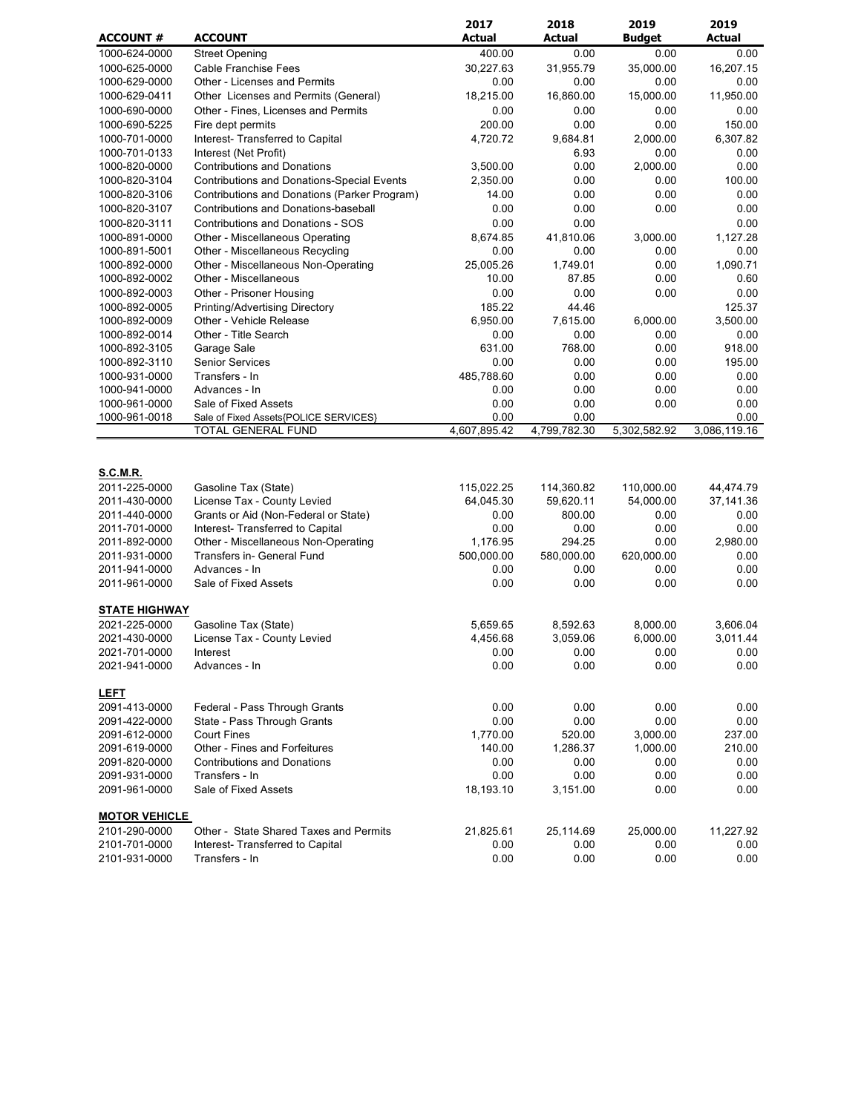|                                |                                                                            | 2017              | 2018              | 2019              | 2019              |
|--------------------------------|----------------------------------------------------------------------------|-------------------|-------------------|-------------------|-------------------|
| <b>ACCOUNT #</b>               | <b>ACCOUNT</b>                                                             | <b>Actual</b>     | <b>Actual</b>     | <b>Budget</b>     | <b>Actual</b>     |
| 1000-624-0000                  | <b>Street Opening</b>                                                      | 400.00            | 0.00              | 0.00              | 0.00              |
| 1000-625-0000                  | <b>Cable Franchise Fees</b>                                                | 30,227.63         | 31,955.79         | 35,000.00         | 16,207.15         |
| 1000-629-0000                  | <b>Other - Licenses and Permits</b>                                        | 0.00              | 0.00              | 0.00              | 0.00              |
| 1000-629-0411                  | Other Licenses and Permits (General)                                       | 18,215.00         | 16,860.00         | 15,000.00         | 11,950.00         |
| 1000-690-0000                  | Other - Fines, Licenses and Permits                                        | 0.00              | 0.00              | 0.00              | 0.00              |
| 1000-690-5225                  | Fire dept permits                                                          | 200.00            | 0.00              | 0.00              | 150.00            |
| 1000-701-0000                  | Interest- Transferred to Capital                                           | 4,720.72          | 9,684.81          | 2,000.00          | 6,307.82          |
| 1000-701-0133                  | Interest (Net Profit)                                                      |                   | 6.93              | 0.00              | 0.00              |
| 1000-820-0000                  | <b>Contributions and Donations</b>                                         | 3,500.00          | 0.00              | 2,000.00          | 0.00              |
| 1000-820-3104                  | <b>Contributions and Donations-Special Events</b>                          | 2,350.00          | 0.00              | 0.00              | 100.00            |
| 1000-820-3106                  | Contributions and Donations (Parker Program)                               | 14.00             | 0.00              | 0.00              | 0.00              |
| 1000-820-3107                  | Contributions and Donations-baseball                                       | 0.00              | 0.00              | 0.00              | 0.00              |
| 1000-820-3111                  | <b>Contributions and Donations - SOS</b>                                   | 0.00              | 0.00              |                   | 0.00<br>1,127.28  |
| 1000-891-0000                  | Other - Miscellaneous Operating<br>Other - Miscellaneous Recycling         | 8,674.85<br>0.00  | 41,810.06<br>0.00 | 3,000.00<br>0.00  | 0.00              |
| 1000-891-5001<br>1000-892-0000 | Other - Miscellaneous Non-Operating                                        | 25,005.26         | 1,749.01          | 0.00              | 1,090.71          |
| 1000-892-0002                  | Other - Miscellaneous                                                      | 10.00             | 87.85             | 0.00              | 0.60              |
| 1000-892-0003                  | Other - Prisoner Housing                                                   | 0.00              | 0.00              | 0.00              | 0.00              |
| 1000-892-0005                  | Printing/Advertising Directory                                             | 185.22            | 44.46             |                   | 125.37            |
| 1000-892-0009                  | Other - Vehicle Release                                                    | 6,950.00          | 7,615.00          | 6,000.00          | 3,500.00          |
| 1000-892-0014                  | Other - Title Search                                                       | 0.00              | 0.00              | 0.00              | 0.00              |
| 1000-892-3105                  | Garage Sale                                                                | 631.00            | 768.00            | 0.00              | 918.00            |
| 1000-892-3110                  | <b>Senior Services</b>                                                     | 0.00              | 0.00              | 0.00              | 195.00            |
| 1000-931-0000                  | Transfers - In                                                             | 485,788.60        | 0.00              | 0.00              | 0.00              |
| 1000-941-0000                  | Advances - In                                                              | 0.00              | 0.00              | 0.00              | 0.00              |
| 1000-961-0000                  | Sale of Fixed Assets                                                       | 0.00              | 0.00              | 0.00              | 0.00              |
| 1000-961-0018                  | Sale of Fixed Assets{POLICE SERVICES}                                      | 0.00              | 0.00              |                   | 0.00              |
|                                | TOTAL GENERAL FUND                                                         | 4,607,895.42      | 4,799,782.30      | 5,302,582.92      | 3,086,119.16      |
| <b>S.C.M.R.</b>                |                                                                            |                   |                   |                   |                   |
| 2011-225-0000                  | Gasoline Tax (State)                                                       | 115,022.25        | 114,360.82        | 110,000.00        | 44,474.79         |
| 2011-430-0000                  | License Tax - County Levied                                                | 64,045.30         | 59,620.11         | 54,000.00         | 37,141.36         |
| 2011-440-0000                  | Grants or Aid (Non-Federal or State)                                       | 0.00              | 800.00            | 0.00              | 0.00              |
| 2011-701-0000                  | Interest- Transferred to Capital                                           | 0.00              | 0.00              | 0.00              | 0.00              |
| 2011-892-0000                  | Other - Miscellaneous Non-Operating                                        | 1,176.95          | 294.25            | 0.00              | 2,980.00          |
| 2011-931-0000                  | Transfers in- General Fund<br>Advances - In                                | 500,000.00        | 580,000.00        | 620,000.00        | 0.00              |
| 2011-941-0000<br>2011-961-0000 | Sale of Fixed Assets                                                       | 0.00<br>0.00      | 0.00<br>0.00      | 0.00<br>0.00      | 0.00<br>0.00      |
|                                |                                                                            |                   |                   |                   |                   |
| <b>STATE HIGHWAY</b>           |                                                                            |                   |                   |                   |                   |
| 2021-225-0000                  | Gasoline Tax (State)                                                       | 5,659.65          | 8,592.63          | 8,000.00          | 3,606.04          |
| 2021-430-0000                  | License Tax - County Levied                                                | 4,456.68          | 3,059.06          | 6,000.00          | 3,011.44          |
| 2021-701-0000                  | Interest                                                                   | 0.00              | 0.00              | 0.00              | 0.00              |
| 2021-941-0000                  | Advances - In                                                              | 0.00              | 0.00              | 0.00              | 0.00              |
| <b>LEFT</b>                    |                                                                            |                   |                   |                   |                   |
| 2091-413-0000                  | Federal - Pass Through Grants                                              | 0.00              | 0.00              | 0.00              | 0.00              |
| 2091-422-0000                  | State - Pass Through Grants                                                | 0.00              | 0.00              | 0.00              | 0.00              |
| 2091-612-0000                  | <b>Court Fines</b>                                                         | 1,770.00          | 520.00            | 3,000.00          | 237.00            |
| 2091-619-0000                  | Other - Fines and Forfeitures                                              | 140.00            | 1,286.37          | 1,000.00          | 210.00            |
| 2091-820-0000                  | <b>Contributions and Donations</b>                                         | 0.00              | 0.00              | 0.00              | 0.00              |
| 2091-931-0000                  | Transfers - In                                                             | 0.00              | 0.00              | 0.00              | 0.00              |
| 2091-961-0000                  | Sale of Fixed Assets                                                       | 18,193.10         | 3,151.00          | 0.00              | 0.00              |
| <b>MOTOR VEHICLE</b>           |                                                                            |                   |                   |                   |                   |
| 2101-290-0000<br>2101-701-0000 | Other - State Shared Taxes and Permits<br>Interest- Transferred to Capital | 21,825.61<br>0.00 | 25,114.69<br>0.00 | 25,000.00<br>0.00 | 11,227.92<br>0.00 |
| 2101-931-0000                  | Transfers - In                                                             | 0.00              | 0.00              | 0.00              | 0.00              |
|                                |                                                                            |                   |                   |                   |                   |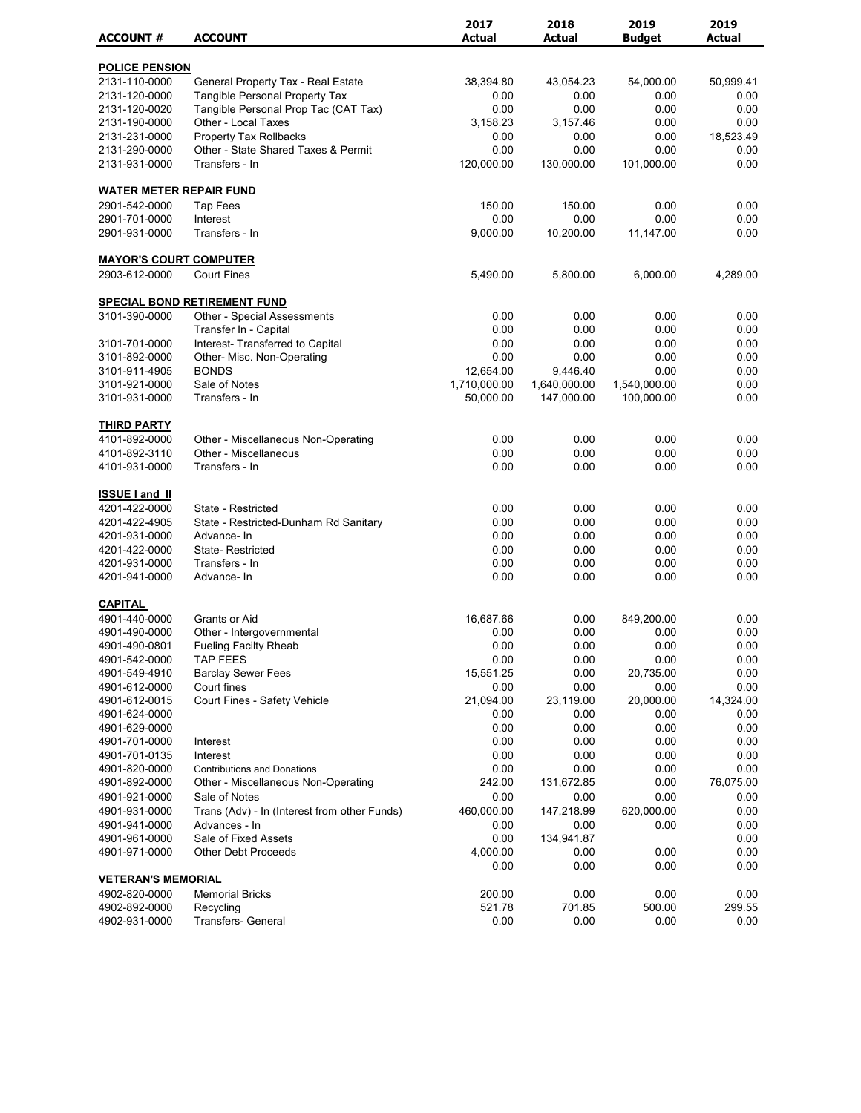|                                 |                                                                    | 2017          | 2018          | 2019                       | 2019         |
|---------------------------------|--------------------------------------------------------------------|---------------|---------------|----------------------------|--------------|
| <b>ACCOUNT#</b>                 | <b>ACCOUNT</b>                                                     | <b>Actual</b> | <b>Actual</b> | <b>Budget</b>              | Actual       |
| <b>POLICE PENSION</b>           |                                                                    |               |               |                            |              |
| 2131-110-0000                   | General Property Tax - Real Estate                                 | 38,394.80     | 43,054.23     | 54,000.00                  | 50,999.41    |
| 2131-120-0000                   | <b>Tangible Personal Property Tax</b>                              | 0.00          | 0.00          | 0.00                       | 0.00         |
| 2131-120-0020                   | Tangible Personal Prop Tac (CAT Tax)                               | 0.00          | 0.00          | 0.00                       | 0.00         |
| 2131-190-0000                   | Other - Local Taxes                                                | 3,158.23      | 3,157.46      | 0.00                       | 0.00         |
| 2131-231-0000                   | Property Tax Rollbacks                                             | 0.00          | 0.00          | 0.00                       | 18,523.49    |
| 2131-290-0000                   | Other - State Shared Taxes & Permit                                | 0.00          | 0.00          | 0.00                       | 0.00         |
| 2131-931-0000                   | Transfers - In                                                     | 120,000.00    | 130,000.00    | 101,000.00                 | 0.00         |
| <b>WATER METER REPAIR FUND</b>  |                                                                    |               |               |                            |              |
| 2901-542-0000                   | <b>Tap Fees</b>                                                    | 150.00        | 150.00        | 0.00                       | 0.00         |
| 2901-701-0000                   | Interest                                                           | 0.00          | 0.00          | 0.00                       | 0.00         |
| 2901-931-0000                   | Transfers - In                                                     | 9,000.00      | 10,200.00     | 11,147.00                  | 0.00         |
| <b>MAYOR'S COURT COMPUTER</b>   |                                                                    |               |               |                            |              |
| 2903-612-0000                   | <b>Court Fines</b>                                                 | 5,490.00      | 5,800.00      | 6,000.00                   | 4,289.00     |
|                                 |                                                                    |               |               |                            |              |
| 3101-390-0000                   | SPECIAL BOND RETIREMENT FUND<br><b>Other - Special Assessments</b> | 0.00          | 0.00          | 0.00                       | 0.00         |
|                                 | Transfer In - Capital                                              | 0.00          | 0.00          | 0.00                       | 0.00         |
|                                 |                                                                    |               |               |                            |              |
| 3101-701-0000<br>3101-892-0000  | Interest- Transferred to Capital<br>Other- Misc. Non-Operating     | 0.00<br>0.00  | 0.00<br>0.00  | 0.00<br>0.00               | 0.00<br>0.00 |
| 3101-911-4905                   | <b>BONDS</b>                                                       | 12,654.00     | 9,446.40      | 0.00                       | 0.00         |
| 3101-921-0000                   | Sale of Notes                                                      | 1,710,000.00  |               |                            | 0.00         |
| 3101-931-0000                   | Transfers - In                                                     |               | 1,640,000.00  | 1,540,000.00<br>100,000.00 | 0.00         |
|                                 |                                                                    | 50,000.00     | 147,000.00    |                            |              |
| <b>THIRD PARTY</b>              |                                                                    |               |               |                            |              |
| 4101-892-0000                   | Other - Miscellaneous Non-Operating                                | 0.00          | 0.00          | 0.00                       | 0.00         |
| 4101-892-3110                   | Other - Miscellaneous                                              | 0.00          | 0.00          | 0.00                       | 0.00         |
| 4101-931-0000                   | Transfers - In                                                     | 0.00          | 0.00          | 0.00                       | 0.00         |
| <b>ISSUE I and II</b>           |                                                                    |               |               |                            |              |
| 4201-422-0000                   | State - Restricted                                                 | 0.00          | 0.00          | 0.00                       | 0.00         |
| 4201-422-4905                   | State - Restricted-Dunham Rd Sanitary                              | 0.00          | 0.00          | 0.00                       | 0.00         |
| 4201-931-0000                   | Advance-In                                                         | 0.00          | 0.00          | 0.00                       | 0.00         |
| 4201-422-0000                   | <b>State-Restricted</b>                                            | 0.00          | 0.00          | 0.00                       | 0.00         |
| 4201-931-0000                   | Transfers - In                                                     | 0.00          | 0.00          | 0.00                       | 0.00         |
| 4201-941-0000                   | Advance-In                                                         | 0.00          | 0.00          | 0.00                       | 0.00         |
|                                 |                                                                    |               |               |                            |              |
| <b>CAPITAL</b><br>4901-440-0000 | Grants or Aid                                                      | 16,687.66     | 0.00          | 849,200.00                 | 0.00         |
| 4901-490-0000                   | Other - Intergovernmental                                          | 0.00          | 0.00          | 0.00                       | 0.00         |
| 4901-490-0801                   | Fueling Facilty Rheab                                              | 0.00          | 0.00          | 0.00                       | 0.00         |
| 4901-542-0000                   | <b>TAP FEES</b>                                                    | 0.00          | 0.00          | 0.00                       | 0.00         |
| 4901-549-4910                   | <b>Barclay Sewer Fees</b>                                          | 15,551.25     | 0.00          | 20,735.00                  | 0.00         |
| 4901-612-0000                   | Court fines                                                        | 0.00          | 0.00          | 0.00                       | 0.00         |
| 4901-612-0015                   | Court Fines - Safety Vehicle                                       | 21,094.00     | 23,119.00     | 20,000.00                  | 14,324.00    |
| 4901-624-0000                   |                                                                    | 0.00          | 0.00          | 0.00                       | 0.00         |
| 4901-629-0000                   |                                                                    | 0.00          | 0.00          | 0.00                       | 0.00         |
| 4901-701-0000                   | Interest                                                           | 0.00          | 0.00          | 0.00                       | 0.00         |
| 4901-701-0135                   | Interest                                                           | 0.00          | 0.00          | 0.00                       | 0.00         |
| 4901-820-0000                   | <b>Contributions and Donations</b>                                 | 0.00          | 0.00          | 0.00                       | 0.00         |
| 4901-892-0000                   | Other - Miscellaneous Non-Operating                                | 242.00        | 131,672.85    | 0.00                       | 76,075.00    |
| 4901-921-0000                   | Sale of Notes                                                      | 0.00          | 0.00          | 0.00                       | 0.00         |
| 4901-931-0000                   | Trans (Adv) - In (Interest from other Funds)                       | 460,000.00    | 147,218.99    | 620,000.00                 | 0.00         |
| 4901-941-0000                   | Advances - In                                                      | 0.00          | 0.00          | 0.00                       | 0.00         |
| 4901-961-0000                   | Sale of Fixed Assets                                               | 0.00          | 134,941.87    |                            | 0.00         |
| 4901-971-0000                   | <b>Other Debt Proceeds</b>                                         | 4,000.00      | 0.00          | 0.00                       | 0.00         |
|                                 |                                                                    | 0.00          | 0.00          | 0.00                       | 0.00         |
| <b>VETERAN'S MEMORIAL</b>       |                                                                    |               |               |                            |              |
| 4902-820-0000                   | <b>Memorial Bricks</b>                                             | 200.00        | 0.00          | 0.00                       | 0.00         |
| 4902-892-0000                   | Recycling                                                          | 521.78        | 701.85        | 500.00                     | 299.55       |
| 4902-931-0000                   | Transfers- General                                                 | 0.00          | 0.00          | 0.00                       | 0.00         |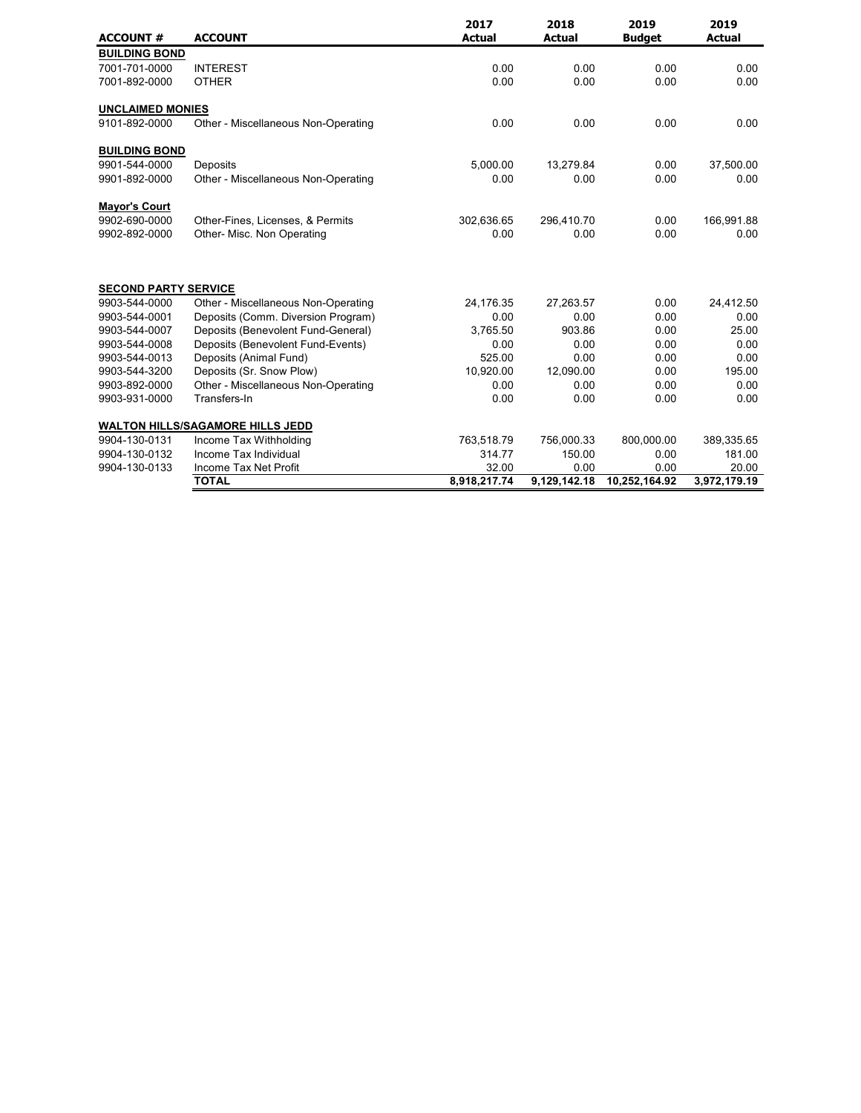| <b>ACCOUNT #</b>            | <b>ACCOUNT</b>                          | 2017<br><b>Actual</b> | 2018<br><b>Actual</b> | 2019<br><b>Budget</b> | 2019<br><b>Actual</b> |
|-----------------------------|-----------------------------------------|-----------------------|-----------------------|-----------------------|-----------------------|
| <b>BUILDING BOND</b>        |                                         |                       |                       |                       |                       |
| 7001-701-0000               | <b>INTEREST</b>                         | 0.00                  | 0.00                  | 0.00                  | 0.00                  |
| 7001-892-0000               | <b>OTHER</b>                            | 0.00                  | 0.00                  | 0.00                  | 0.00                  |
| <b>UNCLAIMED MONIES</b>     |                                         |                       |                       |                       |                       |
| 9101-892-0000               | Other - Miscellaneous Non-Operating     | 0.00                  | 0.00                  | 0.00                  | 0.00                  |
| <b>BUILDING BOND</b>        |                                         |                       |                       |                       |                       |
| 9901-544-0000               | Deposits                                | 5,000.00              | 13,279.84             | 0.00                  | 37,500.00             |
| 9901-892-0000               | Other - Miscellaneous Non-Operating     | 0.00                  | 0.00                  | 0.00                  | 0.00                  |
| <b>Mayor's Court</b>        |                                         |                       |                       |                       |                       |
| 9902-690-0000               | Other-Fines, Licenses, & Permits        | 302,636.65            | 296,410.70            | 0.00                  | 166,991.88            |
| 9902-892-0000               | Other- Misc. Non Operating              | 0.00                  | 0.00                  | 0.00                  | 0.00                  |
| <b>SECOND PARTY SERVICE</b> |                                         |                       |                       |                       |                       |
| 9903-544-0000               | Other - Miscellaneous Non-Operating     | 24,176.35             | 27,263.57             | 0.00                  | 24,412.50             |
| 9903-544-0001               | Deposits (Comm. Diversion Program)      | 0.00                  | 0.00                  | 0.00                  | 0.00                  |
| 9903-544-0007               | Deposits (Benevolent Fund-General)      | 3,765.50              | 903.86                | 0.00                  | 25.00                 |
| 9903-544-0008               | Deposits (Benevolent Fund-Events)       | 0.00                  | 0.00                  | 0.00                  | 0.00                  |
| 9903-544-0013               | Deposits (Animal Fund)                  | 525.00                | 0.00                  | 0.00                  | 0.00                  |
| 9903-544-3200               | Deposits (Sr. Snow Plow)                | 10,920.00             | 12,090.00             | 0.00                  | 195.00                |
| 9903-892-0000               | Other - Miscellaneous Non-Operating     | 0.00                  | 0.00                  | 0.00                  | 0.00                  |
| 9903-931-0000               | Transfers-In                            | 0.00                  | 0.00                  | 0.00                  | 0.00                  |
|                             | <b>WALTON HILLS/SAGAMORE HILLS JEDD</b> |                       |                       |                       |                       |
| 9904-130-0131               | Income Tax Withholding                  | 763,518.79            | 756,000.33            | 800,000.00            | 389,335.65            |
| 9904-130-0132               | Income Tax Individual                   | 314.77                | 150.00                | 0.00                  | 181.00                |
| 9904-130-0133               | Income Tax Net Profit                   | 32.00                 | 0.00                  | 0.00                  | 20.00                 |
|                             | <b>TOTAL</b>                            | 8,918,217.74          | 9,129,142.18          | 10,252,164.92         | 3,972,179.19          |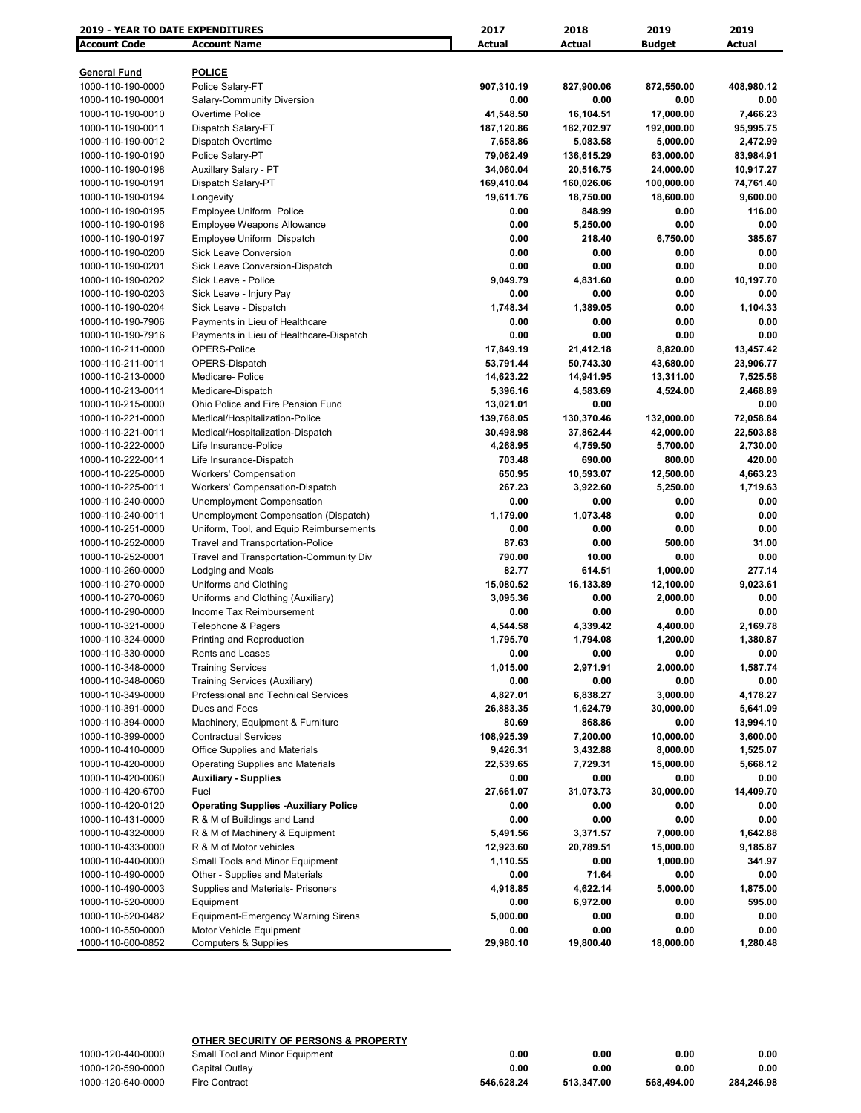| <b>2019 - YEAR TO DATE EXPENDITURES</b> |                                             | 2017       | 2018                 | 2019                  | 2019                 |
|-----------------------------------------|---------------------------------------------|------------|----------------------|-----------------------|----------------------|
| <b>Account Code</b>                     | <b>Account Name</b>                         | Actual     | Actual               | <b>Budget</b>         | Actual               |
|                                         |                                             |            |                      |                       |                      |
| <b>General Fund</b>                     | <b>POLICE</b>                               |            |                      |                       |                      |
| 1000-110-190-0000                       | Police Salary-FT                            | 907,310.19 | 827,900.06           | 872,550.00            | 408,980.12           |
| 1000-110-190-0001                       | Salary-Community Diversion                  | 0.00       | 0.00                 | 0.00                  | 0.00                 |
| 1000-110-190-0010                       | Overtime Police                             | 41,548.50  | 16,104.51            | 17,000.00             | 7,466.23             |
| 1000-110-190-0011                       | Dispatch Salary-FT                          | 187,120.86 | 182,702.97           | 192,000.00            | 95,995.75            |
| 1000-110-190-0012                       | Dispatch Overtime                           | 7,658.86   | 5,083.58             | 5,000.00              | 2,472.99             |
| 1000-110-190-0190                       | Police Salary-PT                            | 79,062.49  | 136,615.29           | 63,000.00             | 83,984.91            |
| 1000-110-190-0198                       | Auxillary Salary - PT                       | 34,060.04  | 20,516.75            | 24,000.00             | 10,917.27            |
| 1000-110-190-0191                       | Dispatch Salary-PT                          | 169,410.04 | 160,026.06           | 100,000.00            | 74,761.40            |
| 1000-110-190-0194                       | Longevity                                   | 19,611.76  | 18,750.00            | 18,600.00             | 9,600.00             |
| 1000-110-190-0195                       | Employee Uniform Police                     | 0.00       | 848.99               | 0.00                  | 116.00               |
| 1000-110-190-0196                       | <b>Employee Weapons Allowance</b>           | 0.00       | 5,250.00             | 0.00                  | 0.00                 |
| 1000-110-190-0197                       | Employee Uniform Dispatch                   | 0.00       | 218.40               | 6,750.00              | 385.67               |
| 1000-110-190-0200                       | <b>Sick Leave Conversion</b>                | 0.00       | 0.00                 | 0.00                  | 0.00                 |
| 1000-110-190-0201                       | Sick Leave Conversion-Dispatch              | 0.00       | 0.00                 | 0.00                  | 0.00                 |
| 1000-110-190-0202                       | Sick Leave - Police                         | 9,049.79   | 4,831.60             | 0.00                  | 10,197.70            |
| 1000-110-190-0203                       | Sick Leave - Injury Pay                     | 0.00       | 0.00                 | 0.00                  | 0.00                 |
| 1000-110-190-0204                       | Sick Leave - Dispatch                       | 1,748.34   | 1,389.05             | 0.00                  | 1,104.33             |
| 1000-110-190-7906                       | Payments in Lieu of Healthcare              | 0.00       | 0.00                 | 0.00                  | 0.00                 |
| 1000-110-190-7916                       | Payments in Lieu of Healthcare-Dispatch     | 0.00       | 0.00                 | 0.00                  | 0.00                 |
| 1000-110-211-0000                       | OPERS-Police                                | 17,849.19  | 21,412.18            | 8,820.00              | 13,457.42            |
| 1000-110-211-0011                       | OPERS-Dispatch                              | 53,791.44  | 50,743.30            | 43,680.00             | 23,906.77            |
| 1000-110-213-0000                       | Medicare-Police                             | 14,623.22  | 14,941.95            | 13,311.00             | 7,525.58             |
| 1000-110-213-0011                       | Medicare-Dispatch                           | 5,396.16   | 4,583.69             | 4,524.00              | 2,468.89             |
| 1000-110-215-0000                       | Ohio Police and Fire Pension Fund           | 13,021.01  | 0.00                 |                       | 0.00                 |
| 1000-110-221-0000                       | Medical/Hospitalization-Police              | 139,768.05 | 130,370.46           | 132,000.00            | 72,058.84            |
| 1000-110-221-0011                       | Medical/Hospitalization-Dispatch            | 30,498.98  | 37,862.44            | 42,000.00             | 22,503.88            |
| 1000-110-222-0000                       | Life Insurance-Police                       | 4,268.95   | 4,759.50             | 5,700.00              | 2,730.00             |
| 1000-110-222-0011                       | Life Insurance-Dispatch                     | 703.48     | 690.00               | 800.00                | 420.00               |
| 1000-110-225-0000                       | <b>Workers' Compensation</b>                | 650.95     | 10,593.07            | 12,500.00             | 4,663.23             |
| 1000-110-225-0011                       | Workers' Compensation-Dispatch              | 267.23     | 3,922.60             | 5,250.00              | 1,719.63             |
| 1000-110-240-0000                       | Unemployment Compensation                   | 0.00       | 0.00                 | 0.00                  | 0.00                 |
| 1000-110-240-0011                       | Unemployment Compensation (Dispatch)        | 1,179.00   | 1,073.48             | 0.00                  | 0.00                 |
| 1000-110-251-0000                       | Uniform, Tool, and Equip Reimbursements     | 0.00       | 0.00                 | 0.00                  | 0.00                 |
| 1000-110-252-0000                       | Travel and Transportation-Police            | 87.63      | 0.00                 | 500.00                | 31.00                |
| 1000-110-252-0001                       | Travel and Transportation-Community Div     | 790.00     | 10.00                | 0.00                  | 0.00                 |
| 1000-110-260-0000                       | Lodging and Meals                           | 82.77      | 614.51               | 1,000.00              | 277.14               |
| 1000-110-270-0000                       | Uniforms and Clothing                       | 15,080.52  | 16,133.89            | 12,100.00             | 9,023.61             |
| 1000-110-270-0060                       | Uniforms and Clothing (Auxiliary)           | 3,095.36   | 0.00                 | 2,000.00              | 0.00                 |
| 1000-110-290-0000                       | Income Tax Reimbursement                    | 0.00       | 0.00                 | 0.00                  | 0.00                 |
| 1000-110-321-0000                       | Telephone & Pagers                          | 4,544.58   | 4,339.42             | 4,400.00              | 2,169.78             |
| 1000-110-324-0000                       | Printing and Reproduction                   | 1,795.70   | 1,794.08             | 1,200.00              | 1,380.87             |
| 1000-110-330-0000                       | Rents and Leases                            | 0.00       | 0.00                 | 0.00                  | 0.00                 |
| 1000-110-348-0000                       | <b>Training Services</b>                    | 1,015.00   | 2,971.91             | 2,000.00              | 1,587.74             |
| 1000-110-348-0060                       | Training Services (Auxiliary)               | 0.00       | 0.00                 | 0.00                  | 0.00                 |
| 1000-110-349-0000                       | Professional and Technical Services         | 4,827.01   | 6,838.27             | 3,000.00              | 4,178.27             |
| 1000-110-391-0000                       | Dues and Fees                               | 26,883.35  | 1,624.79             | 30,000.00             | 5,641.09             |
| 1000-110-394-0000                       | Machinery, Equipment & Furniture            | 80.69      | 868.86               | 0.00                  | 13,994.10            |
| 1000-110-399-0000                       | <b>Contractual Services</b>                 | 108,925.39 | 7,200.00             | 10,000.00             | 3,600.00             |
| 1000-110-410-0000                       | Office Supplies and Materials               | 9,426.31   |                      |                       |                      |
| 1000-110-420-0000                       | Operating Supplies and Materials            | 22,539.65  | 3,432.88<br>7,729.31 | 8,000.00<br>15,000.00 | 1,525.07<br>5,668.12 |
|                                         | <b>Auxiliary - Supplies</b>                 | 0.00       | 0.00                 | 0.00                  |                      |
| 1000-110-420-0060                       |                                             |            |                      |                       | 0.00                 |
| 1000-110-420-6700<br>1000-110-420-0120  | Fuel                                        | 27,661.07  | 31,073.73            | 30,000.00             | 14,409.70            |
|                                         | <b>Operating Supplies -Auxiliary Police</b> | 0.00       | 0.00                 | 0.00                  | 0.00                 |
| 1000-110-431-0000                       | R & M of Buildings and Land                 | 0.00       | 0.00                 | 0.00                  | 0.00                 |
| 1000-110-432-0000                       | R & M of Machinery & Equipment              | 5,491.56   | 3,371.57             | 7,000.00              | 1,642.88             |
| 1000-110-433-0000                       | R & M of Motor vehicles                     | 12,923.60  | 20,789.51            | 15,000.00             | 9,185.87             |
| 1000-110-440-0000                       | Small Tools and Minor Equipment             | 1,110.55   | 0.00                 | 1,000.00              | 341.97               |
| 1000-110-490-0000                       | Other - Supplies and Materials              | 0.00       | 71.64                | 0.00                  | 0.00                 |
| 1000-110-490-0003                       | Supplies and Materials- Prisoners           | 4,918.85   | 4,622.14             | 5,000.00              | 1,875.00             |
| 1000-110-520-0000                       | Equipment                                   | 0.00       | 6,972.00             | 0.00                  | 595.00               |
| 1000-110-520-0482                       | <b>Equipment-Emergency Warning Sirens</b>   | 5,000.00   | 0.00                 | 0.00                  | 0.00                 |
| 1000-110-550-0000                       | Motor Vehicle Equipment                     | 0.00       | 0.00                 | 0.00                  | 0.00                 |
| 1000-110-600-0852                       | <b>Computers &amp; Supplies</b>             | 29,980.10  | 19,800.40            | 18,000.00             | 1,280.48             |

## **OTHER SECURITY OF PERSONS & PROPERTY**

| 1000-120-440-0000 | Small Tool and Minor Equipment | 0.00       | 0.00       | 0.00       | 0.00       |
|-------------------|--------------------------------|------------|------------|------------|------------|
| 1000-120-590-0000 | Capital Outlay                 | 0.00       | 0.00       | 0.00       | 0.00       |
| 1000-120-640-0000 | <b>Fire Contract</b>           | 546.628.24 | 513.347.00 | 568.494.00 | 284.246.98 |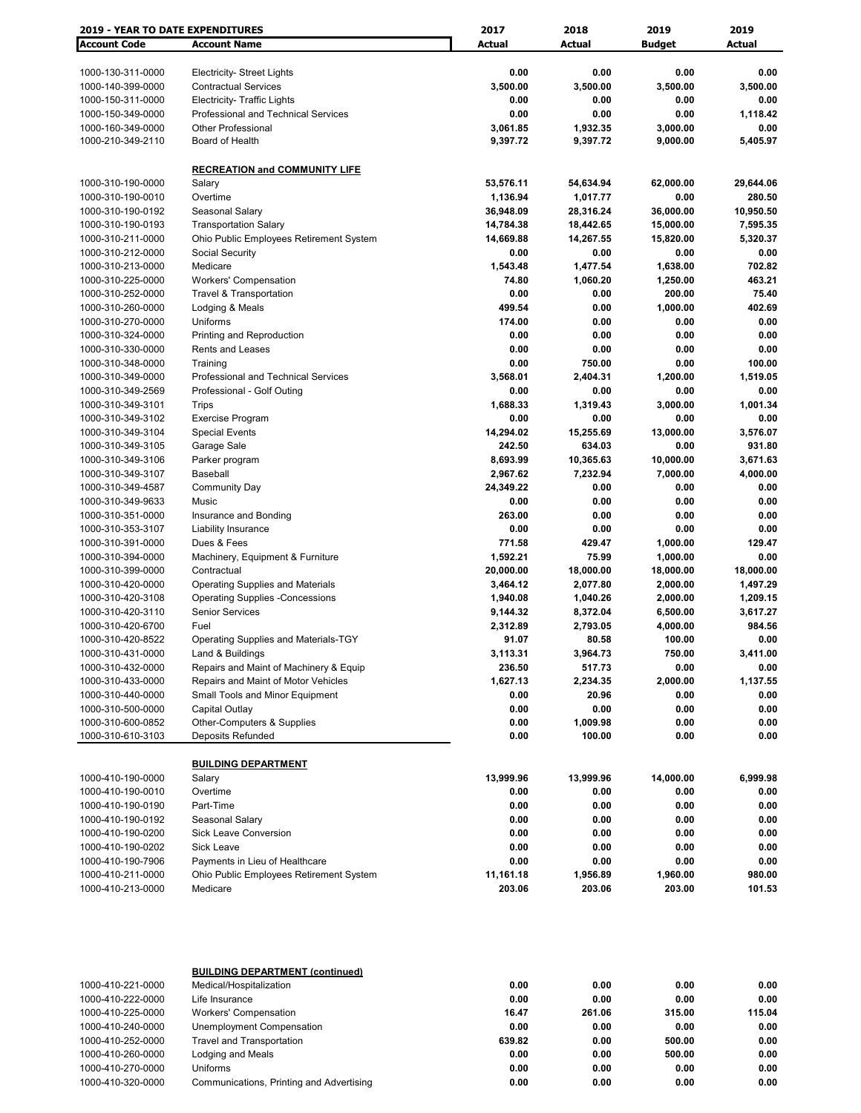| 2019 - YEAR TO DATE EXPENDITURES       |                                                 | 2017              | 2018               | 2019          | 2019             |
|----------------------------------------|-------------------------------------------------|-------------------|--------------------|---------------|------------------|
| <b>Account Code</b>                    | <b>Account Name</b>                             | Actual            | Actual             | <b>Budget</b> | <b>Actual</b>    |
|                                        |                                                 |                   |                    |               |                  |
| 1000-130-311-0000                      | <b>Electricity- Street Lights</b>               | 0.00              | 0.00               | 0.00          | 0.00             |
| 1000-140-399-0000                      | <b>Contractual Services</b>                     | 3,500.00          | 3,500.00           | 3,500.00      | 3,500.00         |
| 1000-150-311-0000                      | <b>Electricity- Traffic Lights</b>              | 0.00              | 0.00               | 0.00          | 0.00             |
| 1000-150-349-0000                      | <b>Professional and Technical Services</b>      | 0.00              | 0.00               | 0.00          | 1,118.42         |
| 1000-160-349-0000                      | <b>Other Professional</b>                       | 3,061.85          | 1,932.35           | 3,000.00      | 0.00             |
| 1000-210-349-2110                      | Board of Health                                 | 9,397.72          | 9,397.72           | 9,000.00      | 5,405.97         |
|                                        |                                                 |                   |                    |               |                  |
|                                        | <b>RECREATION and COMMUNITY LIFE</b>            |                   |                    |               |                  |
| 1000-310-190-0000                      | Salary                                          | 53,576.11         | 54,634.94          | 62,000.00     | 29,644.06        |
| 1000-310-190-0010                      | Overtime                                        | 1,136.94          | 1,017.77           | 0.00          | 280.50           |
| 1000-310-190-0192                      | Seasonal Salary                                 | 36,948.09         | 28,316.24          | 36,000.00     | 10,950.50        |
| 1000-310-190-0193                      | <b>Transportation Salary</b>                    | 14,784.38         | 18,442.65          | 15,000.00     | 7,595.35         |
| 1000-310-211-0000                      | Ohio Public Employees Retirement System         | 14,669.88         | 14,267.55          | 15,820.00     | 5,320.37         |
| 1000-310-212-0000                      | Social Security                                 | 0.00              | 0.00               | 0.00          | 0.00             |
| 1000-310-213-0000                      | Medicare                                        | 1,543.48          | 1,477.54           | 1,638.00      | 702.82           |
| 1000-310-225-0000                      | <b>Workers' Compensation</b>                    | 74.80             | 1,060.20           | 1,250.00      | 463.21           |
| 1000-310-252-0000                      | <b>Travel &amp; Transportation</b>              | 0.00              | 0.00               | 200.00        | 75.40            |
| 1000-310-260-0000                      | Lodging & Meals                                 | 499.54            | 0.00               | 1,000.00      | 402.69           |
| 1000-310-270-0000                      | Uniforms                                        | 174.00            | 0.00               | 0.00          | 0.00             |
| 1000-310-324-0000                      | Printing and Reproduction                       | 0.00              | 0.00               | 0.00          | 0.00             |
| 1000-310-330-0000                      | Rents and Leases                                | 0.00              | 0.00               | 0.00          | 0.00             |
| 1000-310-348-0000                      | Training                                        | 0.00              | 750.00             | 0.00          | 100.00           |
| 1000-310-349-0000                      | Professional and Technical Services             | 3,568.01          | 2,404.31           | 1,200.00      | 1,519.05         |
| 1000-310-349-2569                      | Professional - Golf Outing                      | 0.00              | 0.00               | 0.00          | 0.00             |
| 1000-310-349-3101                      | Trips                                           | 1,688.33          | 1,319.43           | 3,000.00      | 1,001.34         |
| 1000-310-349-3102                      | <b>Exercise Program</b>                         | 0.00              | 0.00               | 0.00          | 0.00             |
| 1000-310-349-3104                      | <b>Special Events</b>                           | 14,294.02         | 15,255.69          | 13,000.00     | 3,576.07         |
| 1000-310-349-3105                      | Garage Sale                                     | 242.50            | 634.03             | 0.00          | 931.80           |
| 1000-310-349-3106                      | Parker program                                  | 8,693.99          | 10,365.63          | 10,000.00     | 3,671.63         |
| 1000-310-349-3107                      | Baseball                                        | 2,967.62          | 7,232.94           | 7,000.00      | 4,000.00         |
| 1000-310-349-4587                      | <b>Community Day</b>                            | 24,349.22         | 0.00               | 0.00          | 0.00             |
| 1000-310-349-9633                      | Music                                           | 0.00              | 0.00               | 0.00          | 0.00             |
| 1000-310-351-0000                      | Insurance and Bonding                           | 263.00            | 0.00               | 0.00          | 0.00             |
| 1000-310-353-3107                      | Liability Insurance                             | 0.00              | 0.00               | 0.00          | 0.00             |
| 1000-310-391-0000                      | Dues & Fees                                     | 771.58            | 429.47             | 1,000.00      | 129.47           |
| 1000-310-394-0000                      | Machinery, Equipment & Furniture                | 1,592.21          | 75.99              | 1,000.00      | 0.00             |
| 1000-310-399-0000                      | Contractual                                     | 20,000.00         | 18,000.00          | 18,000.00     | 18,000.00        |
| 1000-310-420-0000                      | <b>Operating Supplies and Materials</b>         | 3,464.12          | 2,077.80           | 2,000.00      | 1,497.29         |
| 1000-310-420-3108                      | <b>Operating Supplies -Concessions</b>          | 1,940.08          | 1,040.26           | 2,000.00      | 1,209.15         |
| 1000-310-420-3110                      | <b>Senior Services</b>                          | 9,144.32          | 8,372.04           | 6,500.00      | 3,617.27         |
| 1000-310-420-6700                      | Fuel                                            | 2,312.89          | 2,793.05           | 4,000.00      | 984.56           |
| 1000-310-420-8522                      | Operating Supplies and Materials-TGY            | 91.07             | 80.58              | 100.00        | 0.00             |
| 1000-310-431-0000                      | Land & Buildings                                | 3,113.31          | 3,964.73           | 750.00        | 3,411.00         |
| 1000-310-432-0000                      | Repairs and Maint of Machinery & Equip          | 236.50            | 517.73             | 0.00          | 0.00             |
| 1000-310-433-0000                      | Repairs and Maint of Motor Vehicles             | 1,627.13          | 2,234.35           | 2,000.00      | 1,137.55         |
| 1000-310-440-0000                      | Small Tools and Minor Equipment                 | 0.00              | 20.96              | 0.00          | 0.00             |
| 1000-310-500-0000                      | Capital Outlay                                  | 0.00              | 0.00               | 0.00          | 0.00             |
| 1000-310-600-0852<br>1000-310-610-3103 | Other-Computers & Supplies<br>Deposits Refunded | 0.00<br>0.00      | 1,009.98<br>100.00 | 0.00<br>0.00  | 0.00<br>0.00     |
|                                        |                                                 |                   |                    |               |                  |
|                                        | <b>BUILDING DEPARTMENT</b>                      |                   |                    |               |                  |
|                                        |                                                 |                   |                    | 14,000.00     |                  |
| 1000-410-190-0000<br>1000-410-190-0010 | Salary<br>Overtime                              | 13,999.96<br>0.00 | 13,999.96<br>0.00  | 0.00          | 6,999.98<br>0.00 |
| 1000-410-190-0190                      | Part-Time                                       | 0.00              | 0.00               | 0.00          | 0.00             |
| 1000-410-190-0192                      | Seasonal Salary                                 | 0.00              | 0.00               | 0.00          | 0.00             |
| 1000-410-190-0200                      | Sick Leave Conversion                           | 0.00              | 0.00               | 0.00          | 0.00             |
| 1000-410-190-0202                      | <b>Sick Leave</b>                               | 0.00              | 0.00               | 0.00          | 0.00             |
| 1000-410-190-7906                      | Payments in Lieu of Healthcare                  | 0.00              | 0.00               | 0.00          | 0.00             |
| 1000-410-211-0000                      | Ohio Public Employees Retirement System         | 11,161.18         | 1,956.89           | 1,960.00      | 980.00           |
| 1000-410-213-0000                      | Medicare                                        | 203.06            | 203.06             | 203.00        | 101.53           |
|                                        |                                                 |                   |                    |               |                  |
|                                        |                                                 |                   |                    |               |                  |
|                                        | <b>BUILDING DEPARTMENT (continued)</b>          |                   |                    |               |                  |
| 1000-410-221-0000                      | Medical/Hospitalization                         | 0.00              | 0.00               | 0.00          | 0.00             |
| 1000-410-222-0000                      | Life Insurance                                  | 0.00              | 0.00               | 0.00          | 0.00             |
| 1000-410-225-0000                      | <b>Workers' Compensation</b>                    | 16.47             | 261.06             | 315.00        | 115.04           |
| 1000-410-240-0000                      | Unemployment Compensation                       | 0.00              | 0.00               | 0.00          | 0.00             |
| 1000-410-252-0000                      | <b>Travel and Transportation</b>                | 639.82            | 0.00               | 500.00        | 0.00             |
| 1000-410-260-0000                      | Lodging and Meals                               | 0.00              | 0.00               | 500.00        | 0.00             |

1000-410-270-0000 Uniforms **0.00 0.00 0.00 0.00** 1000-410-320-0000 Communications, Printing and Advertising **0.00 0.00 0.00 0.00**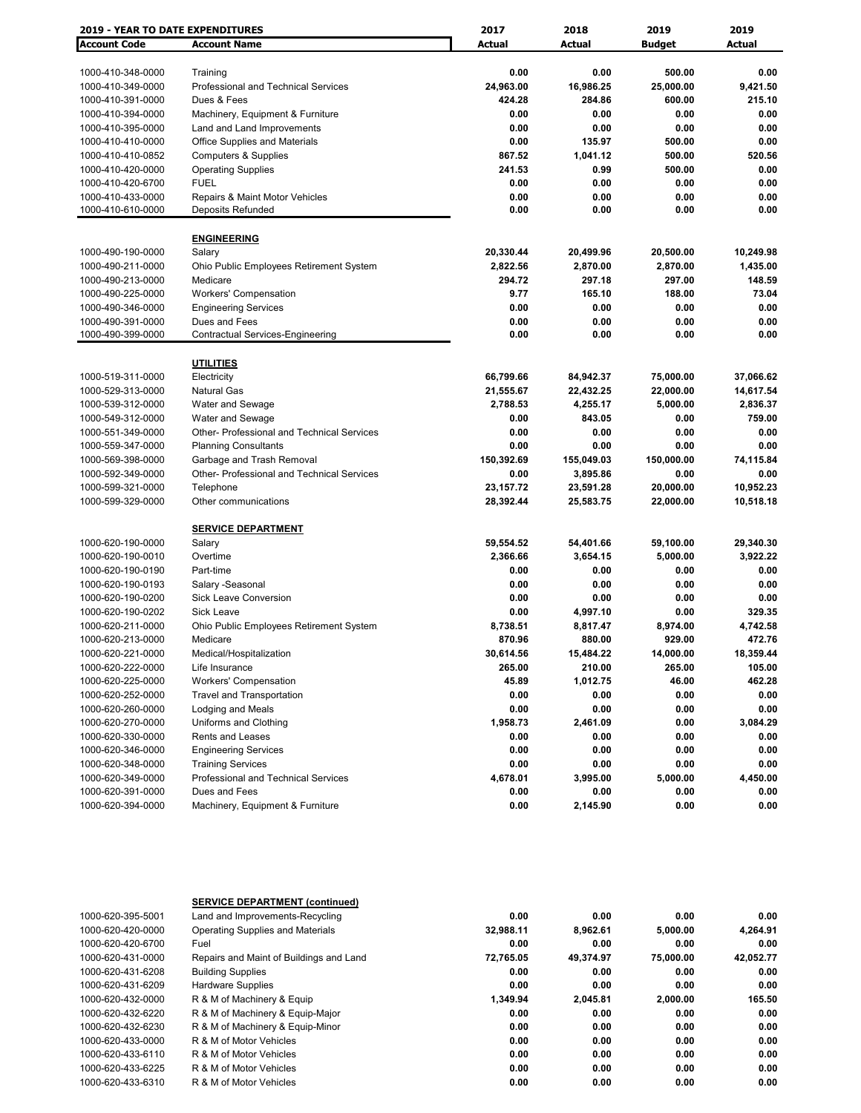| <b>2019 - YEAR TO DATE EXPENDITURES</b> |                                            | 2017          | 2018          | 2019          | 2019      |  |
|-----------------------------------------|--------------------------------------------|---------------|---------------|---------------|-----------|--|
| <b>Account Code</b>                     | <b>Account Name</b>                        | <b>Actual</b> | <b>Actual</b> | <b>Budget</b> | Actual    |  |
|                                         |                                            |               |               |               |           |  |
| 1000-410-348-0000                       | Training                                   | 0.00          | 0.00          | 500.00        | 0.00      |  |
| 1000-410-349-0000                       | Professional and Technical Services        | 24,963.00     | 16,986.25     | 25,000.00     | 9,421.50  |  |
| 1000-410-391-0000                       | Dues & Fees                                | 424.28        | 284.86        | 600.00        | 215.10    |  |
| 1000-410-394-0000                       | Machinery, Equipment & Furniture           | 0.00          | 0.00          | 0.00          | 0.00      |  |
| 1000-410-395-0000                       | Land and Land Improvements                 | 0.00          | 0.00          | 0.00          | 0.00      |  |
| 1000-410-410-0000                       | <b>Office Supplies and Materials</b>       | 0.00          | 135.97        | 500.00        | 0.00      |  |
| 1000-410-410-0852                       | <b>Computers &amp; Supplies</b>            | 867.52        | 1,041.12      | 500.00        | 520.56    |  |
| 1000-410-420-0000                       | <b>Operating Supplies</b>                  | 241.53        | 0.99          | 500.00        | 0.00      |  |
| 1000-410-420-6700                       | <b>FUEL</b>                                | 0.00          | 0.00          | 0.00          | 0.00      |  |
| 1000-410-433-0000                       | Repairs & Maint Motor Vehicles             | 0.00          | 0.00          | 0.00          | 0.00      |  |
| 1000-410-610-0000                       | Deposits Refunded                          | 0.00          | 0.00          | 0.00          | 0.00      |  |
|                                         | <b>ENGINEERING</b>                         |               |               |               |           |  |
| 1000-490-190-0000                       | Salary                                     | 20,330.44     | 20,499.96     | 20,500.00     | 10,249.98 |  |
| 1000-490-211-0000                       | Ohio Public Employees Retirement System    | 2,822.56      | 2,870.00      | 2,870.00      | 1,435.00  |  |
| 1000-490-213-0000                       | Medicare                                   | 294.72        | 297.18        | 297.00        | 148.59    |  |
| 1000-490-225-0000                       | <b>Workers' Compensation</b>               | 9.77          | 165.10        | 188.00        | 73.04     |  |
| 1000-490-346-0000                       | <b>Engineering Services</b>                | 0.00          | 0.00          | 0.00          | 0.00      |  |
| 1000-490-391-0000                       | Dues and Fees                              | 0.00          | 0.00          | 0.00          | 0.00      |  |
| 1000-490-399-0000                       | <b>Contractual Services-Engineering</b>    | 0.00          | 0.00          | 0.00          | 0.00      |  |
|                                         |                                            |               |               |               |           |  |
|                                         | <b>UTILITIES</b>                           |               |               |               |           |  |
| 1000-519-311-0000                       | Electricity                                | 66,799.66     | 84,942.37     | 75,000.00     | 37,066.62 |  |
| 1000-529-313-0000                       | Natural Gas                                | 21,555.67     | 22,432.25     | 22,000.00     | 14,617.54 |  |
| 1000-539-312-0000                       | Water and Sewage                           | 2,788.53      | 4,255.17      | 5,000.00      | 2,836.37  |  |
| 1000-549-312-0000                       | Water and Sewage                           | 0.00          | 843.05        | 0.00          | 759.00    |  |
| 1000-551-349-0000                       | Other- Professional and Technical Services | 0.00          | 0.00          | 0.00          | 0.00      |  |
| 1000-559-347-0000                       | <b>Planning Consultants</b>                | 0.00          | 0.00          | 0.00          | 0.00      |  |
| 1000-569-398-0000                       | Garbage and Trash Removal                  | 150,392.69    | 155,049.03    | 150,000.00    | 74,115.84 |  |
| 1000-592-349-0000                       | Other- Professional and Technical Services | 0.00          | 3,895.86      | 0.00          | 0.00      |  |
| 1000-599-321-0000                       | Telephone                                  | 23,157.72     | 23,591.28     | 20,000.00     | 10,952.23 |  |
| 1000-599-329-0000                       | Other communications                       | 28,392.44     | 25,583.75     | 22,000.00     | 10,518.18 |  |
|                                         | <b>SERVICE DEPARTMENT</b>                  |               |               |               |           |  |
| 1000-620-190-0000                       | Salary                                     | 59,554.52     | 54,401.66     | 59,100.00     | 29,340.30 |  |
| 1000-620-190-0010                       | Overtime                                   | 2,366.66      | 3,654.15      | 5,000.00      | 3,922.22  |  |
| 1000-620-190-0190                       | Part-time                                  | 0.00          | 0.00          | 0.00          | 0.00      |  |
| 1000-620-190-0193                       | Salary -Seasonal                           | 0.00          | 0.00          | 0.00          | 0.00      |  |
| 1000-620-190-0200                       | Sick Leave Conversion                      | 0.00          | 0.00          | 0.00          | 0.00      |  |
| 1000-620-190-0202                       | <b>Sick Leave</b>                          | 0.00          | 4,997.10      | 0.00          | 329.35    |  |
| 1000-620-211-0000                       | Ohio Public Employees Retirement System    | 8,738.51      | 8,817.47      | 8,974.00      | 4,742.58  |  |
| 1000-620-213-0000                       | Medicare                                   | 870.96        | 880.00        | 929.00        | 472.76    |  |
| 1000-620-221-0000                       | Medical/Hospitalization                    | 30,614.56     | 15,484.22     | 14,000.00     | 18,359.44 |  |
| 1000-620-222-0000                       | Life Insurance                             | 265.00        | 210.00        | 265.00        | 105.00    |  |
| 1000-620-225-0000                       | <b>Workers' Compensation</b>               | 45.89         | 1,012.75      | 46.00         | 462.28    |  |
| 1000-620-252-0000                       | <b>Travel and Transportation</b>           | 0.00          | 0.00          | 0.00          | 0.00      |  |
| 1000-620-260-0000                       | Lodging and Meals                          | 0.00          | 0.00          | 0.00          | 0.00      |  |
| 1000-620-270-0000                       |                                            |               |               |               | 3,084.29  |  |
|                                         | Uniforms and Clothing                      | 1,958.73      | 2,461.09      | 0.00          |           |  |
| 1000-620-330-0000                       | Rents and Leases                           | 0.00          | 0.00          | 0.00          | 0.00      |  |
| 1000-620-346-0000                       | <b>Engineering Services</b>                | 0.00          | 0.00          | 0.00          | 0.00      |  |
| 1000-620-348-0000                       | <b>Training Services</b>                   | 0.00          | 0.00          | 0.00          | 0.00      |  |
| 1000-620-349-0000                       | Professional and Technical Services        | 4,678.01      | 3,995.00      | 5,000.00      | 4,450.00  |  |
| 1000-620-391-0000                       | Dues and Fees                              | 0.00          | 0.00          | 0.00          | 0.00      |  |
| 1000-620-394-0000                       | Machinery, Equipment & Furniture           | 0.00          | 2,145.90      | 0.00          | 0.00      |  |

|                   | <b>SERVICE DEPARTMENT (continued)</b>   |           |           |           |           |
|-------------------|-----------------------------------------|-----------|-----------|-----------|-----------|
| 1000-620-395-5001 | Land and Improvements-Recycling         | 0.00      | 0.00      | 0.00      | 0.00      |
| 1000-620-420-0000 | <b>Operating Supplies and Materials</b> | 32,988.11 | 8.962.61  | 5,000.00  | 4,264.91  |
| 1000-620-420-6700 | Fuel                                    | 0.00      | 0.00      | 0.00      | 0.00      |
| 1000-620-431-0000 | Repairs and Maint of Buildings and Land | 72,765.05 | 49,374.97 | 75,000.00 | 42,052.77 |
| 1000-620-431-6208 | <b>Building Supplies</b>                | 0.00      | 0.00      | 0.00      | 0.00      |
| 1000-620-431-6209 | <b>Hardware Supplies</b>                | 0.00      | 0.00      | 0.00      | 0.00      |
| 1000-620-432-0000 | R & M of Machinery & Equip              | 1.349.94  | 2.045.81  | 2.000.00  | 165.50    |
| 1000-620-432-6220 | R & M of Machinery & Equip-Major        | 0.00      | 0.00      | 0.00      | 0.00      |
| 1000-620-432-6230 | R & M of Machinery & Equip-Minor        | 0.00      | 0.00      | 0.00      | 0.00      |
| 1000-620-433-0000 | R & M of Motor Vehicles                 | 0.00      | 0.00      | 0.00      | 0.00      |
| 1000-620-433-6110 | R & M of Motor Vehicles                 | 0.00      | 0.00      | 0.00      | 0.00      |
| 1000-620-433-6225 | R & M of Motor Vehicles                 | 0.00      | 0.00      | 0.00      | 0.00      |
| 1000-620-433-6310 | R & M of Motor Vehicles                 | 0.00      | 0.00      | 0.00      | 0.00      |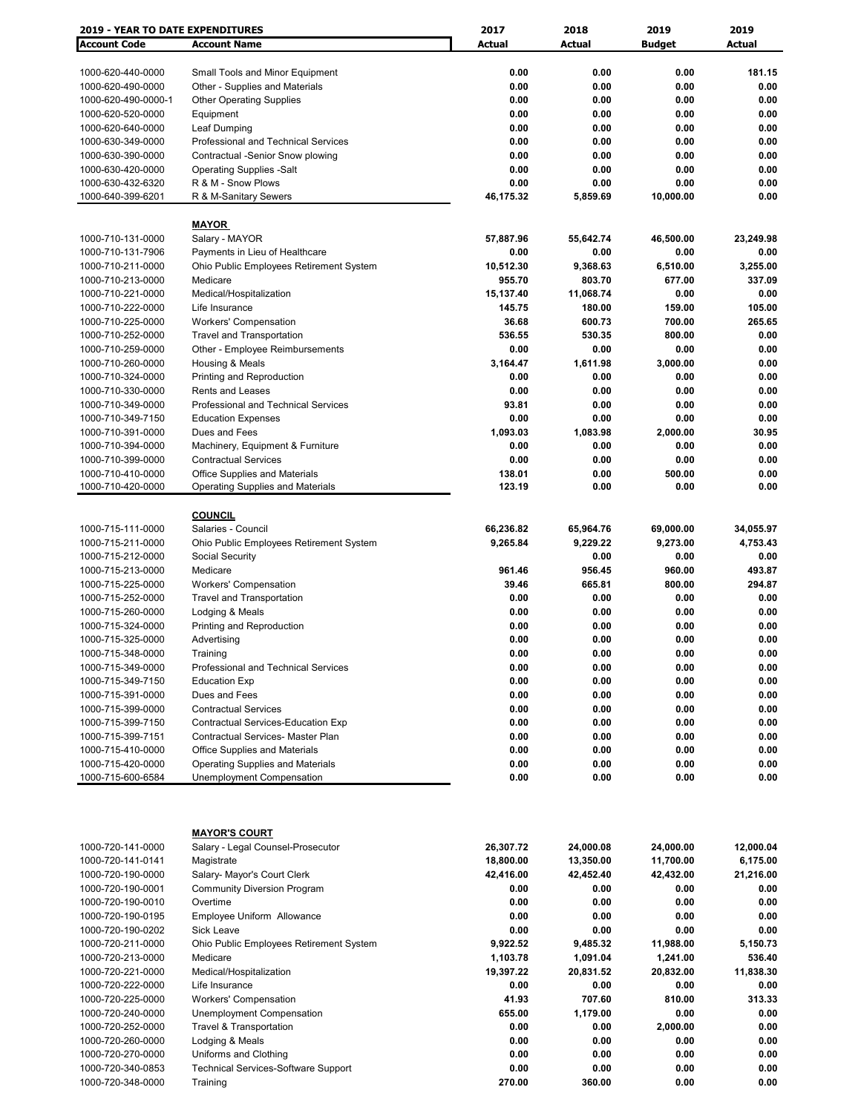| <b>2019 - YEAR TO DATE EXPENDITURES</b> |                                            | 2017      | 2018      | 2019          | 2019      |
|-----------------------------------------|--------------------------------------------|-----------|-----------|---------------|-----------|
| <b>Account Code</b>                     | <b>Account Name</b>                        | Actual    | Actual    | <b>Budget</b> | Actual    |
|                                         |                                            |           |           |               |           |
| 1000-620-440-0000                       | Small Tools and Minor Equipment            | 0.00      | 0.00      | 0.00          | 181.15    |
| 1000-620-490-0000                       | Other - Supplies and Materials             | 0.00      | 0.00      | 0.00          | 0.00      |
| 1000-620-490-0000-1                     | <b>Other Operating Supplies</b>            | 0.00      | 0.00      | 0.00          | 0.00      |
| 1000-620-520-0000                       | Equipment                                  | 0.00      | 0.00      | 0.00          | 0.00      |
| 1000-620-640-0000                       | Leaf Dumping                               | 0.00      | 0.00      | 0.00          | 0.00      |
| 1000-630-349-0000                       | Professional and Technical Services        | 0.00      | 0.00      | 0.00          | 0.00      |
| 1000-630-390-0000                       | Contractual -Senior Snow plowing           | 0.00      | 0.00      | 0.00          | 0.00      |
| 1000-630-420-0000                       | <b>Operating Supplies -Salt</b>            | 0.00      | 0.00      | 0.00          | 0.00      |
| 1000-630-432-6320                       | R & M - Snow Plows                         | 0.00      | 0.00      | 0.00          | 0.00      |
| 1000-640-399-6201                       | R & M-Sanitary Sewers                      | 46,175.32 | 5,859.69  | 10,000.00     | 0.00      |
|                                         |                                            |           |           |               |           |
|                                         | <b>MAYOR</b>                               |           |           |               |           |
|                                         | Salary - MAYOR                             |           |           |               | 23,249.98 |
| 1000-710-131-0000                       |                                            | 57,887.96 | 55,642.74 | 46,500.00     | 0.00      |
| 1000-710-131-7906                       | Payments in Lieu of Healthcare             | 0.00      | 0.00      | 0.00          |           |
| 1000-710-211-0000                       | Ohio Public Employees Retirement System    | 10,512.30 | 9,368.63  | 6,510.00      | 3,255.00  |
| 1000-710-213-0000                       | Medicare                                   | 955.70    | 803.70    | 677.00        | 337.09    |
| 1000-710-221-0000                       | Medical/Hospitalization                    | 15,137.40 | 11,068.74 | 0.00          | 0.00      |
| 1000-710-222-0000                       | Life Insurance                             | 145.75    | 180.00    | 159.00        | 105.00    |
| 1000-710-225-0000                       | <b>Workers' Compensation</b>               | 36.68     | 600.73    | 700.00        | 265.65    |
| 1000-710-252-0000                       | <b>Travel and Transportation</b>           | 536.55    | 530.35    | 800.00        | 0.00      |
| 1000-710-259-0000                       | Other - Employee Reimbursements            | 0.00      | 0.00      | 0.00          | 0.00      |
| 1000-710-260-0000                       | Housing & Meals                            | 3,164.47  | 1,611.98  | 3.000.00      | 0.00      |
| 1000-710-324-0000                       | Printing and Reproduction                  | 0.00      | 0.00      | 0.00          | 0.00      |
| 1000-710-330-0000                       | <b>Rents and Leases</b>                    | 0.00      | 0.00      | 0.00          | 0.00      |
| 1000-710-349-0000                       | <b>Professional and Technical Services</b> | 93.81     | 0.00      | 0.00          | 0.00      |
| 1000-710-349-7150                       | <b>Education Expenses</b>                  | 0.00      | 0.00      | 0.00          | 0.00      |
| 1000-710-391-0000                       | Dues and Fees                              | 1,093.03  | 1,083.98  | 2,000.00      | 30.95     |
| 1000-710-394-0000                       | Machinery, Equipment & Furniture           | 0.00      | 0.00      | 0.00          | 0.00      |
| 1000-710-399-0000                       | <b>Contractual Services</b>                | 0.00      | 0.00      | 0.00          | 0.00      |
| 1000-710-410-0000                       | Office Supplies and Materials              | 138.01    | 0.00      | 500.00        | 0.00      |
| 1000-710-420-0000                       | <b>Operating Supplies and Materials</b>    | 123.19    | 0.00      | 0.00          | 0.00      |
|                                         |                                            |           |           |               |           |
|                                         | <b>COUNCIL</b>                             |           |           |               |           |
| 1000-715-111-0000                       | Salaries - Council                         | 66,236.82 | 65,964.76 | 69,000.00     | 34,055.97 |
| 1000-715-211-0000                       | Ohio Public Employees Retirement System    | 9,265.84  | 9,229.22  | 9,273.00      | 4,753.43  |
| 1000-715-212-0000                       | Social Security                            |           | 0.00      | 0.00          | 0.00      |
| 1000-715-213-0000                       | Medicare                                   | 961.46    | 956.45    | 960.00        | 493.87    |
| 1000-715-225-0000                       | <b>Workers' Compensation</b>               | 39.46     | 665.81    | 800.00        | 294.87    |
| 1000-715-252-0000                       | <b>Travel and Transportation</b>           | 0.00      | 0.00      | 0.00          | 0.00      |
| 1000-715-260-0000                       | Lodging & Meals                            | 0.00      | 0.00      | 0.00          | 0.00      |
| 1000-715-324-0000                       | Printing and Reproduction                  | 0.00      | 0.00      | 0.00          | 0.00      |
| 1000-715-325-0000                       | Advertising                                | 0.00      | 0.00      | 0.00          | 0.00      |
| 1000-715-348-0000                       | Training                                   | 0.00      | 0.00      | 0.00          | $0.00\,$  |
| 1000-715-349-0000                       | Professional and Technical Services        | 0.00      | 0.00      | 0.00          | 0.00      |
| 1000-715-349-7150                       | <b>Education Exp</b>                       | 0.00      | 0.00      | 0.00          | 0.00      |
| 1000-715-391-0000                       | Dues and Fees                              | 0.00      | 0.00      | 0.00          | 0.00      |
| 1000-715-399-0000                       | <b>Contractual Services</b>                | 0.00      | 0.00      | 0.00          | 0.00      |
|                                         |                                            |           | 0.00      | 0.00          |           |
| 1000-715-399-7150                       | Contractual Services-Education Exp         | 0.00      |           |               | 0.00      |
| 1000-715-399-7151                       | Contractual Services- Master Plan          | 0.00      | 0.00      | 0.00          | 0.00      |
| 1000-715-410-0000                       | Office Supplies and Materials              | 0.00      | 0.00      | 0.00          | 0.00      |
| 1000-715-420-0000                       | <b>Operating Supplies and Materials</b>    | 0.00      | 0.00      | 0.00          | 0.00      |
| 1000-715-600-6584                       | <b>Unemployment Compensation</b>           | 0.00      | 0.00      | 0.00          | 0.00      |
|                                         |                                            |           |           |               |           |
|                                         |                                            |           |           |               |           |
|                                         | <b>MAYOR'S COURT</b>                       |           |           |               |           |
| 1000-720-141-0000                       | Salary - Legal Counsel-Prosecutor          | 26,307.72 | 24,000.08 | 24,000.00     | 12,000.04 |
| 1000-720-141-0141                       | Magistrate                                 | 18,800.00 | 13,350.00 | 11,700.00     | 6,175.00  |
| 1000-720-190-0000                       | Salary- Mayor's Court Clerk                | 42,416.00 | 42,452.40 | 42,432.00     | 21,216.00 |
| 1000-720-190-0001                       | <b>Community Diversion Program</b>         | 0.00      | 0.00      | 0.00          | 0.00      |
| 1000-720-190-0010                       | Overtime                                   | 0.00      | 0.00      | 0.00          | 0.00      |
|                                         |                                            |           |           |               |           |
| 1000-720-190-0195                       | Employee Uniform Allowance                 | 0.00      | 0.00      | 0.00          | 0.00      |
| 1000-720-190-0202                       | Sick Leave                                 | 0.00      | 0.00      | 0.00          | 0.00      |
| 1000-720-211-0000                       | Ohio Public Employees Retirement System    | 9,922.52  | 9,485.32  | 11,988.00     | 5,150.73  |
| 1000-720-213-0000                       | Medicare                                   | 1,103.78  | 1,091.04  | 1,241.00      | 536.40    |
| 1000-720-221-0000                       | Medical/Hospitalization                    | 19,397.22 | 20,831.52 | 20,832.00     | 11,838.30 |
| 1000-720-222-0000                       | Life Insurance                             | 0.00      | 0.00      | 0.00          | 0.00      |
| 1000-720-225-0000                       | <b>Workers' Compensation</b>               | 41.93     | 707.60    | 810.00        | 313.33    |
| 1000-720-240-0000                       | Unemployment Compensation                  | 655.00    | 1,179.00  | 0.00          | 0.00      |
| 1000-720-252-0000                       | <b>Travel &amp; Transportation</b>         | 0.00      | 0.00      | 2,000.00      | 0.00      |
| 1000-720-260-0000                       | Lodging & Meals                            | 0.00      | 0.00      | 0.00          | 0.00      |
| 1000-720-270-0000                       | Uniforms and Clothing                      | 0.00      | 0.00      | 0.00          | 0.00      |
| 1000-720-340-0853                       | <b>Technical Services-Software Support</b> | 0.00      | 0.00      | 0.00          | 0.00      |
| 1000-720-348-0000                       | Training                                   | 270.00    | 360.00    | 0.00          | 0.00      |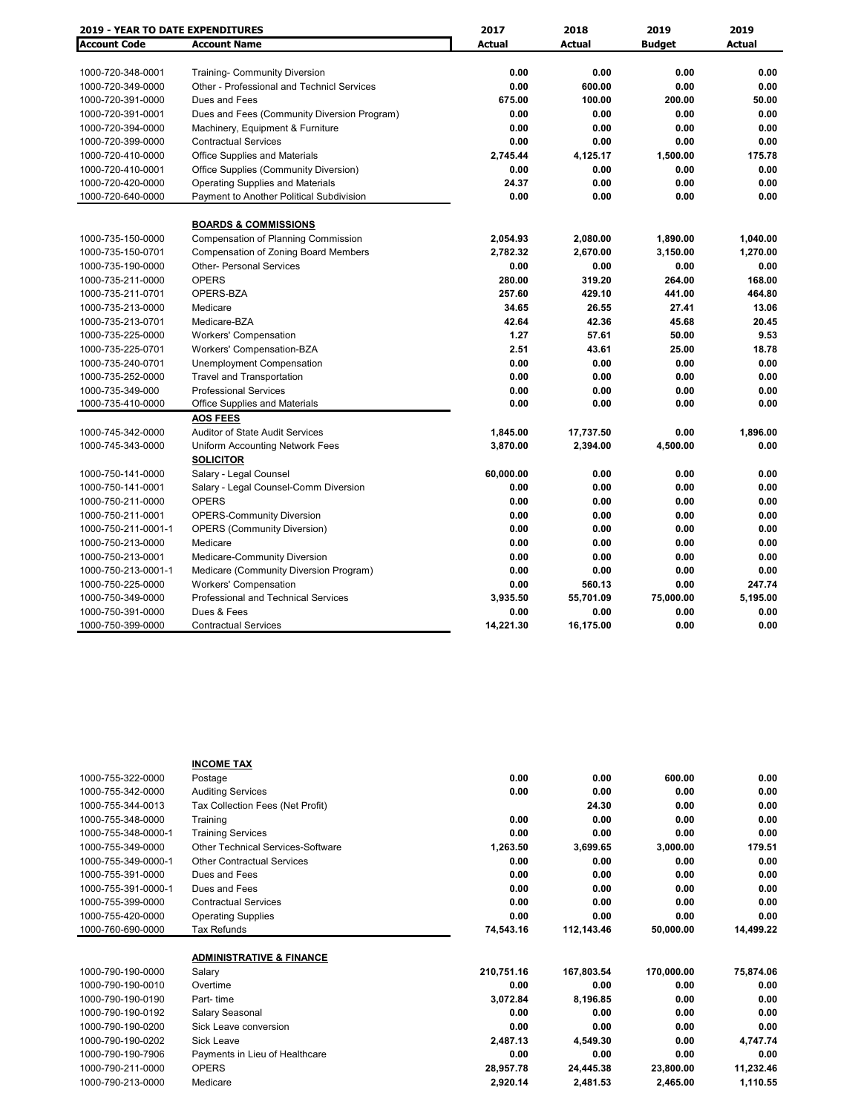| <b>2019 - YEAR TO DATE EXPENDITURES</b> |                                             | 2017          | 2018          | 2019          | 2019          |
|-----------------------------------------|---------------------------------------------|---------------|---------------|---------------|---------------|
| <b>Account Code</b>                     | <b>Account Name</b>                         | <b>Actual</b> | <b>Actual</b> | <b>Budget</b> | <b>Actual</b> |
|                                         |                                             |               |               |               |               |
| 1000-720-348-0001                       | <b>Training- Community Diversion</b>        | 0.00          | 0.00          | 0.00          | 0.00          |
| 1000-720-349-0000                       | Other - Professional and Technicl Services  | 0.00          | 600.00        | 0.00          | 0.00          |
| 1000-720-391-0000                       | Dues and Fees                               | 675.00        | 100.00        | 200.00        | 50.00         |
| 1000-720-391-0001                       | Dues and Fees (Community Diversion Program) | 0.00          | 0.00          | 0.00          | 0.00          |
| 1000-720-394-0000                       | Machinery, Equipment & Furniture            | 0.00          | 0.00          | 0.00          | 0.00          |
| 1000-720-399-0000                       | <b>Contractual Services</b>                 | 0.00          | 0.00          | 0.00          | 0.00          |
| 1000-720-410-0000                       | Office Supplies and Materials               | 2,745.44      | 4,125.17      | 1,500.00      | 175.78        |
| 1000-720-410-0001                       | Office Supplies (Community Diversion)       | 0.00          | 0.00          | 0.00          | 0.00          |
| 1000-720-420-0000                       | <b>Operating Supplies and Materials</b>     | 24.37         | 0.00          | 0.00          | 0.00          |
| 1000-720-640-0000                       | Payment to Another Political Subdivision    | 0.00          | 0.00          | 0.00          | 0.00          |
|                                         | <b>BOARDS &amp; COMMISSIONS</b>             |               |               |               |               |
| 1000-735-150-0000                       | <b>Compensation of Planning Commission</b>  | 2,054.93      | 2,080.00      | 1,890.00      | 1,040.00      |
| 1000-735-150-0701                       | <b>Compensation of Zoning Board Members</b> | 2,782.32      | 2,670.00      | 3,150.00      | 1,270.00      |
| 1000-735-190-0000                       | <b>Other- Personal Services</b>             | 0.00          | 0.00          | 0.00          | 0.00          |
| 1000-735-211-0000                       | <b>OPERS</b>                                | 280.00        | 319.20        | 264.00        | 168.00        |
| 1000-735-211-0701                       | OPERS-BZA                                   | 257.60        | 429.10        | 441.00        | 464.80        |
| 1000-735-213-0000                       | Medicare                                    | 34.65         | 26.55         | 27.41         | 13.06         |
| 1000-735-213-0701                       | Medicare-BZA                                | 42.64         | 42.36         | 45.68         | 20.45         |
| 1000-735-225-0000                       | <b>Workers' Compensation</b>                | 1.27          | 57.61         | 50.00         | 9.53          |
| 1000-735-225-0701                       | Workers' Compensation-BZA                   | 2.51          | 43.61         | 25.00         | 18.78         |
| 1000-735-240-0701                       | Unemployment Compensation                   | 0.00          | 0.00          | 0.00          | 0.00          |
| 1000-735-252-0000                       | <b>Travel and Transportation</b>            | 0.00          | 0.00          | 0.00          | 0.00          |
| 1000-735-349-000                        | <b>Professional Services</b>                | 0.00          | 0.00          | 0.00          | 0.00          |
| 1000-735-410-0000                       | Office Supplies and Materials               | 0.00          | 0.00          | 0.00          | 0.00          |
|                                         | <b>AOS FEES</b>                             |               |               |               |               |
| 1000-745-342-0000                       | <b>Auditor of State Audit Services</b>      | 1,845.00      | 17,737.50     | 0.00          | 1,896.00      |
| 1000-745-343-0000                       | Uniform Accounting Network Fees             | 3,870.00      | 2,394.00      | 4,500.00      | 0.00          |
|                                         | <b>SOLICITOR</b>                            |               |               |               |               |
| 1000-750-141-0000                       | Salary - Legal Counsel                      | 60,000.00     | 0.00          | 0.00          | 0.00          |
| 1000-750-141-0001                       | Salary - Legal Counsel-Comm Diversion       | 0.00          | 0.00          | 0.00          | 0.00          |
| 1000-750-211-0000                       | <b>OPERS</b>                                | 0.00          | 0.00          | 0.00          | 0.00          |
| 1000-750-211-0001                       | <b>OPERS-Community Diversion</b>            | 0.00          | 0.00          | 0.00          | 0.00          |
| 1000-750-211-0001-1                     | <b>OPERS (Community Diversion)</b>          | 0.00          | 0.00          | 0.00          | 0.00          |
| 1000-750-213-0000                       | Medicare                                    | 0.00          | 0.00          | 0.00          | 0.00          |
| 1000-750-213-0001                       | <b>Medicare-Community Diversion</b>         | 0.00          | 0.00          | 0.00          | 0.00          |
| 1000-750-213-0001-1                     | Medicare (Community Diversion Program)      | 0.00          | 0.00          | 0.00          | 0.00          |
| 1000-750-225-0000                       | <b>Workers' Compensation</b>                | 0.00          | 560.13        | 0.00          | 247.74        |
| 1000-750-349-0000                       | Professional and Technical Services         | 3,935.50      | 55,701.09     | 75,000.00     | 5,195.00      |
| 1000-750-391-0000                       | Dues & Fees                                 | 0.00          | 0.00          | 0.00          | 0.00          |
| 1000-750-399-0000                       | <b>Contractual Services</b>                 | 14,221.30     | 16,175.00     | 0.00          | 0.00          |

|                     | <b>INCOME TAX</b>                   |            |            |            |           |
|---------------------|-------------------------------------|------------|------------|------------|-----------|
| 1000-755-322-0000   | Postage                             | 0.00       | 0.00       | 600.00     | 0.00      |
| 1000-755-342-0000   | <b>Auditing Services</b>            | 0.00       | 0.00       | 0.00       | 0.00      |
| 1000-755-344-0013   | Tax Collection Fees (Net Profit)    |            | 24.30      | 0.00       | 0.00      |
| 1000-755-348-0000   | Training                            | 0.00       | 0.00       | 0.00       | 0.00      |
| 1000-755-348-0000-1 | <b>Training Services</b>            | 0.00       | 0.00       | 0.00       | 0.00      |
| 1000-755-349-0000   | Other Technical Services-Software   | 1,263.50   | 3,699.65   | 3,000.00   | 179.51    |
| 1000-755-349-0000-1 | <b>Other Contractual Services</b>   | 0.00       | 0.00       | 0.00       | 0.00      |
| 1000-755-391-0000   | Dues and Fees                       | 0.00       | 0.00       | 0.00       | 0.00      |
| 1000-755-391-0000-1 | Dues and Fees                       | 0.00       | 0.00       | 0.00       | 0.00      |
| 1000-755-399-0000   | <b>Contractual Services</b>         | 0.00       | 0.00       | 0.00       | 0.00      |
| 1000-755-420-0000   | <b>Operating Supplies</b>           | 0.00       | 0.00       | 0.00       | 0.00      |
| 1000-760-690-0000   | Tax Refunds                         | 74,543.16  | 112,143.46 | 50,000.00  | 14,499.22 |
|                     |                                     |            |            |            |           |
|                     | <b>ADMINISTRATIVE &amp; FINANCE</b> |            |            |            |           |
| 1000-790-190-0000   | Salary                              | 210,751.16 | 167,803.54 | 170,000.00 | 75,874.06 |
| 1000-790-190-0010   | Overtime                            | 0.00       | 0.00       | 0.00       | 0.00      |
| 1000-790-190-0190   | Part-time                           | 3,072.84   | 8,196.85   | 0.00       | 0.00      |
| 1000-790-190-0192   | Salary Seasonal                     | 0.00       | 0.00       | 0.00       | 0.00      |
| 1000-790-190-0200   | Sick Leave conversion               | 0.00       | 0.00       | 0.00       | 0.00      |
| 1000-790-190-0202   | <b>Sick Leave</b>                   | 2,487.13   | 4,549.30   | 0.00       | 4,747.74  |
| 1000-790-190-7906   | Payments in Lieu of Healthcare      | 0.00       | 0.00       | 0.00       | 0.00      |
| 1000-790-211-0000   | <b>OPERS</b>                        | 28,957.78  | 24,445.38  | 23,800.00  | 11,232.46 |
| 1000-790-213-0000   | Medicare                            | 2,920.14   | 2,481.53   | 2,465.00   | 1,110.55  |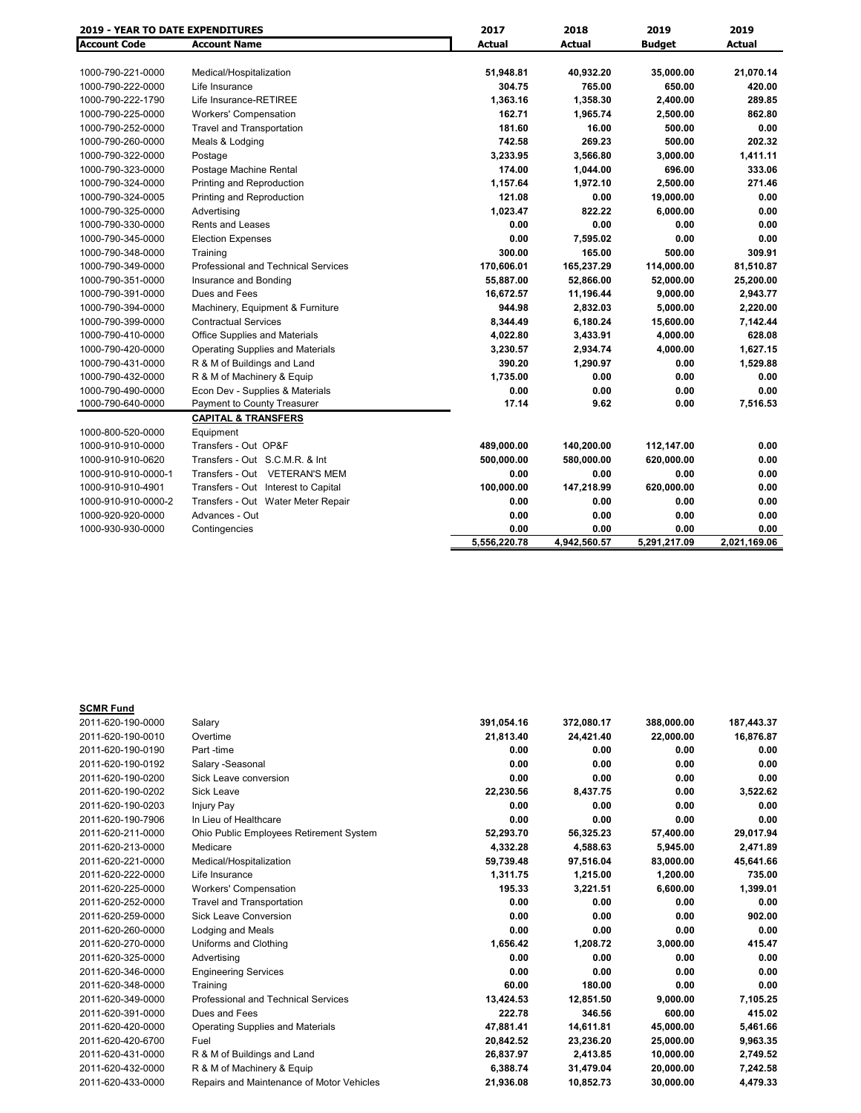| <b>2019 - YEAR TO DATE EXPENDITURES</b> |                                         | 2017         | 2018         | 2019          | 2019          |
|-----------------------------------------|-----------------------------------------|--------------|--------------|---------------|---------------|
| <b>Account Code</b>                     | <b>Account Name</b>                     | Actual       | Actual       | <b>Budget</b> | <b>Actual</b> |
|                                         |                                         |              |              |               |               |
| 1000-790-221-0000                       | Medical/Hospitalization                 | 51,948.81    | 40,932.20    | 35,000.00     | 21,070.14     |
| 1000-790-222-0000                       | Life Insurance                          | 304.75       | 765.00       | 650.00        | 420.00        |
| 1000-790-222-1790                       | Life Insurance-RETIREE                  | 1,363.16     | 1,358.30     | 2,400.00      | 289.85        |
| 1000-790-225-0000                       | <b>Workers' Compensation</b>            | 162.71       | 1,965.74     | 2,500.00      | 862.80        |
| 1000-790-252-0000                       | <b>Travel and Transportation</b>        | 181.60       | 16.00        | 500.00        | 0.00          |
| 1000-790-260-0000                       | Meals & Lodging                         | 742.58       | 269.23       | 500.00        | 202.32        |
| 1000-790-322-0000                       | Postage                                 | 3,233.95     | 3,566.80     | 3,000.00      | 1,411.11      |
| 1000-790-323-0000                       | Postage Machine Rental                  | 174.00       | 1,044.00     | 696.00        | 333.06        |
| 1000-790-324-0000                       | Printing and Reproduction               | 1,157.64     | 1,972.10     | 2,500.00      | 271.46        |
| 1000-790-324-0005                       | Printing and Reproduction               | 121.08       | 0.00         | 19,000.00     | 0.00          |
| 1000-790-325-0000                       | Advertising                             | 1,023.47     | 822.22       | 6,000.00      | 0.00          |
| 1000-790-330-0000                       | <b>Rents and Leases</b>                 | 0.00         | 0.00         | 0.00          | 0.00          |
| 1000-790-345-0000                       | <b>Election Expenses</b>                | 0.00         | 7,595.02     | 0.00          | 0.00          |
| 1000-790-348-0000                       | Training                                | 300.00       | 165.00       | 500.00        | 309.91        |
| 1000-790-349-0000                       | Professional and Technical Services     | 170,606.01   | 165,237.29   | 114,000.00    | 81,510.87     |
| 1000-790-351-0000                       | Insurance and Bonding                   | 55,887.00    | 52,866.00    | 52,000.00     | 25,200.00     |
| 1000-790-391-0000                       | Dues and Fees                           | 16,672.57    | 11,196.44    | 9,000.00      | 2,943.77      |
| 1000-790-394-0000                       | Machinery, Equipment & Furniture        | 944.98       | 2,832.03     | 5,000.00      | 2,220.00      |
| 1000-790-399-0000                       | <b>Contractual Services</b>             | 8,344.49     | 6,180.24     | 15,600.00     | 7,142.44      |
| 1000-790-410-0000                       | Office Supplies and Materials           | 4,022.80     | 3,433.91     | 4,000.00      | 628.08        |
| 1000-790-420-0000                       | <b>Operating Supplies and Materials</b> | 3,230.57     | 2,934.74     | 4,000.00      | 1,627.15      |
| 1000-790-431-0000                       | R & M of Buildings and Land             | 390.20       | 1,290.97     | 0.00          | 1,529.88      |
| 1000-790-432-0000                       | R & M of Machinery & Equip              | 1,735.00     | 0.00         | 0.00          | 0.00          |
| 1000-790-490-0000                       | Econ Dev - Supplies & Materials         | 0.00         | 0.00         | 0.00          | 0.00          |
| 1000-790-640-0000                       | Payment to County Treasurer             | 17.14        | 9.62         | 0.00          | 7,516.53      |
|                                         | <b>CAPITAL &amp; TRANSFERS</b>          |              |              |               |               |
| 1000-800-520-0000                       | Equipment                               |              |              |               |               |
| 1000-910-910-0000                       | Transfers - Out OP&F                    | 489,000.00   | 140,200.00   | 112,147.00    | 0.00          |
| 1000-910-910-0620                       | Transfers - Out S.C.M.R. & Int          | 500,000.00   | 580,000.00   | 620,000.00    | 0.00          |
| 1000-910-910-0000-1                     | Transfers - Out VETERAN'S MEM           | 0.00         | 0.00         | 0.00          | 0.00          |
| 1000-910-910-4901                       | Transfers - Out Interest to Capital     | 100,000.00   | 147,218.99   | 620,000.00    | 0.00          |
| 1000-910-910-0000-2                     | Transfers - Out Water Meter Repair      | 0.00         | 0.00         | 0.00          | 0.00          |
| 1000-920-920-0000                       | Advances - Out                          | 0.00         | 0.00         | 0.00          | 0.00          |
| 1000-930-930-0000                       | Contingencies                           | 0.00         | 0.00         | 0.00          | 0.00          |
|                                         |                                         | 5.556.220.78 | 4,942,560.57 | 5,291,217.09  | 2.021.169.06  |

| <b>SCMR Fund</b>  |                                           |            |            |            |            |
|-------------------|-------------------------------------------|------------|------------|------------|------------|
| 2011-620-190-0000 | Salary                                    | 391,054.16 | 372,080.17 | 388,000.00 | 187,443.37 |
| 2011-620-190-0010 | Overtime                                  | 21,813.40  | 24,421.40  | 22,000.00  | 16,876.87  |
| 2011-620-190-0190 | Part -time                                | 0.00       | 0.00       | 0.00       | 0.00       |
| 2011-620-190-0192 | Salary - Seasonal                         | 0.00       | 0.00       | 0.00       | 0.00       |
| 2011-620-190-0200 | Sick Leave conversion                     | 0.00       | 0.00       | 0.00       | 0.00       |
| 2011-620-190-0202 | Sick Leave                                | 22,230.56  | 8,437.75   | 0.00       | 3,522.62   |
| 2011-620-190-0203 | <b>Injury Pay</b>                         | 0.00       | 0.00       | 0.00       | 0.00       |
| 2011-620-190-7906 | In Lieu of Healthcare                     | 0.00       | 0.00       | 0.00       | 0.00       |
| 2011-620-211-0000 | Ohio Public Employees Retirement System   | 52,293.70  | 56,325.23  | 57,400.00  | 29,017.94  |
| 2011-620-213-0000 | Medicare                                  | 4,332.28   | 4.588.63   | 5,945.00   | 2,471.89   |
| 2011-620-221-0000 | Medical/Hospitalization                   | 59,739.48  | 97,516.04  | 83,000.00  | 45,641.66  |
| 2011-620-222-0000 | Life Insurance                            | 1,311.75   | 1,215.00   | 1,200.00   | 735.00     |
| 2011-620-225-0000 | <b>Workers' Compensation</b>              | 195.33     | 3.221.51   | 6.600.00   | 1,399.01   |
| 2011-620-252-0000 | <b>Travel and Transportation</b>          | 0.00       | 0.00       | 0.00       | 0.00       |
| 2011-620-259-0000 | Sick Leave Conversion                     | 0.00       | 0.00       | 0.00       | 902.00     |
| 2011-620-260-0000 | Lodging and Meals                         | 0.00       | 0.00       | 0.00       | 0.00       |
| 2011-620-270-0000 | Uniforms and Clothing                     | 1.656.42   | 1.208.72   | 3,000.00   | 415.47     |
| 2011-620-325-0000 | Advertising                               | 0.00       | 0.00       | 0.00       | 0.00       |
| 2011-620-346-0000 | <b>Engineering Services</b>               | 0.00       | 0.00       | 0.00       | 0.00       |
| 2011-620-348-0000 | Training                                  | 60.00      | 180.00     | 0.00       | 0.00       |
| 2011-620-349-0000 | Professional and Technical Services       | 13,424.53  | 12,851.50  | 9,000.00   | 7,105.25   |
| 2011-620-391-0000 | Dues and Fees                             | 222.78     | 346.56     | 600.00     | 415.02     |
| 2011-620-420-0000 | <b>Operating Supplies and Materials</b>   | 47,881.41  | 14,611.81  | 45,000.00  | 5,461.66   |
| 2011-620-420-6700 | Fuel                                      | 20,842.52  | 23,236.20  | 25,000.00  | 9,963.35   |
| 2011-620-431-0000 | R & M of Buildings and Land               | 26,837.97  | 2.413.85   | 10.000.00  | 2.749.52   |
| 2011-620-432-0000 | R & M of Machinery & Equip                | 6,388.74   | 31,479.04  | 20,000.00  | 7,242.58   |
| 2011-620-433-0000 | Repairs and Maintenance of Motor Vehicles | 21,936.08  | 10,852.73  | 30,000.00  | 4,479.33   |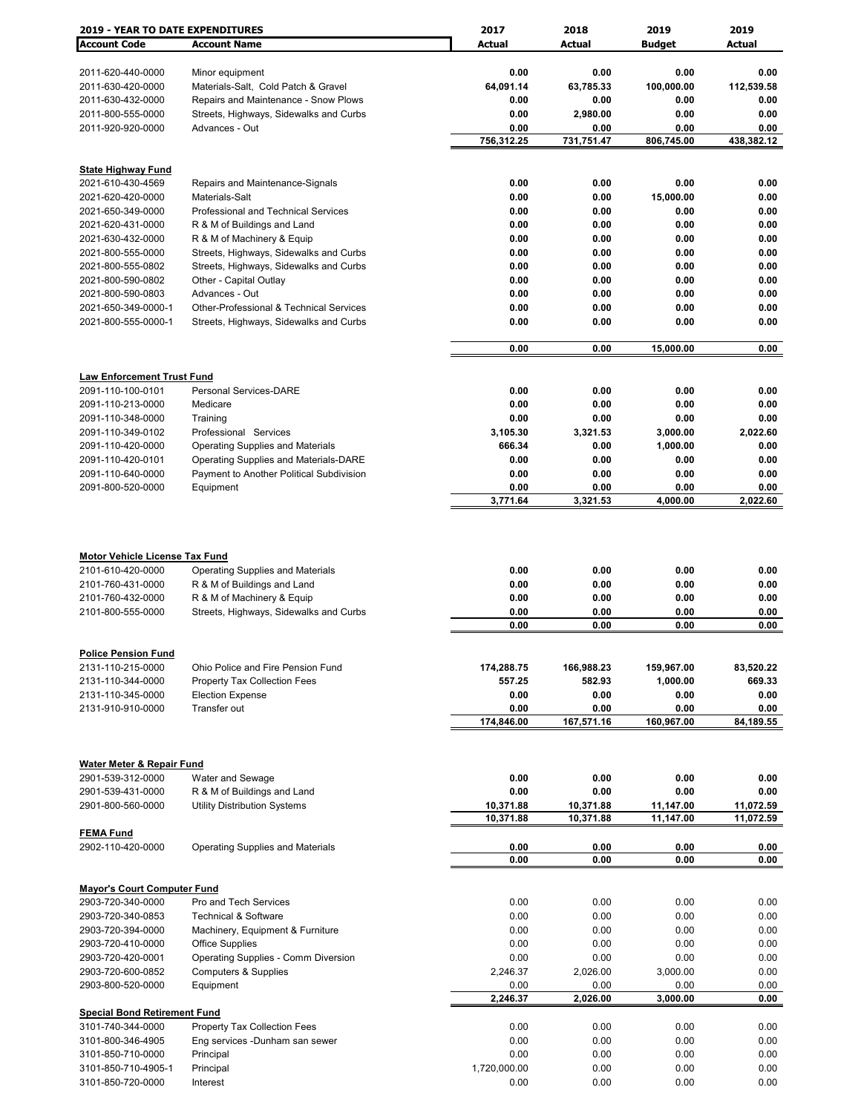| <b>2019 - YEAR TO DATE EXPENDITURES</b>                                                              |                                                                                                      | 2017                 | 2018                 | 2019                 | 2019                 |
|------------------------------------------------------------------------------------------------------|------------------------------------------------------------------------------------------------------|----------------------|----------------------|----------------------|----------------------|
| <b>Account Code</b>                                                                                  | <b>Account Name</b>                                                                                  | <b>Actual</b>        | Actual               | <b>Budget</b>        | Actual               |
|                                                                                                      |                                                                                                      |                      |                      |                      |                      |
| 2011-620-440-0000                                                                                    | Minor equipment                                                                                      | 0.00                 | 0.00                 | 0.00                 | 0.00                 |
| 2011-630-420-0000                                                                                    | Materials-Salt, Cold Patch & Gravel                                                                  | 64,091.14            | 63,785.33            | 100,000.00           | 112,539.58           |
| 2011-630-432-0000                                                                                    | Repairs and Maintenance - Snow Plows                                                                 | 0.00                 | 0.00                 | 0.00                 | 0.00                 |
| 2011-800-555-0000                                                                                    | Streets, Highways, Sidewalks and Curbs                                                               | 0.00                 | 2,980.00             | 0.00                 | 0.00                 |
| 2011-920-920-0000                                                                                    | Advances - Out                                                                                       | 0.00                 | 0.00                 | 0.00                 | 0.00                 |
|                                                                                                      |                                                                                                      | 756,312.25           | 731,751.47           | 806,745.00           | 438,382.12           |
|                                                                                                      |                                                                                                      |                      |                      |                      |                      |
| <b>State Highway Fund</b>                                                                            |                                                                                                      | 0.00                 | 0.00                 |                      |                      |
| 2021-610-430-4569<br>2021-620-420-0000                                                               | Repairs and Maintenance-Signals<br>Materials-Salt                                                    | 0.00                 | 0.00                 | 0.00<br>15,000.00    | 0.00<br>0.00         |
| 2021-650-349-0000                                                                                    | Professional and Technical Services                                                                  | 0.00                 | 0.00                 | 0.00                 | 0.00                 |
| 2021-620-431-0000                                                                                    | R & M of Buildings and Land                                                                          | 0.00                 | 0.00                 | 0.00                 | 0.00                 |
| 2021-630-432-0000                                                                                    | R & M of Machinery & Equip                                                                           | 0.00                 | 0.00                 | 0.00                 | 0.00                 |
| 2021-800-555-0000                                                                                    | Streets, Highways, Sidewalks and Curbs                                                               | 0.00                 | 0.00                 | 0.00                 | 0.00                 |
| 2021-800-555-0802                                                                                    | Streets, Highways, Sidewalks and Curbs                                                               | 0.00                 | 0.00                 | 0.00                 | 0.00                 |
| 2021-800-590-0802                                                                                    | Other - Capital Outlay                                                                               | 0.00                 | 0.00                 | 0.00                 | 0.00                 |
| 2021-800-590-0803                                                                                    | Advances - Out                                                                                       | 0.00                 | 0.00                 | 0.00                 | 0.00                 |
| 2021-650-349-0000-1                                                                                  | Other-Professional & Technical Services                                                              | 0.00                 | 0.00                 | 0.00                 | 0.00                 |
| 2021-800-555-0000-1                                                                                  | Streets, Highways, Sidewalks and Curbs                                                               | 0.00                 | 0.00                 | 0.00                 | 0.00                 |
|                                                                                                      |                                                                                                      |                      |                      |                      |                      |
|                                                                                                      |                                                                                                      | 0.00                 | 0.00                 | 15,000.00            | 0.00                 |
|                                                                                                      |                                                                                                      |                      |                      |                      |                      |
| <b>Law Enforcement Trust Fund</b>                                                                    |                                                                                                      |                      |                      |                      |                      |
| 2091-110-100-0101                                                                                    | <b>Personal Services-DARE</b>                                                                        | 0.00                 | 0.00                 | 0.00                 | 0.00                 |
| 2091-110-213-0000                                                                                    | Medicare                                                                                             | 0.00                 | 0.00                 | 0.00                 | 0.00                 |
| 2091-110-348-0000                                                                                    | Training                                                                                             | 0.00                 | 0.00                 | 0.00                 | 0.00                 |
| 2091-110-349-0102                                                                                    | Professional Services                                                                                | 3,105.30             | 3,321.53             | 3,000.00             | 2,022.60             |
| 2091-110-420-0000                                                                                    | <b>Operating Supplies and Materials</b>                                                              | 666.34               | 0.00                 | 1,000.00             | 0.00                 |
| 2091-110-420-0101                                                                                    | Operating Supplies and Materials-DARE                                                                | 0.00                 | 0.00                 | 0.00                 | 0.00                 |
| 2091-110-640-0000                                                                                    | Payment to Another Political Subdivision                                                             | 0.00                 | 0.00                 | 0.00                 | 0.00                 |
| 2091-800-520-0000                                                                                    | Equipment                                                                                            | 0.00<br>3,771.64     | 0.00<br>3,321.53     | 0.00<br>4,000.00     | 0.00<br>2,022.60     |
|                                                                                                      |                                                                                                      |                      |                      |                      |                      |
| <b>Motor Vehicle License Tax Fund</b><br>2101-610-420-0000<br>2101-760-431-0000<br>2101-760-432-0000 | <b>Operating Supplies and Materials</b><br>R & M of Buildings and Land<br>R & M of Machinery & Equip | 0.00<br>0.00<br>0.00 | 0.00<br>0.00<br>0.00 | 0.00<br>0.00<br>0.00 | 0.00<br>0.00<br>0.00 |
| 2101-800-555-0000                                                                                    | Streets, Highways, Sidewalks and Curbs                                                               | 0.00                 | 0.00                 | 0.00                 | 0.00                 |
|                                                                                                      |                                                                                                      | 0.00                 | 0.00                 | 0.00                 | 0.00                 |
|                                                                                                      |                                                                                                      |                      |                      |                      |                      |
| <b>Police Pension Fund</b>                                                                           |                                                                                                      |                      |                      |                      |                      |
| 2131-110-215-0000                                                                                    | Ohio Police and Fire Pension Fund                                                                    | 174,288.75           | 166,988.23           | 159,967.00           | 83,520.22            |
| 2131-110-344-0000                                                                                    | <b>Property Tax Collection Fees</b>                                                                  | 557.25               | 582.93               | 1,000.00             | 669.33               |
| 2131-110-345-0000                                                                                    | <b>Election Expense</b>                                                                              | 0.00                 | 0.00                 | 0.00                 | 0.00                 |
| 2131-910-910-0000                                                                                    | Transfer out                                                                                         | 0.00                 | 0.00                 | 0.00                 | 0.00                 |
|                                                                                                      |                                                                                                      | 174,846.00           | 167,571.16           | 160,967.00           | 84,189.55            |
|                                                                                                      |                                                                                                      |                      |                      |                      |                      |
| <b>Water Meter &amp; Repair Fund</b>                                                                 |                                                                                                      |                      |                      |                      |                      |
| 2901-539-312-0000                                                                                    | Water and Sewage                                                                                     | 0.00                 | 0.00                 | 0.00                 | 0.00                 |
| 2901-539-431-0000                                                                                    | R & M of Buildings and Land                                                                          | 0.00                 | 0.00                 | 0.00                 | 0.00                 |
| 2901-800-560-0000                                                                                    | <b>Utility Distribution Systems</b>                                                                  | 10,371.88            | 10,371.88            | 11,147.00            | 11,072.59            |
|                                                                                                      |                                                                                                      | 10,371.88            | 10,371.88            | 11,147.00            | 11,072.59            |
| <b>FEMA Fund</b>                                                                                     |                                                                                                      |                      |                      |                      |                      |
| 2902-110-420-0000                                                                                    | <b>Operating Supplies and Materials</b>                                                              | 0.00                 | 0.00                 | 0.00                 | 0.00                 |
|                                                                                                      |                                                                                                      | 0.00                 | 0.00                 | 0.00                 | 0.00                 |
|                                                                                                      |                                                                                                      |                      |                      |                      |                      |
| <b>Mayor's Court Computer Fund</b>                                                                   |                                                                                                      |                      |                      |                      |                      |
| 2903-720-340-0000                                                                                    | Pro and Tech Services                                                                                | 0.00                 | 0.00                 | 0.00                 | 0.00                 |
| 2903-720-340-0853                                                                                    | <b>Technical &amp; Software</b>                                                                      | 0.00                 | 0.00                 | 0.00                 | 0.00                 |
| 2903-720-394-0000                                                                                    | Machinery, Equipment & Furniture                                                                     | 0.00                 | 0.00                 | 0.00                 | 0.00                 |
| 2903-720-410-0000                                                                                    | <b>Office Supplies</b>                                                                               | 0.00                 | 0.00                 | 0.00                 | 0.00                 |
| 2903-720-420-0001                                                                                    | Operating Supplies - Comm Diversion                                                                  | 0.00                 | 0.00                 | 0.00                 | 0.00                 |
| 2903-720-600-0852                                                                                    | <b>Computers &amp; Supplies</b>                                                                      | 2,246.37             | 2,026.00             | 3,000.00             | 0.00                 |
| 2903-800-520-0000                                                                                    | Equipment                                                                                            | 0.00<br>2,246.37     | 0.00<br>2,026.00     | 0.00<br>3,000.00     | 0.00<br>0.00         |
| <b>Special Bond Retirement Fund</b>                                                                  |                                                                                                      |                      |                      |                      |                      |
| 3101-740-344-0000                                                                                    | Property Tax Collection Fees                                                                         | 0.00                 | 0.00                 | 0.00                 | 0.00                 |
| 3101-800-346-4905                                                                                    | Eng services -Dunham san sewer                                                                       | 0.00                 | 0.00                 | 0.00                 | 0.00                 |
| 3101-850-710-0000                                                                                    | Principal                                                                                            | 0.00                 | 0.00                 | 0.00                 | 0.00                 |
| 3101-850-710-4905-1                                                                                  | Principal                                                                                            | 1,720,000.00         | 0.00                 | 0.00                 | 0.00                 |
| 3101-850-720-0000                                                                                    | Interest                                                                                             | 0.00                 | 0.00                 | 0.00                 | 0.00                 |
|                                                                                                      |                                                                                                      |                      |                      |                      |                      |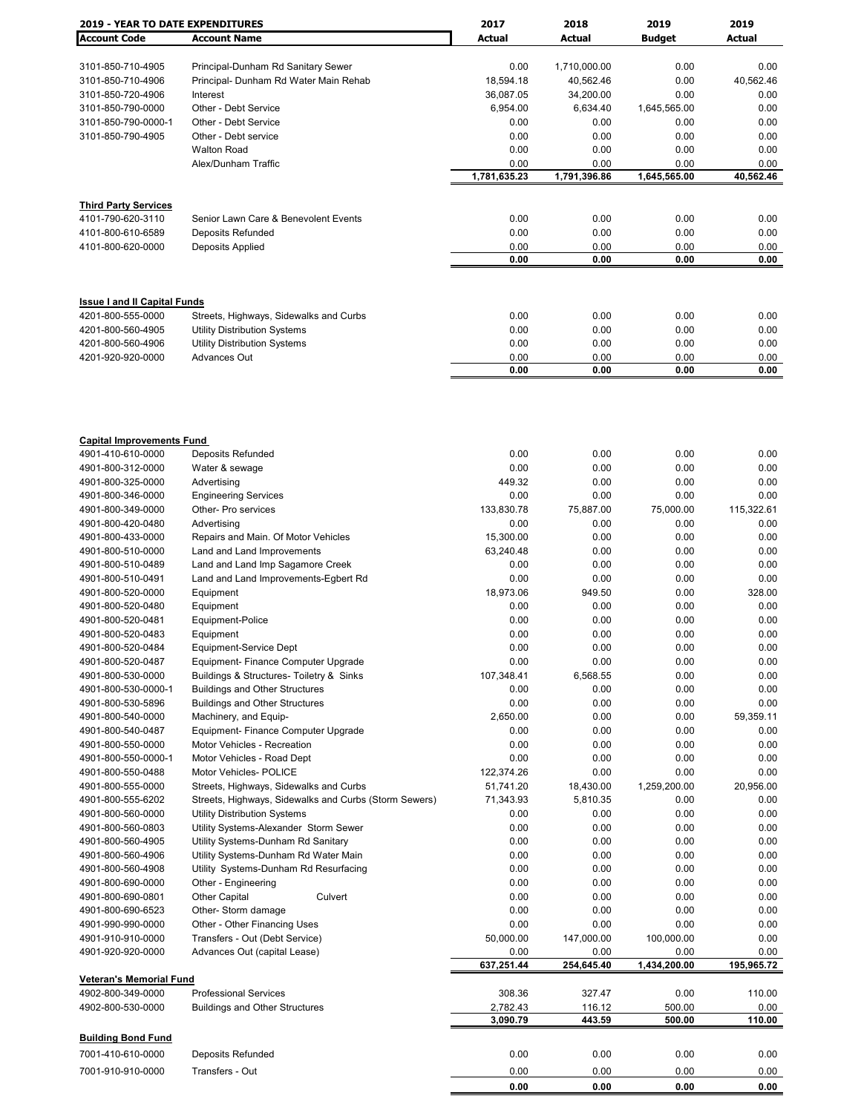| <b>2019 - YEAR TO DATE EXPENDITURES</b> |                                                       | 2017         | 2018         | 2019          | 2019       |
|-----------------------------------------|-------------------------------------------------------|--------------|--------------|---------------|------------|
| <b>Account Code</b>                     | <b>Account Name</b>                                   | Actual       | Actual       | <b>Budget</b> | Actual     |
|                                         |                                                       |              |              |               |            |
| 3101-850-710-4905                       | Principal-Dunham Rd Sanitary Sewer                    | 0.00         | 1,710,000.00 | 0.00          | 0.00       |
| 3101-850-710-4906                       | Principal- Dunham Rd Water Main Rehab                 | 18,594.18    | 40,562.46    | 0.00          | 40,562.46  |
| 3101-850-720-4906                       | Interest                                              | 36,087.05    | 34,200.00    | 0.00          | 0.00       |
| 3101-850-790-0000                       | Other - Debt Service                                  | 6,954.00     | 6,634.40     | 1,645,565.00  | 0.00       |
| 3101-850-790-0000-1                     | Other - Debt Service                                  | 0.00         | 0.00         | 0.00          | 0.00       |
| 3101-850-790-4905                       | Other - Debt service                                  | 0.00         | 0.00         | 0.00          | 0.00       |
|                                         | <b>Walton Road</b>                                    | 0.00         | 0.00         | 0.00          | 0.00       |
|                                         | Alex/Dunham Traffic                                   | 0.00         | 0.00         | 0.00          | 0.00       |
|                                         |                                                       | 1,781,635.23 | 1,791,396.86 | 1,645,565.00  | 40,562.46  |
|                                         |                                                       |              |              |               |            |
| <b>Third Party Services</b>             |                                                       |              |              |               |            |
| 4101-790-620-3110                       | Senior Lawn Care & Benevolent Events                  | 0.00         | 0.00         | 0.00          | 0.00       |
| 4101-800-610-6589                       | Deposits Refunded                                     | 0.00         | 0.00         | 0.00          | 0.00       |
| 4101-800-620-0000                       | Deposits Applied                                      | 0.00         | 0.00         | 0.00          | 0.00       |
|                                         |                                                       | 0.00         | 0.00         | 0.00          | 0.00       |
|                                         |                                                       |              |              |               |            |
|                                         |                                                       |              |              |               |            |
| <b>Issue I and II Capital Funds</b>     |                                                       |              |              |               |            |
| 4201-800-555-0000                       | Streets, Highways, Sidewalks and Curbs                | 0.00         | 0.00         | 0.00          | 0.00       |
| 4201-800-560-4905                       | Utility Distribution Systems                          | 0.00         | 0.00         | 0.00          | 0.00       |
| 4201-800-560-4906                       | <b>Utility Distribution Systems</b>                   | 0.00         | 0.00         | 0.00          | 0.00       |
| 4201-920-920-0000                       | Advances Out                                          | 0.00         | 0.00         | 0.00          | 0.00       |
|                                         |                                                       | 0.00         | 0.00         | 0.00          | 0.00       |
|                                         |                                                       |              |              |               |            |
|                                         |                                                       |              |              |               |            |
| <b>Capital Improvements Fund</b>        |                                                       |              |              |               |            |
| 4901-410-610-0000                       | Deposits Refunded                                     | 0.00         | 0.00         | 0.00          | 0.00       |
| 4901-800-312-0000                       | Water & sewage                                        | 0.00         | 0.00         | 0.00          | 0.00       |
| 4901-800-325-0000                       | Advertising                                           | 449.32       | 0.00         | 0.00          | 0.00       |
| 4901-800-346-0000                       | <b>Engineering Services</b>                           | 0.00         | 0.00         | 0.00          | 0.00       |
| 4901-800-349-0000                       | Other- Pro services                                   | 133,830.78   | 75,887.00    | 75,000.00     | 115,322.61 |
| 4901-800-420-0480                       | Advertising                                           | 0.00         | 0.00         | 0.00          | 0.00       |
| 4901-800-433-0000                       | Repairs and Main. Of Motor Vehicles                   | 15,300.00    | 0.00         | 0.00          | 0.00       |
| 4901-800-510-0000                       | Land and Land Improvements                            | 63,240.48    | 0.00         | 0.00          | 0.00       |
| 4901-800-510-0489                       |                                                       |              |              |               |            |
|                                         | Land and Land Imp Sagamore Creek                      | 0.00         | 0.00         | 0.00          | 0.00       |
| 4901-800-510-0491                       | Land and Land Improvements-Egbert Rd                  | 0.00         | 0.00         | 0.00          | 0.00       |
| 4901-800-520-0000                       | Equipment                                             | 18,973.06    | 949.50       | 0.00          | 328.00     |
| 4901-800-520-0480                       | Equipment                                             | 0.00         | 0.00         | 0.00          | 0.00       |
| 4901-800-520-0481                       | Equipment-Police                                      | 0.00         | 0.00         | 0.00          | 0.00       |
| 4901-800-520-0483                       | Equipment                                             | 0.00         | 0.00         | 0.00          | 0.00       |
| 4901-800-520-0484                       | Equipment-Service Dept                                | 0.00         | 0.00         | 0.00          | 0.00       |
| 4901-800-520-0487                       | Equipment- Finance Computer Upgrade                   | 0.00         | 0.00         | 0.00          | 0.00       |
| 4901-800-530-0000                       | Buildings & Structures- Toiletry & Sinks              | 107,348.41   | 6,568.55     | 0.00          | 0.00       |
| 4901-800-530-0000-1                     | <b>Buildings and Other Structures</b>                 | 0.00         | 0.00         | 0.00          | 0.00       |
| 4901-800-530-5896                       | <b>Buildings and Other Structures</b>                 | 0.00         | 0.00         | 0.00          | 0.00       |
| 4901-800-540-0000                       | Machinery, and Equip-                                 | 2,650.00     | 0.00         | 0.00          | 59,359.11  |
| 4901-800-540-0487                       | Equipment- Finance Computer Upgrade                   | 0.00         | 0.00         | 0.00          | 0.00       |
| 4901-800-550-0000                       | Motor Vehicles - Recreation                           | 0.00         | 0.00         | 0.00          | 0.00       |
| 4901-800-550-0000-1                     | Motor Vehicles - Road Dept                            | 0.00         | 0.00         | 0.00          | 0.00       |
| 4901-800-550-0488                       | <b>Motor Vehicles- POLICE</b>                         | 122,374.26   | 0.00         | 0.00          | 0.00       |
| 4901-800-555-0000                       | Streets, Highways, Sidewalks and Curbs                | 51,741.20    | 18,430.00    | 1,259,200.00  | 20,956.00  |
| 4901-800-555-6202                       | Streets, Highways, Sidewalks and Curbs (Storm Sewers) | 71,343.93    | 5,810.35     | 0.00          | 0.00       |
| 4901-800-560-0000                       | <b>Utility Distribution Systems</b>                   | 0.00         | 0.00         | 0.00          | 0.00       |
| 4901-800-560-0803                       | Utility Systems-Alexander Storm Sewer                 | 0.00         | 0.00         | 0.00          | 0.00       |
| 4901-800-560-4905                       | Utility Systems-Dunham Rd Sanitary                    | 0.00         | 0.00         | 0.00          | 0.00       |
| 4901-800-560-4906                       | Utility Systems-Dunham Rd Water Main                  | 0.00         | 0.00         | 0.00          | 0.00       |
| 4901-800-560-4908                       | Utility Systems-Dunham Rd Resurfacing                 | 0.00         | 0.00         | 0.00          | 0.00       |
|                                         |                                                       | 0.00         | 0.00         | 0.00          | 0.00       |
| 4901-800-690-0000                       | Other - Engineering                                   |              |              |               |            |
| 4901-800-690-0801                       | Other Capital<br>Culvert                              | 0.00         | 0.00         | 0.00          | 0.00       |
| 4901-800-690-6523                       | Other- Storm damage                                   | 0.00         | 0.00         | 0.00          | 0.00       |
| 4901-990-990-0000                       | Other - Other Financing Uses                          | 0.00         | 0.00         | 0.00          | 0.00       |
| 4901-910-910-0000                       | Transfers - Out (Debt Service)                        | 50,000.00    | 147,000.00   | 100,000.00    | 0.00       |
| 4901-920-920-0000                       | Advances Out (capital Lease)                          | 0.00         | 0.00         | 0.00          | 0.00       |
| <b>Veteran's Memorial Fund</b>          |                                                       | 637,251.44   | 254,645.40   | 1,434,200.00  | 195,965.72 |
| 4902-800-349-0000                       | <b>Professional Services</b>                          | 308.36       | 327.47       | 0.00          | 110.00     |
| 4902-800-530-0000                       | <b>Buildings and Other Structures</b>                 | 2,782.43     | 116.12       | 500.00        | 0.00       |
|                                         |                                                       | 3,090.79     | 443.59       | 500.00        | 110.00     |
| <b>Building Bond Fund</b>               |                                                       |              |              |               |            |
| 7001-410-610-0000                       | Deposits Refunded                                     | 0.00         | 0.00         | 0.00          | 0.00       |
| 7001-910-910-0000                       | Transfers - Out                                       | 0.00         | 0.00         | 0.00          | 0.00       |
|                                         |                                                       | 0.00         | 0.00         | 0.00          | 0.00       |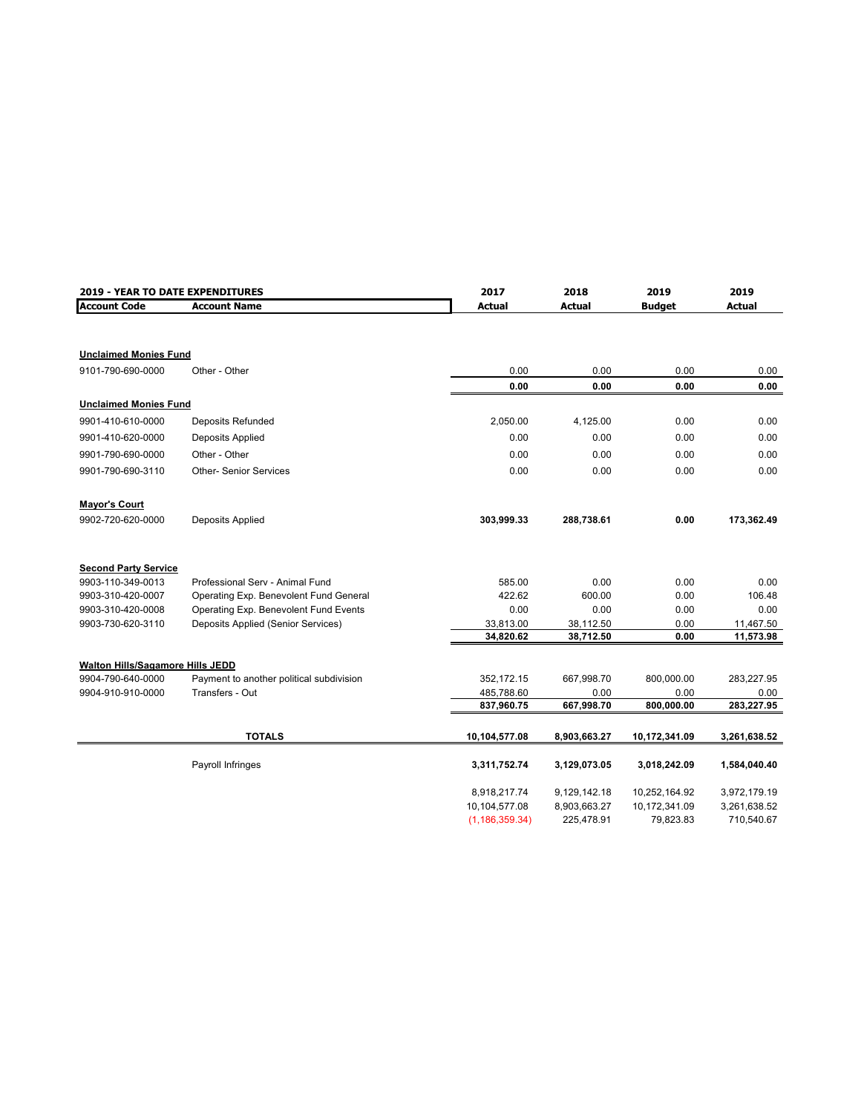| 2019 - YEAR TO DATE EXPENDITURES |                                          | 2017             | 2018          | 2019          | 2019          |
|----------------------------------|------------------------------------------|------------------|---------------|---------------|---------------|
| <b>Account Code</b>              | <b>Account Name</b>                      | <b>Actual</b>    | <b>Actual</b> | <b>Budget</b> | <b>Actual</b> |
|                                  |                                          |                  |               |               |               |
| <b>Unclaimed Monies Fund</b>     |                                          |                  |               |               |               |
| 9101-790-690-0000                | Other - Other                            | 0.00             | 0.00          | 0.00          | 0.00          |
|                                  |                                          | 0.00             | 0.00          | 0.00          | 0.00          |
| <b>Unclaimed Monies Fund</b>     |                                          |                  |               |               |               |
| 9901-410-610-0000                | Deposits Refunded                        | 2,050.00         | 4,125.00      | 0.00          | 0.00          |
| 9901-410-620-0000                | Deposits Applied                         | 0.00             | 0.00          | 0.00          | 0.00          |
| 9901-790-690-0000                | Other - Other                            | 0.00             | 0.00          | 0.00          | 0.00          |
| 9901-790-690-3110                | <b>Other- Senior Services</b>            | 0.00             | 0.00          | 0.00          | 0.00          |
| <b>Mayor's Court</b>             |                                          |                  |               |               |               |
| 9902-720-620-0000                | Deposits Applied                         | 303,999.33       | 288,738.61    | 0.00          | 173,362.49    |
| <b>Second Party Service</b>      |                                          |                  |               |               |               |
| 9903-110-349-0013                | Professional Serv - Animal Fund          | 585.00           | 0.00          | 0.00          | 0.00          |
| 9903-310-420-0007                | Operating Exp. Benevolent Fund General   | 422.62           | 600.00        | 0.00          | 106.48        |
| 9903-310-420-0008                | Operating Exp. Benevolent Fund Events    | 0.00             | 0.00          | 0.00          | 0.00          |
| 9903-730-620-3110                | Deposits Applied (Senior Services)       | 33,813.00        | 38,112.50     | 0.00          | 11,467.50     |
|                                  |                                          | 34,820.62        | 38,712.50     | 0.00          | 11,573.98     |
| Walton Hills/Sagamore Hills JEDD |                                          |                  |               |               |               |
| 9904-790-640-0000                | Payment to another political subdivision | 352,172.15       | 667,998.70    | 800,000.00    | 283,227.95    |
| 9904-910-910-0000                | Transfers - Out                          | 485,788.60       | 0.00          | 0.00          | 0.00          |
|                                  |                                          | 837,960.75       | 667,998.70    | 800,000.00    | 283,227.95    |
|                                  | <b>TOTALS</b>                            | 10,104,577.08    | 8,903,663.27  | 10,172,341.09 | 3,261,638.52  |
|                                  | Payroll Infringes                        | 3,311,752.74     | 3,129,073.05  | 3,018,242.09  | 1,584,040.40  |
|                                  |                                          | 8,918,217.74     | 9,129,142.18  | 10,252,164.92 | 3,972,179.19  |
|                                  |                                          | 10,104,577.08    | 8,903,663.27  | 10,172,341.09 | 3,261,638.52  |
|                                  |                                          | (1, 186, 359.34) | 225,478.91    | 79,823.83     | 710,540.67    |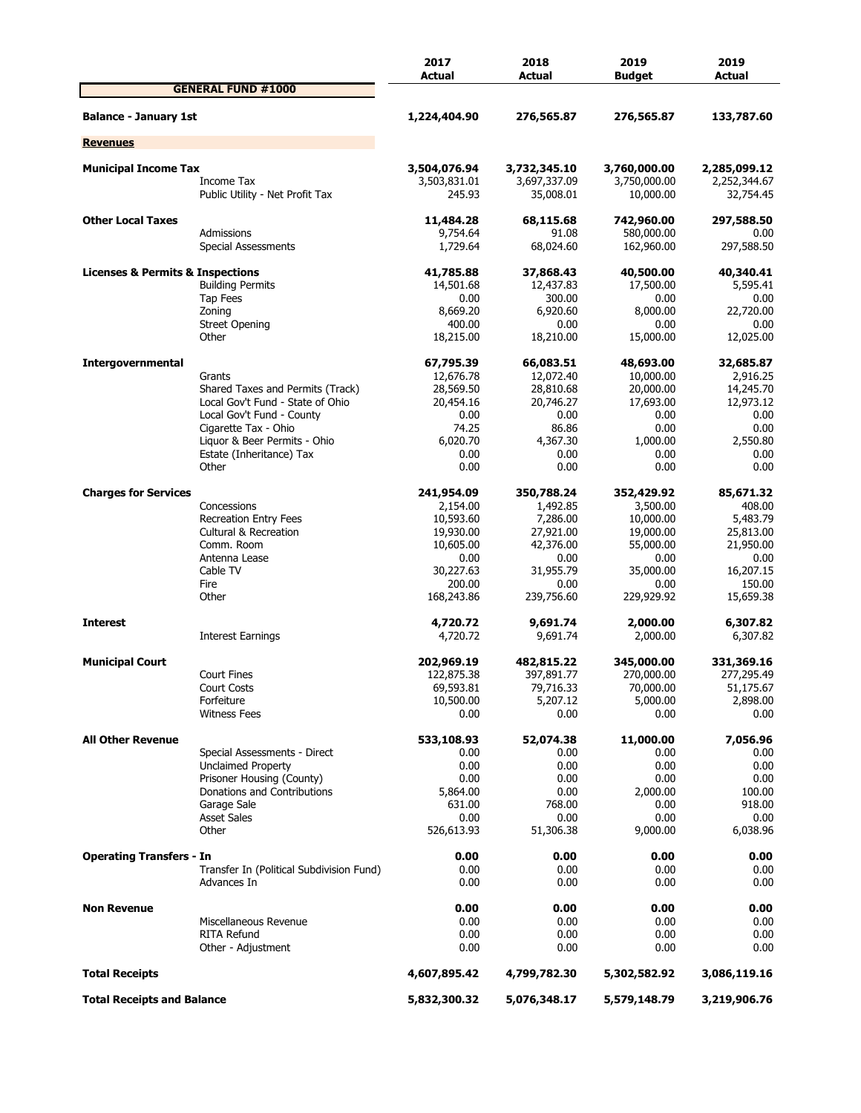|                                                 |                                                      | 2017<br>Actual               | 2018<br>Actual               | 2019<br><b>Budget</b>        | 2019<br>Actual               |
|-------------------------------------------------|------------------------------------------------------|------------------------------|------------------------------|------------------------------|------------------------------|
|                                                 | <b>GENERAL FUND #1000</b>                            |                              |                              |                              |                              |
| <b>Balance - January 1st</b>                    |                                                      | 1,224,404.90                 | 276,565.87                   | 276,565.87                   | 133,787.60                   |
| <b>Revenues</b>                                 |                                                      |                              |                              |                              |                              |
|                                                 |                                                      |                              |                              |                              |                              |
| <b>Municipal Income Tax</b>                     | Income Tax                                           | 3,504,076.94<br>3,503,831.01 | 3,732,345.10<br>3,697,337.09 | 3,760,000.00<br>3,750,000.00 | 2,285,099.12<br>2,252,344.67 |
|                                                 | Public Utility - Net Profit Tax                      | 245.93                       | 35,008.01                    | 10,000.00                    | 32,754.45                    |
| <b>Other Local Taxes</b>                        |                                                      | 11,484.28                    | 68,115.68                    | 742,960.00                   | 297,588.50                   |
|                                                 | Admissions<br>Special Assessments                    | 9,754.64<br>1,729.64         | 91.08<br>68,024.60           | 580,000.00<br>162,960.00     | 0.00<br>297,588.50           |
| <b>Licenses &amp; Permits &amp; Inspections</b> |                                                      | 41,785.88                    | 37,868.43                    | 40,500.00                    | 40,340.41                    |
|                                                 | <b>Building Permits</b>                              | 14,501.68                    | 12,437.83                    | 17,500.00                    | 5,595.41                     |
|                                                 | Tap Fees                                             | 0.00                         | 300.00                       | 0.00                         | 0.00                         |
|                                                 | Zoning                                               | 8,669.20                     | 6,920.60                     | 8,000.00                     | 22,720.00                    |
|                                                 | <b>Street Opening</b>                                | 400.00                       | 0.00                         | 0.00                         | 0.00                         |
|                                                 | Other                                                | 18,215.00                    | 18,210.00                    | 15,000.00                    | 12,025.00                    |
| Intergovernmental                               |                                                      | 67,795.39                    | 66,083.51                    | 48,693.00                    | 32,685.87                    |
|                                                 | Grants                                               | 12,676.78                    | 12,072.40                    | 10,000.00                    | 2,916.25                     |
|                                                 | Shared Taxes and Permits (Track)                     | 28,569.50                    | 28,810.68                    | 20,000.00                    | 14,245.70                    |
|                                                 | Local Gov't Fund - State of Ohio                     | 20,454.16                    | 20,746.27                    | 17,693.00                    | 12,973.12                    |
|                                                 | Local Gov't Fund - County                            | 0.00                         | 0.00                         | 0.00                         | 0.00                         |
|                                                 | Cigarette Tax - Ohio<br>Liquor & Beer Permits - Ohio | 74.25<br>6,020,70            | 86.86<br>4,367.30            | 0.00                         | 0.00<br>2,550.80             |
|                                                 | Estate (Inheritance) Tax                             | 0.00                         | 0.00                         | 1,000.00<br>0.00             | 0.00                         |
|                                                 | Other                                                | 0.00                         | 0.00                         | 0.00                         | 0.00                         |
| <b>Charges for Services</b>                     |                                                      | 241,954.09                   | 350,788.24                   | 352,429.92                   | 85,671.32                    |
|                                                 | Concessions                                          | 2,154.00                     | 1,492.85                     | 3,500.00                     | 408.00                       |
|                                                 | <b>Recreation Entry Fees</b>                         | 10,593.60                    | 7,286.00                     | 10,000.00                    | 5,483.79                     |
|                                                 | <b>Cultural &amp; Recreation</b>                     | 19,930.00                    | 27,921.00                    | 19,000.00                    | 25,813.00                    |
|                                                 | Comm. Room                                           | 10,605.00                    | 42,376.00                    | 55,000.00                    | 21,950.00                    |
|                                                 | Antenna Lease                                        | 0.00                         | 0.00                         | 0.00                         | 0.00                         |
|                                                 | Cable TV                                             | 30,227.63                    | 31,955.79                    | 35,000.00                    | 16,207.15                    |
|                                                 | Fire                                                 | 200.00                       | 0.00                         | 0.00                         | 150.00                       |
|                                                 | Other                                                | 168,243.86                   | 239,756.60                   | 229,929.92                   | 15,659.38                    |
| <b>Interest</b>                                 |                                                      | 4,720.72                     | 9,691.74                     | 2,000.00                     | 6,307.82                     |
|                                                 | Interest Earnings                                    | 4,720.72                     | 9,691.74                     | 2,000.00                     | 6,307.82                     |
| <b>Municipal Court</b>                          |                                                      | 202,969.19                   | 482,815.22                   | 345,000.00                   | 331,369.16                   |
|                                                 | <b>Court Fines</b>                                   | 122,875.38                   | 397,891.77                   | 270,000.00                   | 277,295.49                   |
|                                                 | Court Costs                                          | 69,593.81                    | 79,716.33                    | 70,000.00                    | 51,175.67                    |
|                                                 | Forfeiture                                           | 10,500.00                    | 5,207.12                     | 5,000.00                     | 2,898.00                     |
|                                                 | <b>Witness Fees</b>                                  | 0.00                         | 0.00                         | 0.00                         | 0.00                         |
| <b>All Other Revenue</b>                        |                                                      | 533,108.93                   | 52,074.38                    | 11,000.00                    | 7,056.96                     |
|                                                 | Special Assessments - Direct                         | 0.00                         | 0.00                         | 0.00                         | 0.00                         |
|                                                 | <b>Unclaimed Property</b>                            | 0.00                         | 0.00                         | 0.00                         | 0.00                         |
|                                                 | Prisoner Housing (County)                            | 0.00                         | 0.00                         | 0.00                         | 0.00                         |
|                                                 | Donations and Contributions<br>Garage Sale           | 5,864.00<br>631.00           | 0.00<br>768.00               | 2,000.00<br>0.00             | 100.00<br>918.00             |
|                                                 | <b>Asset Sales</b>                                   | 0.00                         | 0.00                         | 0.00                         | 0.00                         |
|                                                 | Other                                                | 526,613.93                   | 51,306.38                    | 9,000.00                     | 6,038.96                     |
| <b>Operating Transfers - In</b>                 |                                                      | 0.00                         |                              | 0.00                         | 0.00                         |
|                                                 | Transfer In (Political Subdivision Fund)             | 0.00                         | 0.00<br>0.00                 | 0.00                         | 0.00                         |
|                                                 | Advances In                                          | 0.00                         | 0.00                         | 0.00                         | 0.00                         |
| <b>Non Revenue</b>                              |                                                      | 0.00                         | 0.00                         | 0.00                         | 0.00                         |
|                                                 | Miscellaneous Revenue                                | 0.00                         | 0.00                         | 0.00                         | 0.00                         |
|                                                 | <b>RITA Refund</b>                                   | 0.00                         | 0.00                         | 0.00                         | 0.00                         |
|                                                 | Other - Adjustment                                   | 0.00                         | 0.00                         | 0.00                         | 0.00                         |
| <b>Total Receipts</b>                           |                                                      | 4,607,895.42                 | 4,799,782.30                 | 5,302,582.92                 | 3,086,119.16                 |
| <b>Total Receipts and Balance</b>               |                                                      | 5,832,300.32                 | 5,076,348.17                 | 5,579,148.79                 | 3,219,906.76                 |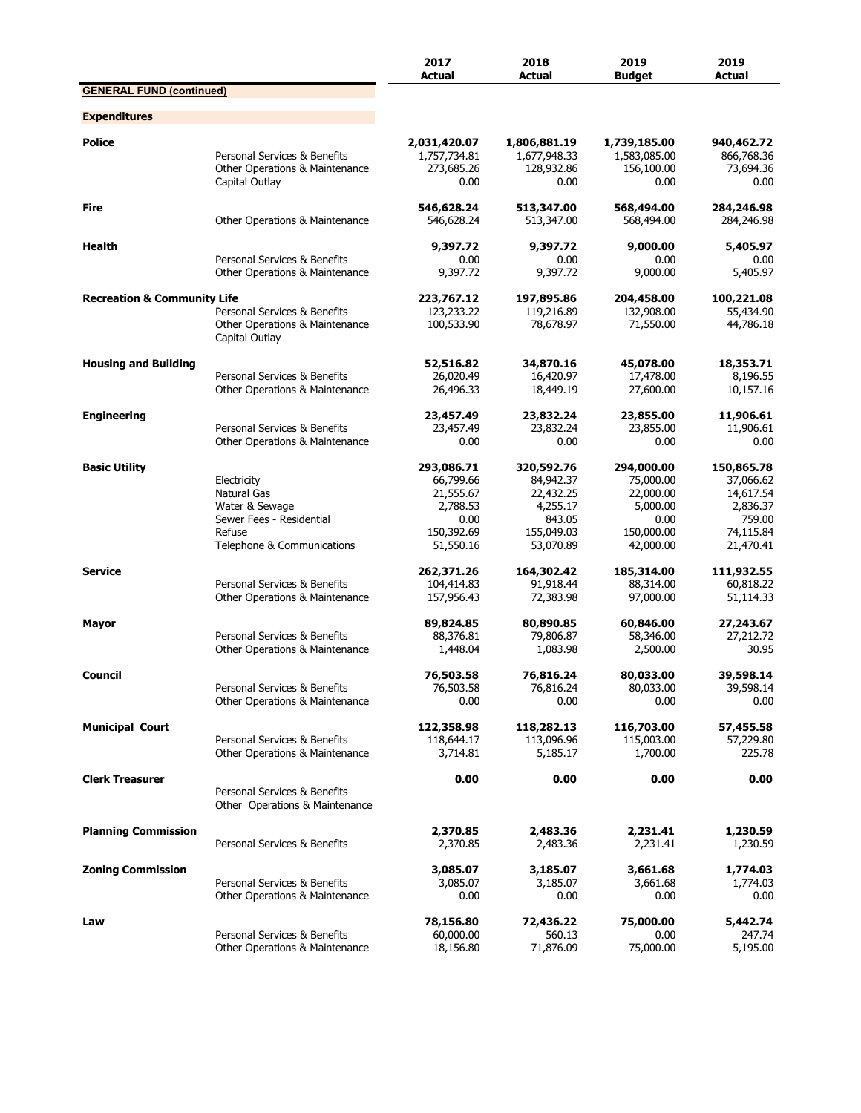|                                        |                                                                                                                  | 2017<br><b>Actual</b>                                                               | 2018<br><b>Actual</b>                                                                 | 2019<br><b>Budget</b>                                                               | 2019<br><b>Actual</b>                                                                |
|----------------------------------------|------------------------------------------------------------------------------------------------------------------|-------------------------------------------------------------------------------------|---------------------------------------------------------------------------------------|-------------------------------------------------------------------------------------|--------------------------------------------------------------------------------------|
| <b>GENERAL FUND (continued)</b>        |                                                                                                                  |                                                                                     |                                                                                       |                                                                                     |                                                                                      |
| <b>Expenditures</b>                    |                                                                                                                  |                                                                                     |                                                                                       |                                                                                     |                                                                                      |
| <b>Police</b>                          | Personal Services & Benefits<br>Other Operations & Maintenance<br>Capital Outlay                                 | 2,031,420.07<br>1,757,734.81<br>273,685.26<br>0.00                                  | 1,806,881.19<br>1,677,948.33<br>128,932.86<br>0.00                                    | 1,739,185.00<br>1,583,085.00<br>156,100.00<br>0.00                                  | 940,462.72<br>866,768.36<br>73,694.36<br>0.00                                        |
| Fire                                   | Other Operations & Maintenance                                                                                   | 546,628.24<br>546,628.24                                                            | 513,347.00<br>513,347.00                                                              | 568,494.00<br>568,494.00                                                            | 284,246.98<br>284,246.98                                                             |
| <b>Health</b>                          | Personal Services & Benefits<br>Other Operations & Maintenance                                                   | 9,397.72<br>0.00<br>9,397.72                                                        | 9,397.72<br>0.00<br>9,397.72                                                          | 9,000.00<br>0.00<br>9,000.00                                                        | 5,405.97<br>0.00<br>5,405.97                                                         |
| <b>Recreation &amp; Community Life</b> | Personal Services & Benefits<br>Other Operations & Maintenance<br>Capital Outlay                                 | 223,767.12<br>123,233.22<br>100,533.90                                              | 197,895.86<br>119,216.89<br>78,678.97                                                 | 204,458.00<br>132,908.00<br>71,550.00                                               | 100,221.08<br>55,434.90<br>44,786.18                                                 |
| <b>Housing and Building</b>            | Personal Services & Benefits<br>Other Operations & Maintenance                                                   | 52,516.82<br>26,020.49<br>26,496.33                                                 | 34,870.16<br>16,420.97<br>18,449.19                                                   | 45,078.00<br>17,478.00<br>27,600.00                                                 | 18,353.71<br>8,196.55<br>10,157.16                                                   |
| <b>Engineering</b>                     | Personal Services & Benefits<br>Other Operations & Maintenance                                                   | 23,457.49<br>23,457.49<br>0.00                                                      | 23,832.24<br>23,832.24<br>0.00                                                        | 23,855.00<br>23,855.00<br>0.00                                                      | 11,906.61<br>11,906.61<br>0.00                                                       |
| <b>Basic Utility</b>                   | Electricity<br>Natural Gas<br>Water & Sewage<br>Sewer Fees - Residential<br>Refuse<br>Telephone & Communications | 293,086.71<br>66,799.66<br>21,555.67<br>2,788.53<br>0.00<br>150,392.69<br>51,550.16 | 320,592.76<br>84,942.37<br>22,432.25<br>4,255.17<br>843.05<br>155,049.03<br>53,070.89 | 294,000.00<br>75,000.00<br>22,000.00<br>5,000.00<br>0.00<br>150,000.00<br>42,000.00 | 150,865.78<br>37,066.62<br>14,617.54<br>2,836.37<br>759.00<br>74,115.84<br>21,470.41 |
| <b>Service</b>                         | Personal Services & Benefits<br>Other Operations & Maintenance                                                   | 262,371.26<br>104,414.83<br>157,956.43                                              | 164,302.42<br>91,918.44<br>72,383.98                                                  | 185,314.00<br>88,314.00<br>97,000.00                                                | 111,932.55<br>60,818.22<br>51,114.33                                                 |
| Mayor                                  | Personal Services & Benefits<br>Other Operations & Maintenance                                                   | 89,824.85<br>88,376.81<br>1,448.04                                                  | 80,890.85<br>79,806.87<br>1,083.98                                                    | 60,846.00<br>58,346.00<br>2,500.00                                                  | 27,243.67<br>27,212.72<br>30.95                                                      |
| Council                                | Personal Services & Benefits<br>Other Operations & Maintenance                                                   | 76,503.58<br>76,503.58<br>0.00                                                      | 76,816.24<br>76,816.24<br>0.00                                                        | 80,033.00<br>80,033.00<br>0.00                                                      | 39,598.14<br>39,598.14<br>0.00                                                       |
| <b>Municipal Court</b>                 | Personal Services & Benefits<br>Other Operations & Maintenance                                                   | 122,358.98<br>118,644.17<br>3,714.81                                                | 118,282.13<br>113,096.96<br>5,185.17                                                  | 116,703.00<br>115,003.00<br>1,700.00                                                | 57,455.58<br>57,229.80<br>225.78                                                     |
| <b>Clerk Treasurer</b>                 | Personal Services & Benefits<br>Other Operations & Maintenance                                                   | 0.00                                                                                | 0.00                                                                                  | 0.00                                                                                | 0.00                                                                                 |
| <b>Planning Commission</b>             | Personal Services & Benefits                                                                                     | 2,370.85<br>2,370.85                                                                | 2,483.36<br>2,483.36                                                                  | 2,231.41<br>2,231.41                                                                | 1,230.59<br>1,230.59                                                                 |
| <b>Zoning Commission</b>               | Personal Services & Benefits<br>Other Operations & Maintenance                                                   | 3,085.07<br>3,085.07<br>0.00                                                        | 3,185.07<br>3,185.07<br>0.00                                                          | 3,661.68<br>3,661.68<br>0.00                                                        | 1,774.03<br>1,774.03<br>0.00                                                         |
| Law                                    | Personal Services & Benefits<br>Other Operations & Maintenance                                                   | 78,156.80<br>60,000.00<br>18,156.80                                                 | 72,436.22<br>560.13<br>71,876.09                                                      | 75,000.00<br>0.00<br>75,000.00                                                      | 5,442.74<br>247.74<br>5,195.00                                                       |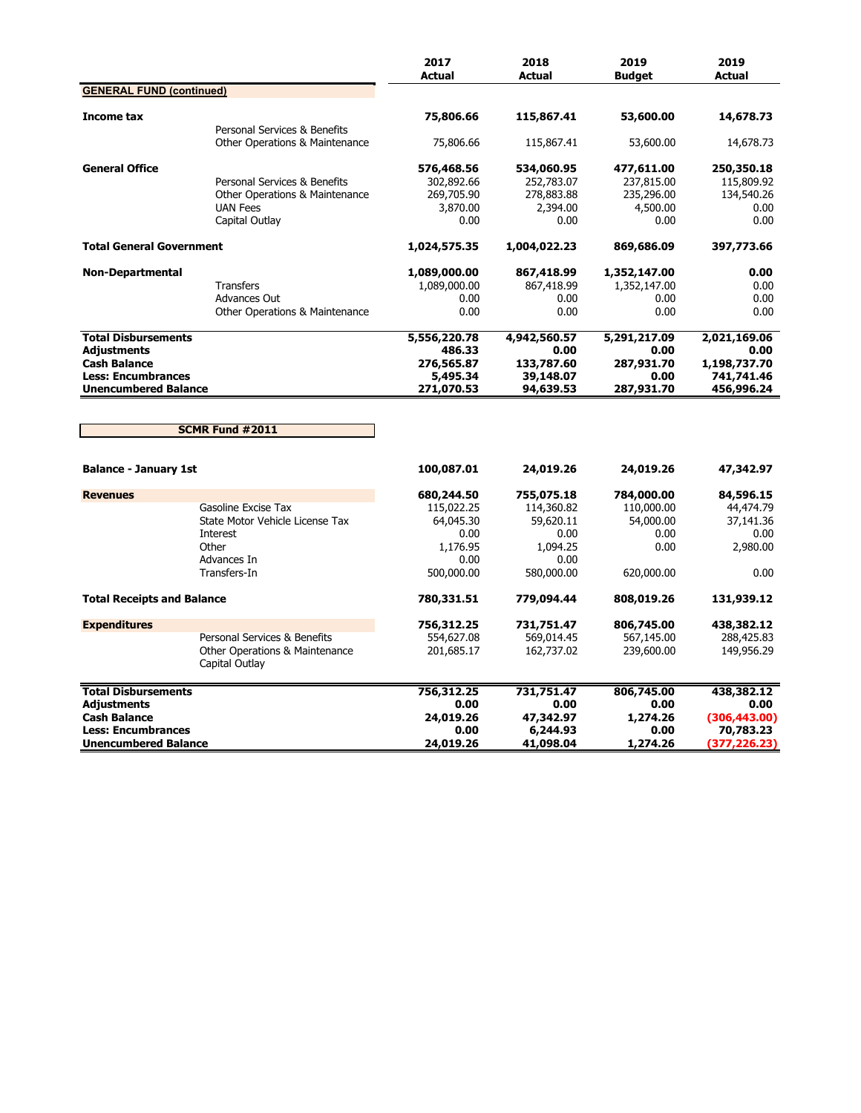|                                                                                                                                     |                                                                                                                | 2017<br><b>Actual</b>                                                           | 2018<br><b>Actual</b>                                                           | 2019<br><b>Budget</b>                                               | 2019<br><b>Actual</b>                                            |
|-------------------------------------------------------------------------------------------------------------------------------------|----------------------------------------------------------------------------------------------------------------|---------------------------------------------------------------------------------|---------------------------------------------------------------------------------|---------------------------------------------------------------------|------------------------------------------------------------------|
| <b>GENERAL FUND (continued)</b>                                                                                                     |                                                                                                                |                                                                                 |                                                                                 |                                                                     |                                                                  |
| Income tax                                                                                                                          | Personal Services & Benefits                                                                                   | 75,806.66                                                                       | 115,867.41                                                                      | 53,600.00                                                           | 14,678.73                                                        |
|                                                                                                                                     | <b>Other Operations &amp; Maintenance</b>                                                                      | 75,806.66                                                                       | 115,867.41                                                                      | 53,600.00                                                           | 14,678.73                                                        |
| <b>General Office</b>                                                                                                               | Personal Services & Benefits<br><b>Other Operations &amp; Maintenance</b><br><b>UAN Fees</b><br>Capital Outlay | 576,468.56<br>302,892.66<br>269,705.90<br>3,870.00<br>0.00                      | 534,060.95<br>252,783.07<br>278,883.88<br>2,394.00<br>0.00                      | 477,611.00<br>237,815.00<br>235,296.00<br>4,500.00<br>0.00          | 250,350.18<br>115,809.92<br>134,540.26<br>0.00<br>0.00           |
| <b>Total General Government</b>                                                                                                     |                                                                                                                | 1,024,575.35                                                                    | 1,004,022.23                                                                    | 869,686.09                                                          | 397,773.66                                                       |
| <b>Non-Departmental</b>                                                                                                             | <b>Transfers</b><br><b>Advances Out</b><br>Other Operations & Maintenance                                      | 1,089,000.00<br>1,089,000.00<br>0.00<br>0.00                                    | 867,418.99<br>867,418.99<br>0.00<br>0.00                                        | 1,352,147.00<br>1,352,147.00<br>0.00<br>0.00                        | 0.00<br>0.00<br>0.00<br>0.00                                     |
| <b>Total Disbursements</b>                                                                                                          |                                                                                                                | 5,556,220.78                                                                    | 4,942,560.57                                                                    | 5,291,217.09                                                        | 2,021,169.06                                                     |
| <b>Adjustments</b><br><b>Cash Balance</b><br><b>Less: Encumbrances</b><br><b>Unencumbered Balance</b>                               |                                                                                                                | 486.33<br>276,565.87<br>5,495.34<br>271,070.53                                  | 0.00<br>133,787.60<br>39,148.07<br>94,639.53                                    | 0.00<br>287,931.70<br>0.00<br>287,931.70                            | 0.00<br>1,198,737.70<br>741,741.46<br>456,996.24                 |
|                                                                                                                                     | <b>SCMR Fund #2011</b>                                                                                         |                                                                                 |                                                                                 |                                                                     |                                                                  |
| <b>Balance - January 1st</b>                                                                                                        |                                                                                                                | 100,087.01                                                                      | 24,019.26                                                                       | 24,019.26                                                           | 47,342.97                                                        |
| <b>Revenues</b>                                                                                                                     | Gasoline Excise Tax<br>State Motor Vehicle License Tax<br>Interest<br>Other<br>Advances In<br>Transfers-In     | 680,244.50<br>115,022.25<br>64,045.30<br>0.00<br>1,176.95<br>0.00<br>500,000.00 | 755,075.18<br>114,360.82<br>59,620.11<br>0.00<br>1,094.25<br>0.00<br>580,000.00 | 784,000.00<br>110,000.00<br>54,000.00<br>0.00<br>0.00<br>620,000.00 | 84,596.15<br>44,474.79<br>37,141.36<br>0.00<br>2,980.00<br>0.00  |
| <b>Total Receipts and Balance</b>                                                                                                   |                                                                                                                | 780,331.51                                                                      | 779,094.44                                                                      | 808,019.26                                                          | 131,939.12                                                       |
| <b>Expenditures</b>                                                                                                                 | Personal Services & Benefits<br>Other Operations & Maintenance<br>Capital Outlay                               | 756,312.25<br>554,627.08<br>201,685.17                                          | 731,751.47<br>569,014.45<br>162,737.02                                          | 806,745.00<br>567,145.00<br>239,600.00                              | 438,382.12<br>288,425.83<br>149,956.29                           |
| <b>Total Disbursements</b><br><b>Adjustments</b><br><b>Cash Balance</b><br><b>Less: Encumbrances</b><br><b>Unencumbered Balance</b> |                                                                                                                | 756,312.25<br>0.00<br>24,019.26<br>0.00<br>24,019.26                            | 731,751.47<br>0.00<br>47,342.97<br>6,244.93<br>41,098.04                        | 806,745.00<br>0.00<br>1,274.26<br>0.00<br>1,274.26                  | 438,382.12<br>0.00<br>(306, 443.00)<br>70,783.23<br>(377,226.23) |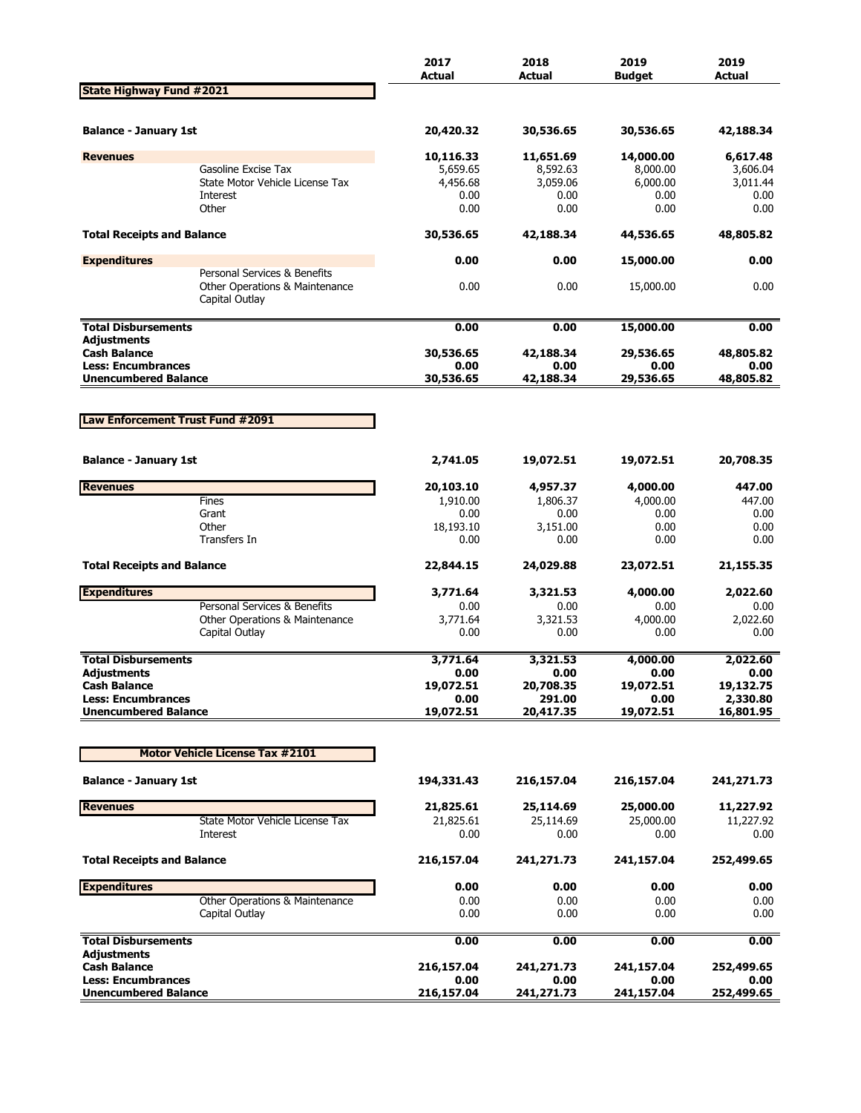|                                                  |                                                                                  | 2017<br><b>Actual</b> | 2018<br><b>Actual</b> | 2019<br><b>Budget</b> | 2019<br><b>Actual</b> |
|--------------------------------------------------|----------------------------------------------------------------------------------|-----------------------|-----------------------|-----------------------|-----------------------|
| <b>State Highway Fund #2021</b>                  |                                                                                  |                       |                       |                       |                       |
|                                                  |                                                                                  |                       |                       |                       | 42,188.34             |
| <b>Balance - January 1st</b>                     |                                                                                  | 20,420.32             | 30,536.65             | 30,536.65             |                       |
| <b>Revenues</b>                                  |                                                                                  | 10,116.33             | 11,651.69             | 14,000.00             | 6,617.48              |
|                                                  | Gasoline Excise Tax<br>State Motor Vehicle License Tax                           | 5,659.65<br>4,456.68  | 8,592.63<br>3,059.06  | 8,000.00<br>6,000.00  | 3,606.04<br>3,011.44  |
|                                                  | Interest                                                                         | 0.00                  | 0.00                  | 0.00                  | 0.00                  |
|                                                  | Other                                                                            | 0.00                  | 0.00                  | 0.00                  | 0.00                  |
| <b>Total Receipts and Balance</b>                |                                                                                  | 30,536.65             | 42,188.34             | 44,536.65             | 48,805.82             |
| <b>Expenditures</b>                              |                                                                                  | 0.00                  | 0.00                  | 15,000.00             | 0.00                  |
|                                                  | Personal Services & Benefits<br>Other Operations & Maintenance<br>Capital Outlay | 0.00                  | 0.00                  | 15,000.00             | 0.00                  |
| <b>Total Disbursements</b>                       |                                                                                  | 0.00                  | 0.00                  | 15,000.00             | 0.00                  |
| <b>Adjustments</b>                               |                                                                                  |                       |                       |                       |                       |
| <b>Cash Balance</b><br><b>Less: Encumbrances</b> |                                                                                  | 30,536.65<br>0.00     | 42,188.34<br>0.00     | 29,536.65<br>0.00     | 48,805.82<br>0.00     |
| <b>Unencumbered Balance</b>                      |                                                                                  | 30,536.65             | 42,188.34             | 29,536.65             | 48,805.82             |
|                                                  |                                                                                  |                       |                       |                       |                       |
| Law Enforcement Trust Fund #2091                 |                                                                                  |                       |                       |                       |                       |
|                                                  |                                                                                  |                       |                       |                       |                       |
| <b>Balance - January 1st</b>                     |                                                                                  | 2,741.05              | 19,072.51             | 19,072.51             | 20,708.35             |
| <b>Revenues</b>                                  |                                                                                  | 20,103.10             | 4,957.37              | 4,000.00              | 447.00                |
|                                                  | Fines                                                                            | 1,910.00              | 1,806.37              | 4,000.00              | 447.00                |
|                                                  | Grant                                                                            | 0.00                  | 0.00                  | 0.00                  | 0.00                  |
|                                                  | Other<br>Transfers In                                                            | 18,193.10<br>0.00     | 3,151.00<br>0.00      | 0.00<br>0.00          | 0.00<br>0.00          |
|                                                  |                                                                                  |                       |                       |                       |                       |
| <b>Total Receipts and Balance</b>                |                                                                                  | 22,844.15             | 24,029.88             | 23,072.51             | 21,155.35             |
| <b>Expenditures</b>                              | Personal Services & Benefits                                                     | 3,771.64              | 3,321.53              | 4,000.00              | 2,022.60              |
|                                                  | Other Operations & Maintenance                                                   | 0.00<br>3,771.64      | 0.00<br>3,321.53      | 0.00<br>4,000.00      | 0.00<br>2,022.60      |
|                                                  | Capital Outlay                                                                   | 0.00                  | 0.00                  | 0.00                  | 0.00                  |
| <b>Total Disbursements</b>                       |                                                                                  | 3,771.64              | 3,321.53              | 4,000.00              | 2,022.60              |
| Adjustments                                      |                                                                                  | 0.00                  | 0.00                  | 0.00                  | 0.00                  |
| <b>Cash Balance</b>                              |                                                                                  | 19,072.51             | 20,708.35             | 19,072.51             | 19,132.75             |
| <b>Less: Encumbrances</b>                        |                                                                                  | 0.00                  | 291.00                | 0.00                  | 2,330.80              |
| <b>Unencumbered Balance</b>                      |                                                                                  | 19,072.51             | 20,417.35             | 19,072.51             | 16,801.95             |
|                                                  | <b>Motor Vehicle License Tax #2101</b>                                           |                       |                       |                       |                       |
| <b>Balance - January 1st</b>                     |                                                                                  | 194,331.43            | 216,157.04            | 216,157.04            | 241,271.73            |
| <b>Revenues</b>                                  |                                                                                  | 21,825.61             | 25,114.69             | 25,000.00             | 11,227.92             |
|                                                  | State Motor Vehicle License Tax                                                  | 21,825.61             | 25,114.69             | 25,000.00             | 11,227.92             |
|                                                  | Interest                                                                         | 0.00                  | 0.00                  | 0.00                  | 0.00                  |
| <b>Total Receipts and Balance</b>                |                                                                                  | 216,157.04            | 241,271.73            | 241,157.04            | 252,499.65            |
| <b>Expenditures</b>                              |                                                                                  | 0.00                  | 0.00                  | 0.00                  | 0.00                  |
|                                                  | Other Operations & Maintenance                                                   | 0.00                  | 0.00                  | 0.00                  | 0.00                  |
|                                                  | Capital Outlay                                                                   | 0.00                  | 0.00                  | 0.00                  | 0.00                  |
| <b>Total Disbursements</b><br><b>Adjustments</b> |                                                                                  | 0.00                  | 0.00                  | 0.00                  | 0.00                  |
| <b>Cash Balance</b>                              |                                                                                  | 216,157.04            | 241, 271. 73          | 241,157.04            | 252,499.65            |
| <b>Less: Encumbrances</b>                        |                                                                                  | 0.00                  | 0.00                  | 0.00                  | 0.00                  |
| <b>Unencumbered Balance</b>                      |                                                                                  | 216,157.04            | 241,271.73            | 241,157.04            | 252,499.65            |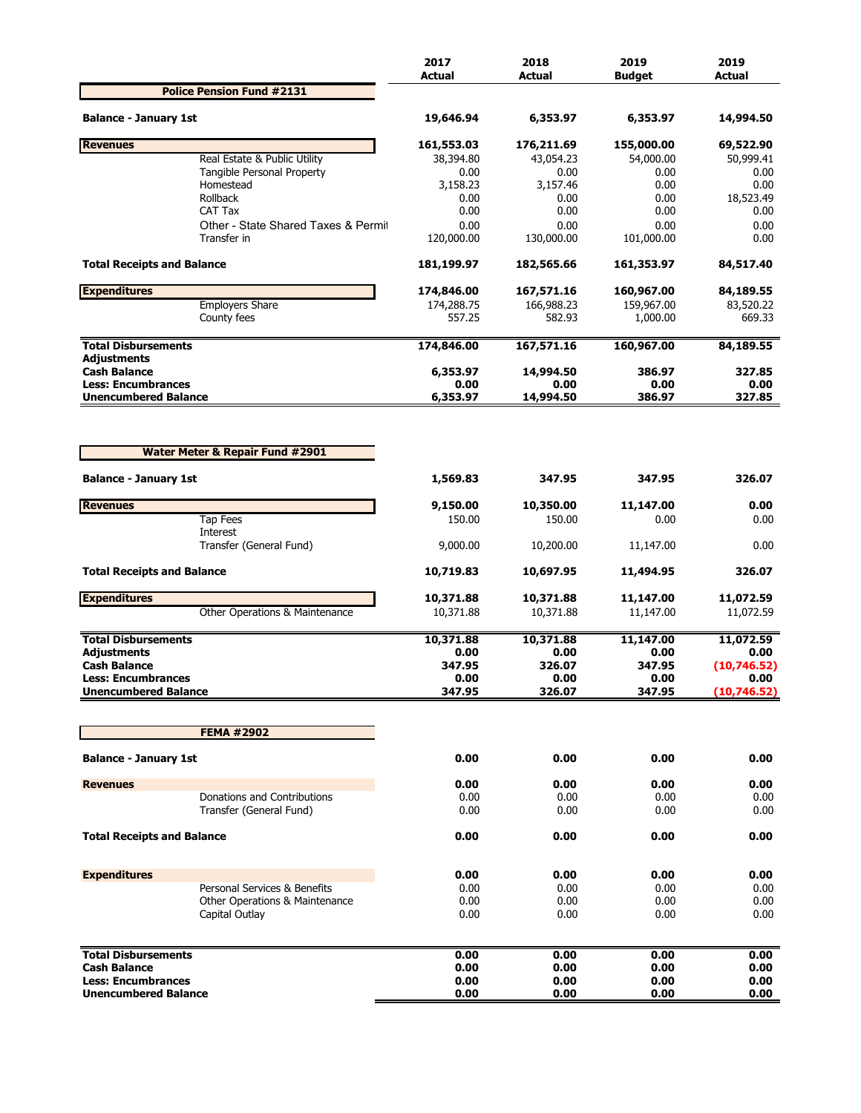|                                                          |                                            | 2017<br><b>Actual</b> | 2018<br><b>Actual</b> | 2019<br><b>Budget</b> | 2019<br><b>Actual</b> |
|----------------------------------------------------------|--------------------------------------------|-----------------------|-----------------------|-----------------------|-----------------------|
|                                                          | <b>Police Pension Fund #2131</b>           |                       |                       |                       |                       |
| <b>Balance - January 1st</b>                             |                                            | 19,646.94             | 6,353.97              | 6,353.97              | 14,994.50             |
| <b>Revenues</b>                                          |                                            | 161,553.03            | 176,211.69            | 155,000.00            | 69,522.90             |
|                                                          | Real Estate & Public Utility               | 38,394.80             | 43,054.23             | 54,000.00             | 50,999.41             |
|                                                          | Tangible Personal Property<br>Homestead    | 0.00<br>3,158.23      | 0.00<br>3,157.46      | 0.00<br>0.00          | 0.00<br>0.00          |
|                                                          | Rollback                                   | 0.00                  | 0.00                  | 0.00                  | 18,523.49             |
|                                                          | CAT Tax                                    | 0.00                  | 0.00                  | 0.00                  | 0.00                  |
|                                                          | Other - State Shared Taxes & Permit        | 0.00                  | 0.00                  | 0.00                  | 0.00                  |
|                                                          | Transfer in                                | 120,000.00            | 130,000.00            | 101,000.00            | 0.00                  |
| <b>Total Receipts and Balance</b>                        |                                            | 181,199.97            | 182,565.66            | 161,353.97            | 84,517.40             |
| <b>Expenditures</b>                                      |                                            | 174,846.00            | 167,571.16            | 160,967.00            | 84,189.55             |
|                                                          | <b>Employers Share</b>                     | 174,288.75            | 166,988.23            | 159,967.00            | 83,520.22             |
|                                                          | County fees                                | 557.25                | 582.93                | 1,000.00              | 669.33                |
| <b>Total Disbursements</b><br><b>Adjustments</b>         |                                            | 174,846.00            | 167,571.16            | 160,967.00            | 84,189.55             |
| <b>Cash Balance</b>                                      |                                            | 6,353.97              | 14,994.50             | 386.97                | 327.85                |
| <b>Less: Encumbrances</b><br><b>Unencumbered Balance</b> |                                            | 0.00<br>6,353.97      | 0.00<br>14,994.50     | 0.00<br>386.97        | 0.00<br>327.85        |
|                                                          | <b>Water Meter &amp; Repair Fund #2901</b> |                       |                       |                       |                       |
| <b>Balance - January 1st</b>                             |                                            | 1,569.83              | 347.95                | 347.95                | 326.07                |
| <b>Revenues</b>                                          |                                            | 9,150.00              | 10,350.00             | 11,147.00             | 0.00                  |
|                                                          | <b>Tap Fees</b>                            | 150.00                | 150.00                | 0.00                  | 0.00                  |
|                                                          | Interest<br>Transfer (General Fund)        | 9,000.00              | 10,200.00             | 11,147.00             | 0.00                  |
| <b>Total Receipts and Balance</b>                        |                                            | 10,719.83             | 10,697.95             | 11,494.95             | 326.07                |
| <b>Expenditures</b>                                      |                                            | 10,371.88             | 10,371.88             | 11,147.00             | 11,072.59             |
|                                                          | Other Operations & Maintenance             | 10,371.88             | 10,371.88             | 11,147.00             | 11,072.59             |
| <b>Total Disbursements</b>                               |                                            | 10,371.88             | 10,371.88             | 11,147.00             | 11,072.59             |
| Adjustments                                              |                                            | 0.00                  | 0.00                  | 0.00                  | 0.00                  |
| <b>Cash Balance</b>                                      |                                            | 347.95                | 326.07                | 347.95                | (10,746.52)           |
| <b>Less: Encumbrances</b><br><b>Unencumbered Balance</b> |                                            | 0.00<br>347.95        | 0.00<br>326.07        | 0.00<br>347.95        | 0.00<br>(10, 746.52)  |
|                                                          |                                            |                       |                       |                       |                       |
|                                                          | <b>FEMA #2902</b>                          |                       |                       |                       |                       |
| <b>Balance - January 1st</b>                             |                                            | 0.00                  | 0.00                  | 0.00                  | 0.00                  |
| <b>Revenues</b>                                          |                                            | 0.00                  | 0.00                  | 0.00                  | 0.00                  |
|                                                          | Donations and Contributions                | 0.00                  | 0.00                  | 0.00                  | 0.00                  |
|                                                          | Transfer (General Fund)                    | 0.00                  | 0.00                  | 0.00                  | 0.00                  |
| <b>Total Receipts and Balance</b>                        |                                            | 0.00                  | 0.00                  | 0.00                  | 0.00                  |
| <b>Expenditures</b>                                      |                                            | 0.00                  | 0.00                  | 0.00                  | 0.00                  |
|                                                          | Personal Services & Benefits               | 0.00                  | 0.00                  | 0.00                  | 0.00                  |
|                                                          | Other Operations & Maintenance             | 0.00                  | 0.00                  | 0.00                  | 0.00                  |
|                                                          | Capital Outlay                             | 0.00                  | 0.00                  | 0.00                  | 0.00                  |
| <b>Total Disbursements</b>                               |                                            | 0.00                  | 0.00                  | 0.00                  | 0.00                  |
| <b>Cash Balance</b>                                      |                                            | 0.00                  | 0.00                  | 0.00                  | 0.00                  |
| <b>Less: Encumbrances</b>                                |                                            | 0.00                  | 0.00                  | 0.00                  | 0.00                  |
| <b>Unencumbered Balance</b>                              |                                            | 0.00                  | 0.00                  | 0.00                  | 0.00                  |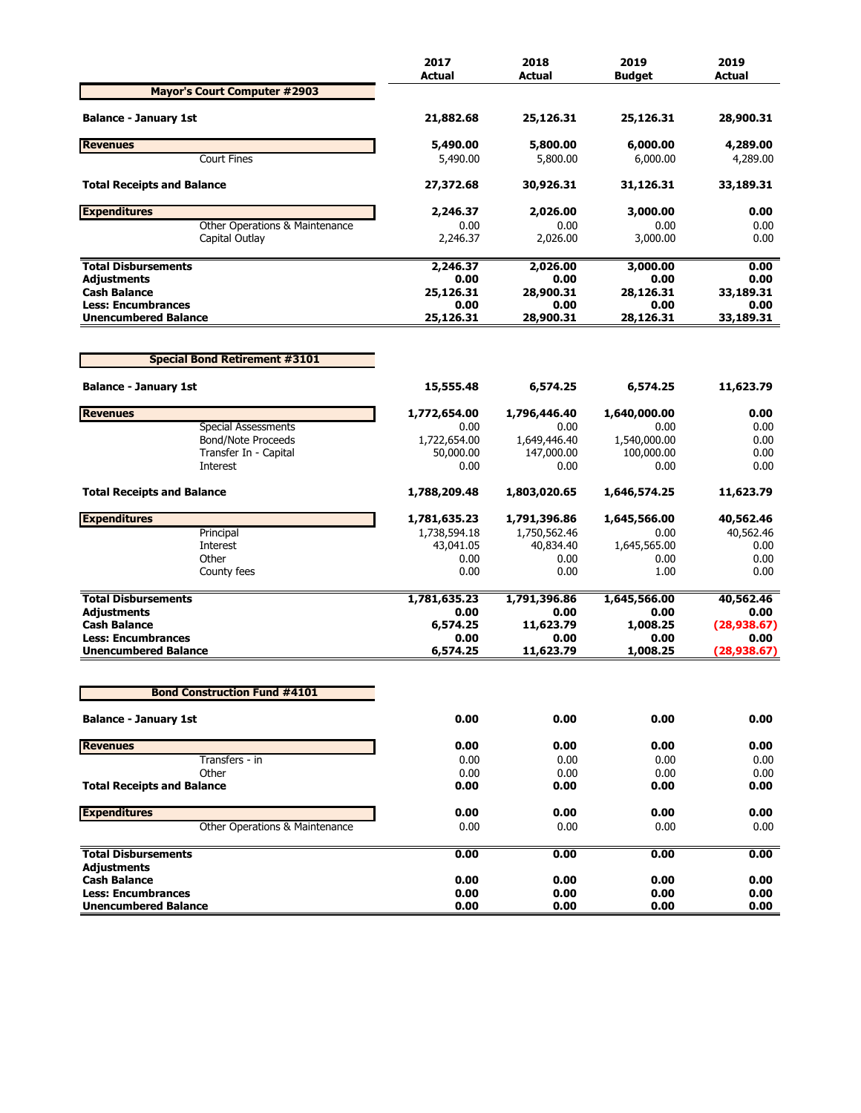|                                                          | 2017<br><b>Actual</b> | 2018<br>Actual    | 2019<br><b>Budaet</b> | 2019<br><b>Actual</b> |
|----------------------------------------------------------|-----------------------|-------------------|-----------------------|-----------------------|
| <b>Mayor's Court Computer #2903</b>                      |                       |                   |                       |                       |
| <b>Balance - January 1st</b>                             | 21,882.68             | 25,126.31         | 25,126.31             | 28,900.31             |
| <b>Revenues</b>                                          | 5,490.00              | 5,800.00          | 6,000.00              | 4,289.00              |
| <b>Court Fines</b>                                       | 5,490.00              | 5,800.00          | 6,000.00              | 4,289.00              |
| <b>Total Receipts and Balance</b>                        | 27,372.68             | 30,926.31         | 31,126.31             | 33,189.31             |
| <b>Expenditures</b>                                      | 2,246.37              | 2,026.00          | 3,000.00              | 0.00                  |
| Other Operations & Maintenance                           | 0.00                  | 0.00              | 0.00                  | 0.00                  |
| Capital Outlay                                           | 2,246.37              | 2,026.00          | 3,000.00              | 0.00                  |
| <b>Total Disbursements</b>                               | 2,246.37              | 2,026.00          | 3,000.00              | 0.00                  |
| <b>Adjustments</b>                                       | 0.00                  | 0.00              | 0.00                  | 0.00                  |
| <b>Cash Balance</b>                                      | 25,126.31             | 28,900.31         | 28,126.31             | 33,189.31             |
| <b>Less: Encumbrances</b><br><b>Unencumbered Balance</b> | 0.00<br>25,126.31     | 0.00<br>28,900.31 | 0.00<br>28,126.31     | 0.00<br>33,189.31     |
|                                                          |                       |                   |                       |                       |
| <b>Special Bond Retirement #3101</b>                     |                       |                   |                       |                       |
| <b>Balance - January 1st</b>                             | 15,555.48             | 6,574.25          | 6,574.25              | 11,623.79             |
| <b>Revenues</b>                                          | 1,772,654.00          | 1,796,446.40      | 1,640,000.00          | 0.00                  |
| <b>Special Assessments</b>                               | 0.00                  | 0.00              | 0.00                  | 0.00                  |
| <b>Bond/Note Proceeds</b>                                | 1,722,654.00          | 1,649,446.40      | 1,540,000.00          | 0.00                  |
| Transfer In - Capital                                    | 50,000.00             | 147,000.00        | 100,000.00            | 0.00                  |
| Interest                                                 | 0.00                  | 0.00              | 0.00                  | 0.00                  |
| <b>Total Receipts and Balance</b>                        | 1,788,209.48          | 1,803,020.65      | 1,646,574.25          | 11,623.79             |
| <b>Expenditures</b>                                      | 1,781,635.23          | 1,791,396.86      | 1,645,566.00          | 40,562.46             |
| Principal                                                | 1,738,594.18          | 1,750,562.46      | 0.00                  | 40,562.46             |
| Interest                                                 | 43,041.05             | 40,834.40         | 1,645,565.00          | 0.00                  |
| Other                                                    | 0.00                  | 0.00              | 0.00                  | 0.00                  |
| County fees                                              | 0.00                  | 0.00              | 1.00                  | 0.00                  |
| <b>Total Disbursements</b>                               | 1,781,635.23          | 1,791,396.86      | 1,645,566.00          | 40,562.46             |
| <b>Adjustments</b>                                       | 0.00                  | 0.00              | 0.00                  | 0.00                  |
| <b>Cash Balance</b>                                      | 6,574.25              | 11,623.79         | 1,008.25              | (28,938.67)           |
| <b>Less: Encumbrances</b>                                | 0.00                  | 0.00              | 0.00                  | 0.00                  |
| <b>Unencumbered Balance</b>                              | 6,574.25              | 11,623.79         | 1,008.25              | (28,938.67)           |
| <b>Bond Construction Fund #4101</b>                      |                       |                   |                       |                       |
|                                                          |                       |                   |                       |                       |
| <b>Balance - January 1st</b>                             | 0.00                  | 0.00              | 0.00                  | 0.00                  |
| <b>Revenues</b>                                          | 0.00                  | 0.00              | 0.00                  | 0.00                  |
| Transfers - in                                           | 0.00                  | 0.00              | 0.00                  | 0.00                  |
| Other                                                    | 0.00                  | 0.00              | 0.00                  | 0.00                  |
| <b>Total Receipts and Balance</b>                        | 0.00                  | 0.00              | 0.00                  | 0.00                  |
| <b>Expenditures</b>                                      | 0.00                  | 0.00              | 0.00                  | 0.00                  |
| Other Operations & Maintenance                           | 0.00                  | 0.00              | 0.00                  | 0.00                  |
| <b>Total Disbursements</b>                               | 0.00                  | 0.00              | 0.00                  | 0.00                  |
| <b>Adjustments</b>                                       |                       |                   |                       |                       |
| <b>Cash Balance</b>                                      | 0.00                  | 0.00              | 0.00                  | 0.00                  |
| <b>Less: Encumbrances</b><br><b>Unencumbered Balance</b> | 0.00<br>0.00          | 0.00<br>0.00      | 0.00<br>0.00          | 0.00<br>0.00          |
|                                                          |                       |                   |                       |                       |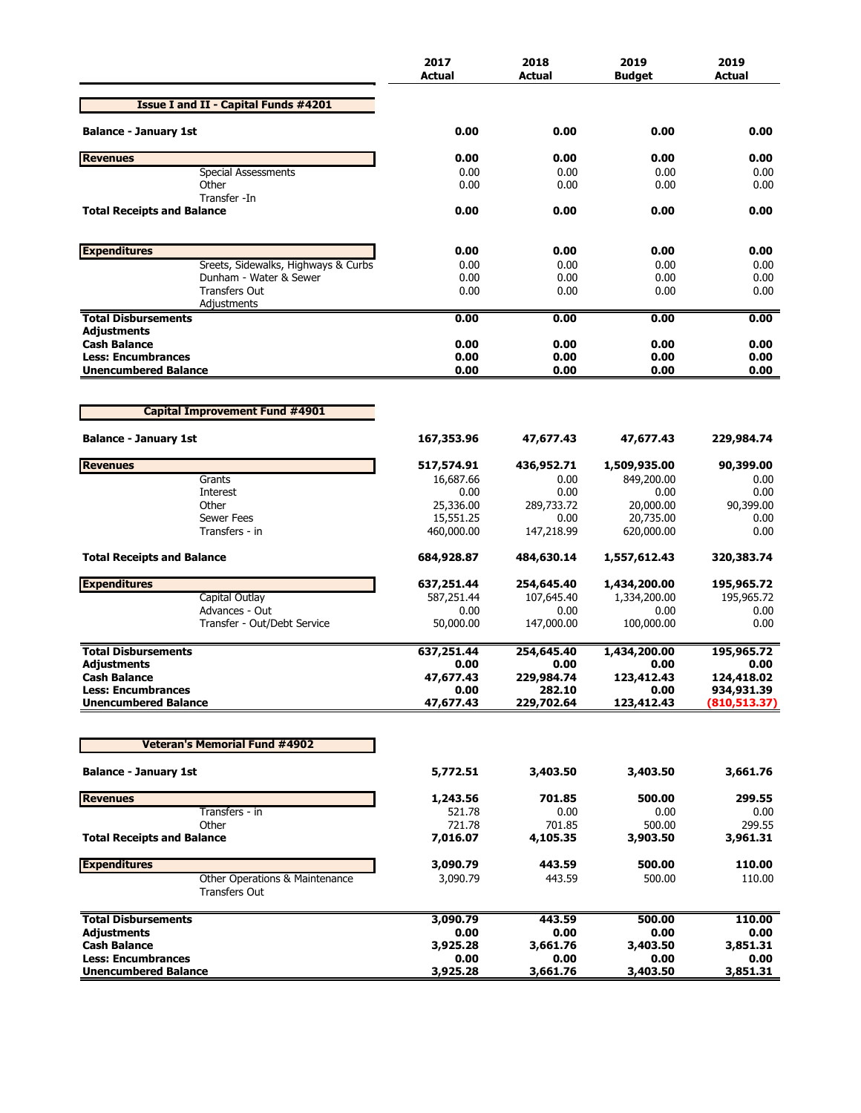|                                                          | 2017<br><b>Actual</b> | 2018<br><b>Actual</b> | 2019<br><b>Budget</b> | 2019<br>Actual     |
|----------------------------------------------------------|-----------------------|-----------------------|-----------------------|--------------------|
| <b>Issue I and II - Capital Funds #4201</b>              |                       |                       |                       |                    |
| <b>Balance - January 1st</b>                             | 0.00                  | 0.00                  | 0.00                  | 0.00               |
| <b>Revenues</b>                                          | 0.00                  | 0.00                  | 0.00                  | 0.00               |
| <b>Special Assessments</b>                               | 0.00                  | 0.00                  | 0.00                  | 0.00               |
| Other<br>Transfer -In                                    | 0.00                  | 0.00                  | 0.00                  | 0.00               |
| <b>Total Receipts and Balance</b>                        | 0.00                  | 0.00                  | 0.00                  | 0.00               |
| <b>Expenditures</b>                                      | 0.00                  | 0.00                  | 0.00                  | 0.00               |
| Sreets, Sidewalks, Highways & Curbs                      | 0.00                  | 0.00                  | 0.00                  | 0.00               |
| Dunham - Water & Sewer                                   | 0.00                  | 0.00                  | 0.00                  | 0.00               |
| <b>Transfers Out</b><br>Adjustments                      | 0.00                  | 0.00                  | 0.00                  | 0.00               |
| <b>Total Disbursements</b>                               | 0.00                  | 0.00                  | 0.00                  | 0.00               |
| Adjustments<br><b>Cash Balance</b>                       | 0.00                  | 0.00                  | 0.00                  | 0.00               |
| <b>Less: Encumbrances</b>                                | 0.00                  | 0.00                  | 0.00                  | 0.00               |
| <b>Unencumbered Balance</b>                              | 0.00                  | 0.00                  | 0.00                  | 0.00               |
|                                                          |                       |                       |                       |                    |
| <b>Capital Improvement Fund #4901</b>                    |                       |                       |                       |                    |
| <b>Balance - January 1st</b>                             | 167,353.96            | 47,677.43             | 47,677.43             | 229,984.74         |
| <b>Revenues</b>                                          | 517,574.91            | 436,952.71            | 1,509,935.00          | 90,399.00          |
| Grants                                                   | 16,687.66             | 0.00                  | 849,200.00            | 0.00               |
| Interest<br>Other                                        | 0.00<br>25,336.00     | 0.00<br>289,733.72    | 0.00<br>20,000.00     | 0.00<br>90,399.00  |
| <b>Sewer Fees</b>                                        | 15,551.25             | 0.00                  | 20,735.00             | 0.00               |
| Transfers - in                                           | 460,000.00            | 147,218.99            | 620,000.00            | 0.00               |
| <b>Total Receipts and Balance</b>                        | 684,928.87            | 484,630.14            | 1,557,612.43          | 320,383.74         |
| <b>Expenditures</b>                                      | 637,251.44            | 254,645.40            | 1,434,200.00          | 195,965.72         |
| Capital Outlay                                           | 587,251.44            | 107,645.40            | 1,334,200.00          | 195,965.72         |
| Advances - Out<br>Transfer - Out/Debt Service            | 0.00<br>50,000.00     | 0.00<br>147,000.00    | 0.00<br>100,000.00    | 0.00<br>0.00       |
|                                                          |                       |                       |                       |                    |
| <b>Total Disbursements</b>                               | 637,251.44            | 254,645.40            | 1,434,200.00          | 195,965.72         |
| Adjustments<br><b>Cash Balance</b>                       | 0.00<br>47,677.43     | 0.00<br>229,984.74    | 0.00<br>123,412.43    | 0.00<br>124,418.02 |
| <b>Less: Encumbrances</b>                                | 0.00                  | 282.10                | 0.00                  | 934,931.39         |
| <b>Unencumbered Balance</b>                              | 47,677.43             | 229,702.64            | 123,412.43            | (810, 513.37)      |
| <b>Veteran's Memorial Fund #4902</b>                     |                       |                       |                       |                    |
|                                                          |                       |                       |                       |                    |
| <b>Balance - January 1st</b>                             | 5,772.51              | 3,403.50              | 3,403.50              | 3,661.76           |
| <b>Revenues</b>                                          | 1,243.56              | 701.85                | 500.00                | 299.55             |
| Transfers - in                                           | 521.78                | 0.00                  | 0.00                  | 0.00               |
| Other<br><b>Total Receipts and Balance</b>               | 721.78<br>7,016.07    | 701.85<br>4,105.35    | 500.00<br>3,903.50    | 299.55<br>3,961.31 |
|                                                          |                       |                       |                       |                    |
| <b>Expenditures</b><br>Other Operations & Maintenance    | 3,090.79<br>3,090.79  | 443.59<br>443.59      | 500.00<br>500.00      | 110.00<br>110.00   |
| <b>Transfers Out</b>                                     |                       |                       |                       |                    |
| <b>Total Disbursements</b>                               | 3,090.79              | 443.59                | 500.00                | 110.00             |
| Adjustments                                              | 0.00                  | 0.00                  | 0.00                  | 0.00               |
| <b>Cash Balance</b>                                      | 3,925.28              | 3,661.76              | 3,403.50              | 3,851.31           |
| <b>Less: Encumbrances</b><br><b>Unencumbered Balance</b> | 0.00<br>3,925.28      | 0.00<br>3,661.76      | 0.00<br>3,403.50      | 0.00<br>3,851.31   |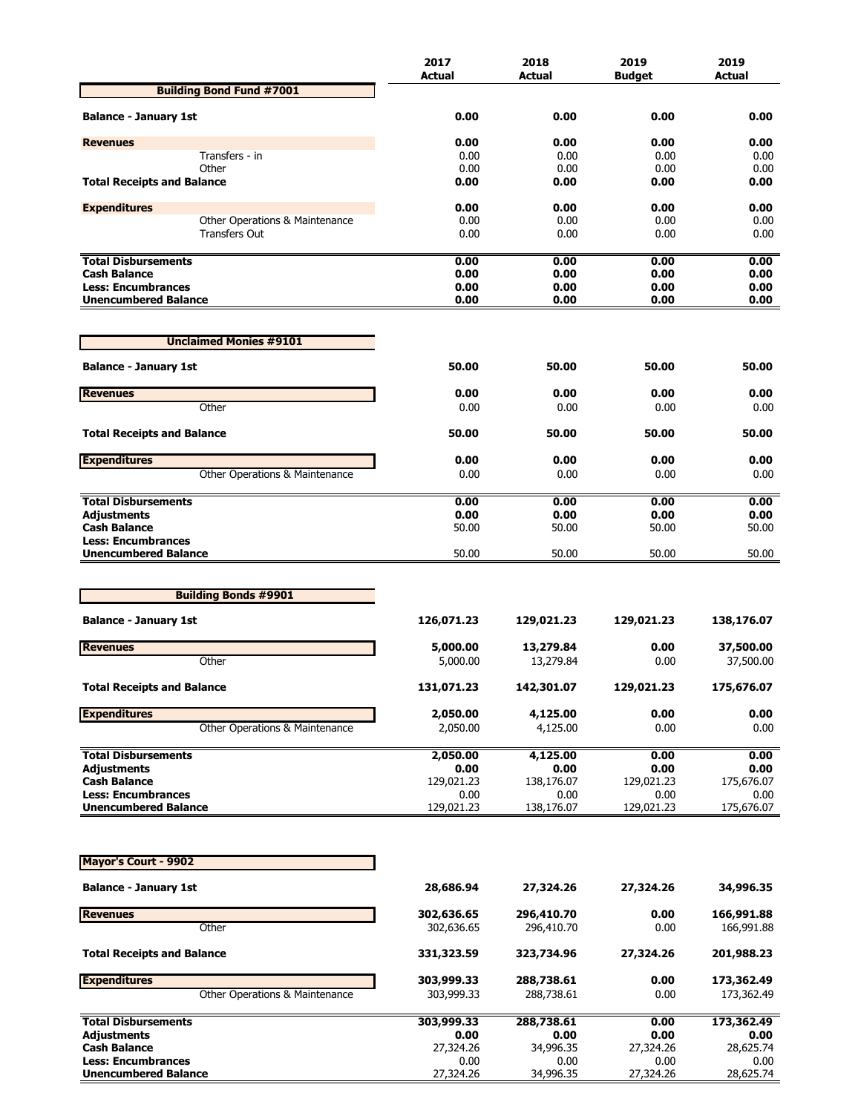|                                                          | 2017               | 2018               | 2019               | 2019               |
|----------------------------------------------------------|--------------------|--------------------|--------------------|--------------------|
|                                                          | <b>Actual</b>      | Actual             | <b>Budget</b>      | <b>Actual</b>      |
| <b>Building Bond Fund #7001</b>                          |                    |                    |                    |                    |
| <b>Balance - January 1st</b>                             | 0.00               | 0.00               | 0.00               | 0.00               |
| <b>Revenues</b>                                          | 0.00               | 0.00               | 0.00               | 0.00               |
| Transfers - in                                           | 0.00               | 0.00               | 0.00               | 0.00               |
| Other                                                    | 0.00               | 0.00               | 0.00               | 0.00               |
| <b>Total Receipts and Balance</b>                        | 0.00               | 0.00               | 0.00               | 0.00               |
| <b>Expenditures</b>                                      | 0.00               | 0.00               | 0.00               | 0.00               |
| Other Operations & Maintenance                           | 0.00               | 0.00               | 0.00               | 0.00               |
| Transfers Out                                            | 0.00               | 0.00               | 0.00               | 0.00               |
| <b>Total Disbursements</b>                               | 0.00               | 0.00               | 0.00               | 0.00               |
| <b>Cash Balance</b>                                      | 0.00               | 0.00               | 0.00               | 0.00               |
| <b>Less: Encumbrances</b>                                | 0.00               | 0.00               | 0.00               | 0.00               |
| <b>Unencumbered Balance</b>                              | 0.00               | 0.00               | 0.00               | 0.00               |
| <b>Unclaimed Monies #9101</b>                            |                    |                    |                    |                    |
| <b>Balance - January 1st</b>                             | 50.00              | 50.00              | 50.00              | 50.00              |
|                                                          |                    |                    |                    |                    |
| <b>Revenues</b><br>Other                                 | 0.00<br>0.00       | 0.00<br>0.00       | 0.00<br>0.00       | 0.00<br>0.00       |
|                                                          |                    |                    |                    |                    |
| <b>Total Receipts and Balance</b>                        | 50.00              | 50.00              | 50.00              | 50.00              |
| <b>Expenditures</b>                                      | 0.00               | 0.00               | 0.00               | 0.00               |
| Other Operations & Maintenance                           | 0.00               | 0.00               | 0.00               | 0.00               |
| <b>Total Disbursements</b>                               | 0.00               | 0.00               | 0.00               | 0.00               |
| <b>Adjustments</b>                                       | 0.00               | 0.00               | 0.00               | 0.00               |
| <b>Cash Balance</b>                                      | 50.00              | 50.00              | 50.00              | 50.00              |
| <b>Less: Encumbrances</b>                                |                    |                    |                    |                    |
| <b>Unencumbered Balance</b>                              | 50.00              | 50.00              | 50.00              | 50.00              |
|                                                          |                    |                    |                    |                    |
| <b>Building Bonds #9901</b>                              |                    |                    |                    |                    |
| <b>Balance - January 1st</b>                             | 126,071.23         | 129,021.23         | 129,021.23         | 138,176.07         |
| <b>Revenues</b>                                          | 5,000.00           | 13,279.84          | 0.00               | 37,500.00          |
| Other                                                    | 5,000.00           | 13,279.84          | 0.00               | 37,500.00          |
|                                                          |                    |                    |                    |                    |
| <b>Total Receipts and Balance</b>                        | 131,071.23         | 142,301.07         | 129,021.23         | 175,676.07         |
| <b>Expenditures</b>                                      | 2,050.00           | 4,125.00           | 0.00               | 0.00               |
| Other Operations & Maintenance                           | 2,050.00           | 4,125.00           | 0.00               | 0.00               |
| <b>Total Disbursements</b>                               | 2,050.00           | 4,125.00           | 0.00               | 0.00               |
| <b>Adjustments</b>                                       | 0.00               | 0.00               | 0.00               | 0.00               |
| <b>Cash Balance</b>                                      | 129,021.23         | 138,176.07         | 129,021.23         | 175,676.07         |
| <b>Less: Encumbrances</b><br><b>Unencumbered Balance</b> | 0.00<br>129,021.23 | 0.00<br>138,176.07 | 0.00<br>129,021.23 | 0.00<br>175,676.07 |
|                                                          |                    |                    |                    |                    |
| <b>Mayor's Court - 9902</b>                              |                    |                    |                    |                    |
|                                                          |                    |                    |                    |                    |
| <b>Balance - January 1st</b>                             | 28,686.94          | 27,324.26          | 27,324.26          | 34,996.35          |
| <b>Revenues</b>                                          | 302,636.65         | 296,410.70         | 0.00               | 166,991.88         |
| Other                                                    | 302,636.65         | 296,410.70         | 0.00               | 166,991.88         |
| <b>Total Receipts and Balance</b>                        | 331,323.59         | 323,734.96         | 27,324.26          | 201,988.23         |
| <b>Expenditures</b>                                      | 303,999.33         | 288,738.61         | 0.00               | 173,362.49         |
| Other Operations & Maintenance                           | 303,999.33         | 288,738.61         | 0.00               | 173,362.49         |
| <b>Total Disbursements</b>                               | 303,999.33         | 288,738.61         | 0.00               | 173,362.49         |
| <b>Adjustments</b>                                       | 0.00               | 0.00               | 0.00               | 0.00               |
| <b>Cash Balance</b><br><b>Less: Encumbrances</b>         | 27,324.26<br>0.00  | 34,996.35<br>0.00  | 27,324.26<br>0.00  | 28,625.74<br>0.00  |
| <b>Unencumbered Balance</b>                              | 27,324.26          | 34,996.35          | 27,324.26          | 28,625.74          |